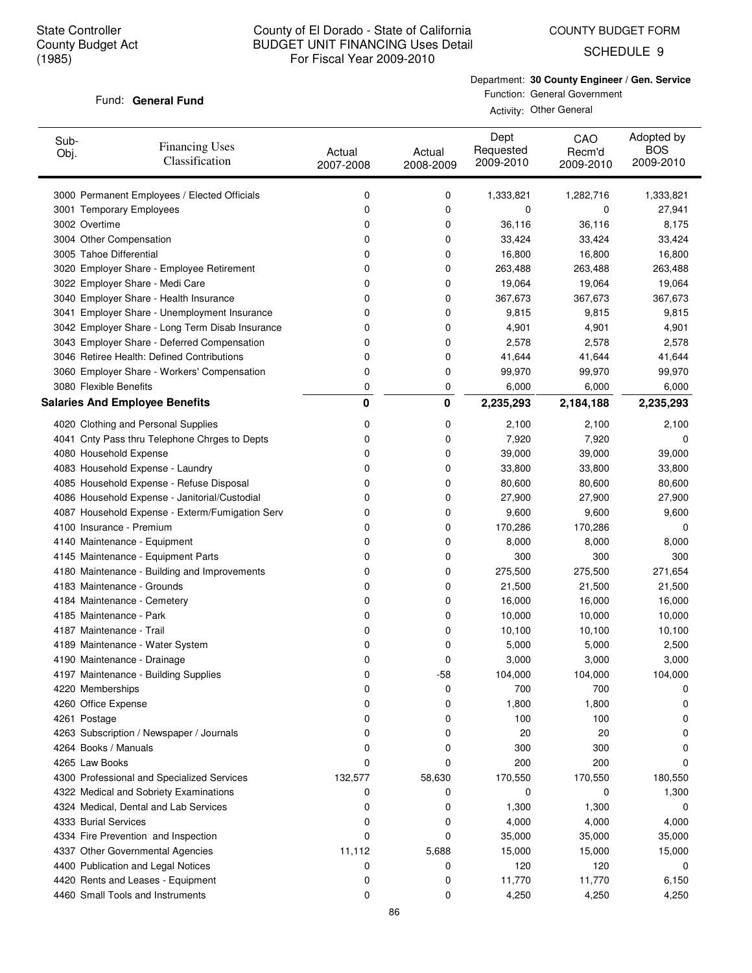COUNTY BUDGET FORM

SCHEDULE 9

#### Fund: General Fund

Department: **30 County Engineer / Gen. Service** Function: General Government

Activity: Other General

| Sub-<br>Obj. | <b>Financing Uses</b><br>Classification         | Actual<br>2007-2008 | Actual<br>2008-2009 | Dept<br>Requested<br>2009-2010 | CAO<br>Recm'd<br>2009-2010 | Adopted by<br><b>BOS</b><br>2009-2010 |
|--------------|-------------------------------------------------|---------------------|---------------------|--------------------------------|----------------------------|---------------------------------------|
|              | 3000 Permanent Employees / Elected Officials    | 0                   | 0                   | 1,333,821                      | 1,282,716                  | 1,333,821                             |
|              | 3001 Temporary Employees                        | 0                   | 0                   | 0                              | 0                          | 27,941                                |
|              | 3002 Overtime                                   | 0                   | 0                   | 36,116                         | 36,116                     | 8,175                                 |
|              | 3004 Other Compensation                         | 0                   | 0                   | 33,424                         | 33,424                     | 33,424                                |
|              | 3005 Tahoe Differential                         | 0                   | 0                   | 16,800                         | 16,800                     | 16,800                                |
|              | 3020 Employer Share - Employee Retirement       | 0                   | 0                   | 263,488                        | 263,488                    | 263,488                               |
|              | 3022 Employer Share - Medi Care                 | 0                   | 0                   | 19,064                         | 19,064                     | 19,064                                |
|              | 3040 Employer Share - Health Insurance          | 0                   | 0                   | 367,673                        | 367,673                    | 367,673                               |
|              | 3041 Employer Share - Unemployment Insurance    | 0                   | 0                   | 9,815                          | 9,815                      | 9,815                                 |
|              | 3042 Employer Share - Long Term Disab Insurance | 0                   | 0                   | 4,901                          | 4,901                      | 4,901                                 |
|              | 3043 Employer Share - Deferred Compensation     | 0                   | 0                   | 2,578                          | 2,578                      | 2,578                                 |
|              | 3046 Retiree Health: Defined Contributions      | 0                   | 0                   | 41,644                         | 41,644                     | 41,644                                |
|              | 3060 Employer Share - Workers' Compensation     | 0                   | 0                   | 99,970                         | 99,970                     | 99,970                                |
|              | 3080 Flexible Benefits                          | 0                   | 0                   | 6,000                          | 6,000                      | 6,000                                 |
|              | <b>Salaries And Employee Benefits</b>           | 0                   | 0                   | 2,235,293                      | 2,184,188                  | 2,235,293                             |
|              | 4020 Clothing and Personal Supplies             | 0                   | 0                   | 2,100                          | 2,100                      | 2,100                                 |
|              | 4041 Cnty Pass thru Telephone Chrges to Depts   | 0                   | 0                   | 7,920                          | 7,920                      | 0                                     |
|              | 4080 Household Expense                          | 0                   | 0                   | 39,000                         | 39,000                     | 39,000                                |
|              | 4083 Household Expense - Laundry                | 0                   | 0                   | 33,800                         | 33,800                     | 33,800                                |
|              | 4085 Household Expense - Refuse Disposal        | 0                   | 0                   | 80,600                         | 80,600                     | 80,600                                |
|              | 4086 Household Expense - Janitorial/Custodial   | 0                   | 0                   | 27,900                         | 27,900                     | 27,900                                |
|              | 4087 Household Expense - Exterm/Fumigation Serv | 0                   | 0                   | 9,600                          | 9,600                      | 9,600                                 |
|              | 4100 Insurance - Premium                        | 0                   | 0                   | 170,286                        | 170,286                    | 0                                     |
|              | 4140 Maintenance - Equipment                    | 0                   | 0                   | 8,000                          | 8,000                      | 8,000                                 |
|              | 4145 Maintenance - Equipment Parts              | 0                   | 0                   | 300                            | 300                        | 300                                   |
|              | 4180 Maintenance - Building and Improvements    | 0                   | 0                   | 275,500                        | 275,500                    | 271,654                               |
|              | 4183 Maintenance - Grounds                      | 0                   | 0                   | 21,500                         | 21,500                     | 21,500                                |
|              | 4184 Maintenance - Cemetery                     | 0                   | 0                   | 16,000                         | 16,000                     | 16,000                                |
|              | 4185 Maintenance - Park                         | 0                   | 0                   | 10,000                         | 10,000                     | 10,000                                |
|              | 4187 Maintenance - Trail                        | 0                   | 0                   | 10,100                         | 10,100                     | 10,100                                |
|              | 4189 Maintenance - Water System                 | 0                   | 0                   | 5,000                          | 5,000                      | 2,500                                 |
|              | 4190 Maintenance - Drainage                     | 0                   | 0                   | 3,000                          | 3,000                      | 3,000                                 |
|              | 4197 Maintenance - Building Supplies            | 0                   | -58                 | 104,000                        | 104,000                    | 104,000                               |
|              | 4220 Memberships                                | 0                   | 0                   | 700                            | 700                        | 0                                     |
|              | 4260 Office Expense                             | 0                   | 0                   | 1,800                          | 1,800                      | 0                                     |
|              | 4261 Postage                                    | 0                   | 0                   | 100                            | 100                        | 0                                     |
|              | 4263 Subscription / Newspaper / Journals        | 0                   | 0                   | 20                             | 20                         | 0                                     |
|              | 4264 Books / Manuals                            | 0                   | 0                   | 300                            | 300                        | 0                                     |
|              | 4265 Law Books                                  | 0                   | 0                   | 200                            | 200                        | 0                                     |
|              | 4300 Professional and Specialized Services      | 132,577             | 58,630              | 170,550                        | 170,550                    | 180,550                               |
|              | 4322 Medical and Sobriety Examinations          | 0                   | 0                   | 0                              | 0                          | 1,300                                 |
|              | 4324 Medical, Dental and Lab Services           | 0                   | 0                   | 1,300                          | 1,300                      | 0                                     |
|              | 4333 Burial Services                            | 0                   | 0                   | 4,000                          | 4,000                      | 4,000                                 |
|              | 4334 Fire Prevention and Inspection             | 0                   | 0                   | 35,000                         | 35,000                     | 35,000                                |
|              | 4337 Other Governmental Agencies                | 11,112              | 5,688               | 15,000                         | 15,000                     | 15,000                                |
|              | 4400 Publication and Legal Notices              | 0                   | 0                   | 120                            | 120                        | 0                                     |
|              | 4420 Rents and Leases - Equipment               | 0                   | 0                   | 11,770                         | 11,770                     | 6,150                                 |
|              | 4460 Small Tools and Instruments                | 0                   | 0                   | 4,250                          | 4,250                      | 4,250                                 |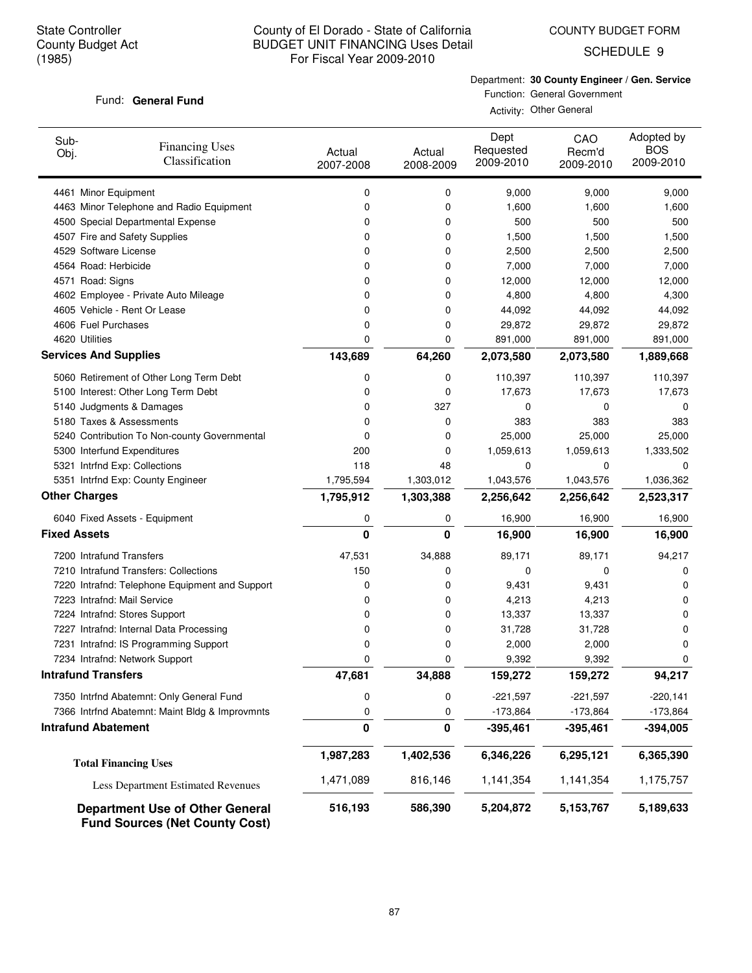COUNTY BUDGET FORM

SCHEDULE 9

### Fund: General Fund

Department: **30 County Engineer / Gen. Service** Function: General Government

Activity: Other General

| Sub-<br>Obj.        | <b>Financing Uses</b><br>Classification                                         | Actual<br>2007-2008 | Actual<br>2008-2009 | Dept<br>Requested<br>2009-2010 | CAO<br>Recm'd<br>2009-2010 | Adopted by<br><b>BOS</b><br>2009-2010 |
|---------------------|---------------------------------------------------------------------------------|---------------------|---------------------|--------------------------------|----------------------------|---------------------------------------|
|                     | 4461 Minor Equipment                                                            | 0                   | 0                   | 9,000                          | 9,000                      | 9,000                                 |
|                     | 4463 Minor Telephone and Radio Equipment                                        | 0                   | 0                   | 1,600                          | 1,600                      | 1,600                                 |
|                     | 4500 Special Departmental Expense                                               | 0                   | 0                   | 500                            | 500                        | 500                                   |
|                     | 4507 Fire and Safety Supplies                                                   | 0                   | 0                   | 1,500                          | 1,500                      | 1,500                                 |
|                     | 4529 Software License                                                           | 0                   | 0                   | 2,500                          | 2,500                      | 2,500                                 |
|                     | 4564 Road: Herbicide                                                            | 0                   | 0                   | 7,000                          | 7,000                      | 7,000                                 |
|                     | 4571 Road: Signs                                                                | 0                   | 0                   | 12,000                         | 12,000                     | 12,000                                |
|                     | 4602 Employee - Private Auto Mileage                                            | 0                   | 0                   | 4,800                          | 4,800                      | 4,300                                 |
|                     | 4605 Vehicle - Rent Or Lease                                                    | 0                   | 0                   | 44,092                         | 44,092                     | 44,092                                |
|                     | 4606 Fuel Purchases                                                             | 0                   | 0                   | 29,872                         | 29,872                     | 29,872                                |
|                     | 4620 Utilities                                                                  | 0                   | 0                   | 891,000                        | 891,000                    | 891,000                               |
|                     | <b>Services And Supplies</b>                                                    | 143,689             | 64,260              | 2,073,580                      | 2,073,580                  | 1,889,668                             |
|                     | 5060 Retirement of Other Long Term Debt                                         | 0                   | 0                   | 110,397                        | 110,397                    | 110,397                               |
|                     | 5100 Interest: Other Long Term Debt                                             | 0                   | 0                   | 17,673                         | 17,673                     | 17,673                                |
|                     | 5140 Judgments & Damages                                                        | 0                   | 327                 | 0                              | 0                          | 0                                     |
|                     | 5180 Taxes & Assessments                                                        | 0                   | 0                   | 383                            | 383                        | 383                                   |
|                     | 5240 Contribution To Non-county Governmental                                    | 0                   | 0                   | 25,000                         | 25,000                     | 25,000                                |
|                     | 5300 Interfund Expenditures                                                     | 200                 | 0                   | 1,059,613                      | 1,059,613                  | 1,333,502                             |
|                     | 5321 Intrfnd Exp: Collections                                                   | 118                 | 48                  | 0                              | 0                          | 0                                     |
|                     | 5351 Intrfnd Exp: County Engineer                                               | 1,795,594           | 1,303,012           | 1,043,576                      | 1,043,576                  | 1,036,362                             |
|                     | <b>Other Charges</b>                                                            | 1,795,912           | 1,303,388           | 2,256,642                      | 2,256,642                  | 2,523,317                             |
|                     | 6040 Fixed Assets - Equipment                                                   | 0                   | 0                   | 16,900                         | 16,900                     | 16,900                                |
| <b>Fixed Assets</b> |                                                                                 | 0                   | 0                   | 16,900                         | 16,900                     | 16,900                                |
|                     | 7200 Intrafund Transfers                                                        | 47,531              | 34,888              | 89,171                         | 89,171                     | 94,217                                |
|                     | 7210 Intrafund Transfers: Collections                                           | 150                 | 0                   | 0                              | 0                          | 0                                     |
|                     | 7220 Intrafnd: Telephone Equipment and Support                                  | 0                   | 0                   | 9,431                          | 9,431                      | 0                                     |
|                     | 7223 Intrafnd: Mail Service                                                     | 0                   | 0                   | 4,213                          | 4,213                      | 0                                     |
|                     | 7224 Intrafnd: Stores Support                                                   | 0                   | 0                   | 13,337                         | 13,337                     | 0                                     |
|                     | 7227 Intrafnd: Internal Data Processing                                         | 0                   | 0                   | 31,728                         | 31,728                     | 0                                     |
|                     | 7231 Intrafnd: IS Programming Support                                           | 0                   | 0                   | 2,000                          | 2,000                      | 0                                     |
|                     | 7234 Intrafnd: Network Support<br><b>Intrafund Transfers</b>                    | 0                   | 0                   | 9,392                          | 9,392                      | 0                                     |
|                     |                                                                                 | 47,681              | 34,888              | 159,272                        | 159,272                    | 94,217                                |
|                     | 7350 Intrfnd Abatemnt: Only General Fund                                        | 0                   | 0                   | $-221,597$                     | $-221,597$                 | $-220,141$                            |
|                     | 7366 Intrfnd Abatemnt: Maint Bldg & Improvmnts                                  | 0                   | 0                   | $-173,864$                     | $-173,864$                 | $-173,864$                            |
|                     | <b>Intrafund Abatement</b>                                                      | 0                   | $\pmb{0}$           | $-395,461$                     | $-395,461$                 | $-394,005$                            |
|                     | <b>Total Financing Uses</b>                                                     | 1,987,283           | 1,402,536           | 6,346,226                      | 6,295,121                  | 6,365,390                             |
|                     | Less Department Estimated Revenues                                              | 1,471,089           | 816,146             | 1,141,354                      | 1,141,354                  | 1,175,757                             |
|                     | <b>Department Use of Other General</b><br><b>Fund Sources (Net County Cost)</b> | 516,193             | 586,390             | 5,204,872                      | 5,153,767                  | 5,189,633                             |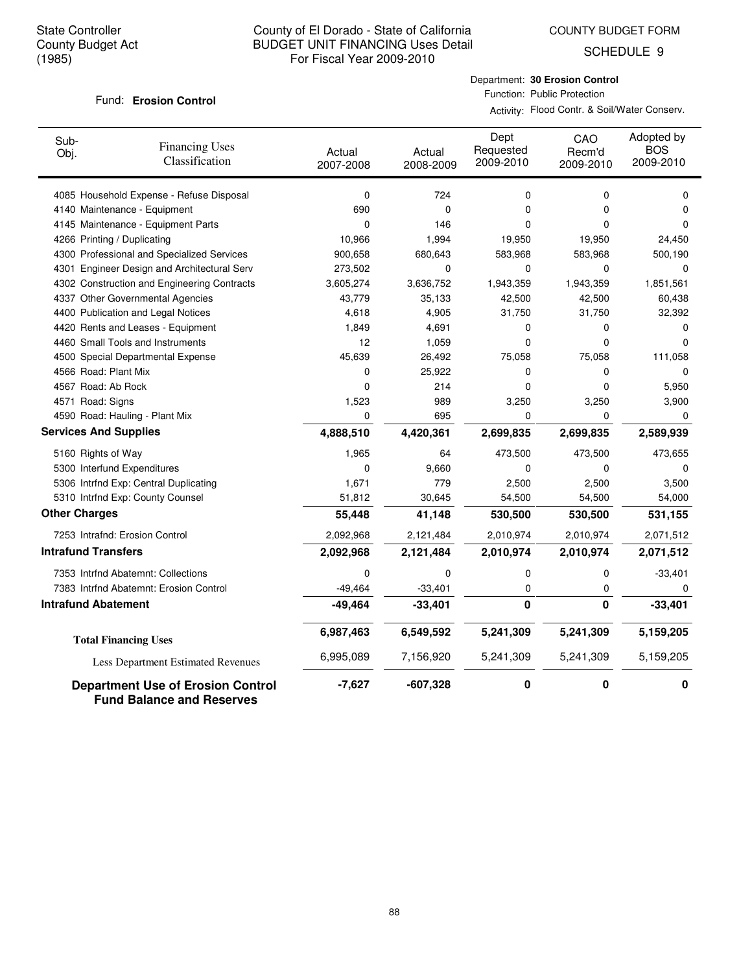COUNTY BUDGET FORM

SCHEDULE 9

#### **Erosion Control** Fund:

Department: **30 Erosion Control** Function: Public Protection

Activity: Flood Contr. & Soil/Water Conserv.

| Sub-<br>Obj.               | <b>Financing Uses</b><br>Classification                                      | Actual<br>2007-2008 | Actual<br>2008-2009 | Dept<br>Requested<br>2009-2010 | CAO<br>Recm'd<br>2009-2010 | Adopted by<br><b>BOS</b><br>2009-2010 |
|----------------------------|------------------------------------------------------------------------------|---------------------|---------------------|--------------------------------|----------------------------|---------------------------------------|
|                            | 4085 Household Expense - Refuse Disposal                                     | $\mathbf 0$         | 724                 | $\mathbf 0$                    | 0                          | 0                                     |
|                            | 4140 Maintenance - Equipment                                                 | 690                 | $\mathbf 0$         | 0                              | 0                          | $\mathbf 0$                           |
|                            | 4145 Maintenance - Equipment Parts                                           | 0                   | 146                 | 0                              | 0                          | $\Omega$                              |
|                            | 4266 Printing / Duplicating                                                  | 10,966              | 1,994               | 19,950                         | 19,950                     | 24,450                                |
|                            | 4300 Professional and Specialized Services                                   | 900,658             | 680,643             | 583,968                        | 583,968                    | 500,190                               |
| 4301                       | Engineer Design and Architectural Serv                                       | 273,502             | $\mathbf 0$         | $\mathbf 0$                    | 0                          | $\mathbf 0$                           |
|                            | 4302 Construction and Engineering Contracts                                  | 3,605,274           | 3,636,752           | 1,943,359                      | 1,943,359                  | 1,851,561                             |
|                            | 4337 Other Governmental Agencies                                             | 43,779              | 35,133              | 42,500                         | 42,500                     | 60,438                                |
|                            | 4400 Publication and Legal Notices                                           | 4,618               | 4,905               | 31,750                         | 31,750                     | 32,392                                |
|                            | 4420 Rents and Leases - Equipment                                            | 1,849               | 4,691               | 0                              | 0                          | 0                                     |
|                            | 4460 Small Tools and Instruments                                             | 12                  | 1,059               | 0                              | $\Omega$                   | $\Omega$                              |
|                            | 4500 Special Departmental Expense                                            | 45,639              | 26,492              | 75,058                         | 75,058                     | 111,058                               |
|                            | 4566 Road: Plant Mix                                                         | 0                   | 25,922              | 0                              | 0                          | $\mathbf 0$                           |
|                            | 4567 Road: Ab Rock                                                           | 0                   | 214                 | 0                              | 0                          | 5,950                                 |
| 4571 Road: Signs           |                                                                              | 1,523               | 989                 | 3,250                          | 3,250                      | 3,900                                 |
|                            | 4590 Road: Hauling - Plant Mix                                               | 0                   | 695                 | $\Omega$                       | 0                          | $\Omega$                              |
|                            | <b>Services And Supplies</b>                                                 | 4,888,510           | 4,420,361           | 2,699,835                      | 2,699,835                  | 2,589,939                             |
|                            | 5160 Rights of Way                                                           | 1,965               | 64                  | 473,500                        | 473,500                    | 473,655                               |
|                            | 5300 Interfund Expenditures                                                  | 0                   | 9,660               | 0                              | 0                          | 0                                     |
|                            | 5306 Intrfnd Exp: Central Duplicating                                        | 1,671               | 779                 | 2,500                          | 2,500                      | 3,500                                 |
|                            | 5310 Intrfnd Exp: County Counsel                                             | 51,812              | 30,645              | 54,500                         | 54,500                     | 54,000                                |
| <b>Other Charges</b>       |                                                                              | 55,448              | 41,148              | 530,500                        | 530,500                    | 531,155                               |
|                            | 7253 Intrafnd: Erosion Control                                               | 2,092,968           | 2,121,484           | 2,010,974                      | 2,010,974                  | 2,071,512                             |
| <b>Intrafund Transfers</b> |                                                                              | 2,092,968           | 2,121,484           | 2,010,974                      | 2,010,974                  | 2,071,512                             |
|                            | 7353 Intrfnd Abatemnt: Collections                                           | 0                   | 0                   | 0                              | 0                          | $-33,401$                             |
|                            | 7383 Intrfnd Abatemnt: Erosion Control                                       | $-49,464$           | $-33,401$           | 0                              | 0                          | 0                                     |
|                            | <b>Intrafund Abatement</b>                                                   | $-49,464$           | $-33,401$           | $\mathbf 0$                    | 0                          | $-33,401$                             |
|                            | <b>Total Financing Uses</b>                                                  | 6,987,463           | 6,549,592           | 5,241,309                      | 5,241,309                  | 5,159,205                             |
|                            | Less Department Estimated Revenues                                           | 6,995,089           | 7,156,920           | 5,241,309                      | 5,241,309                  | 5,159,205                             |
|                            | <b>Department Use of Erosion Control</b><br><b>Fund Balance and Reserves</b> | $-7,627$            | $-607,328$          | 0                              | $\mathbf 0$                | 0                                     |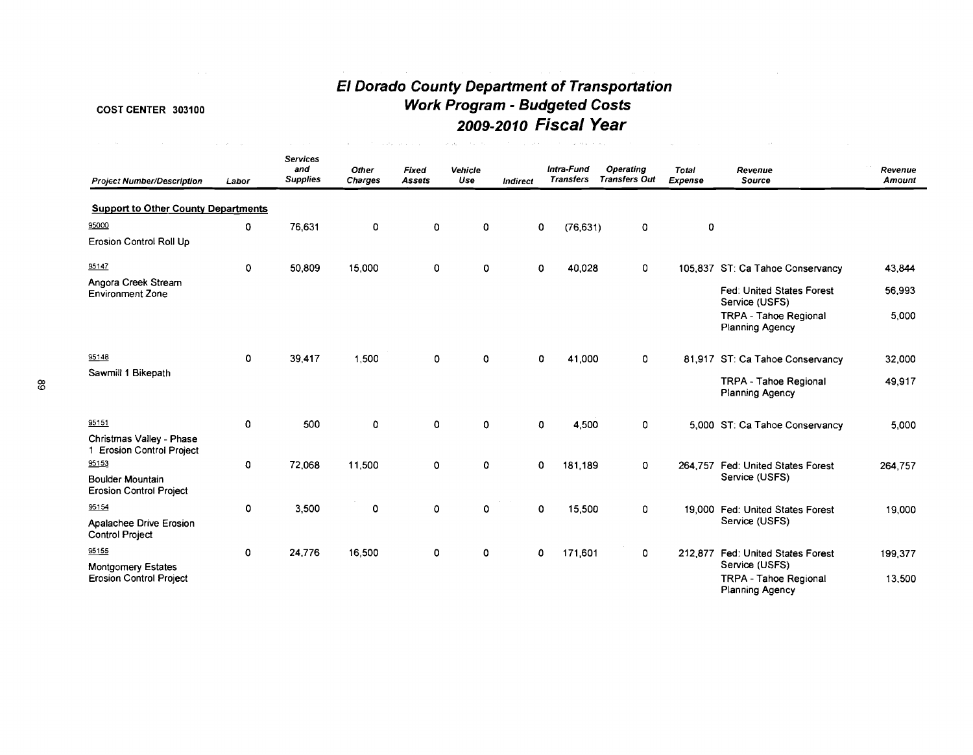# COST CENTER **303100**

# **El Dorado County Department of Transportation Work Program** - **Budgeted Costs 2009-2010 Fiscal Year**

 $\mathcal{F}_{\mathcal{G}}(\mathcal{A},\mathcal{G})\mathcal{A}(\mathcal{A},\mathcal{G})=\mathcal{F}_{\mathcal{G}}(\mathcal{A},\mathcal{G})\mathcal{A}(\mathcal{A},\mathcal{G})=\mathcal{F}_{\mathcal{G}}(\mathcal{A},\mathcal{G})\mathcal{A}(\mathcal{A},\mathcal{G})=\mathcal{F}_{\mathcal{G}}(\mathcal{A},\mathcal{G})\mathcal{A}(\mathcal{A},\mathcal{G})\mathcal{A}(\mathcal{A},\mathcal{G})=\mathcal{F}_{\mathcal{G}}(\mathcal{A},\mathcal{G})\mathcal{A}(\mathcal{$ 

 $\sim 10^{-1}$ 

| <b>Project Number/Description</b>                           | Labor | <b>Services</b><br>and<br><b>Supplies</b> | <b>Other</b><br><b>Charges</b> | Fixed<br><b>Assets</b> | Vehicle<br>Use | <b>Indirect</b> | Intra-Fund<br><b>Transfers</b> | <b>Operating</b><br><b>Transfers Out</b> | <b>Total</b><br><b>Expense</b> | Revenue<br>Source                                                        | Revenue<br>Amount |
|-------------------------------------------------------------|-------|-------------------------------------------|--------------------------------|------------------------|----------------|-----------------|--------------------------------|------------------------------------------|--------------------------------|--------------------------------------------------------------------------|-------------------|
| <b>Support to Other County Departments</b>                  |       |                                           |                                |                        |                |                 |                                |                                          |                                |                                                                          |                   |
| 95000                                                       | 0     | 76.631                                    | 0                              | 0                      | 0              | 0               | (76, 631)                      | 0                                        | $\mathbf 0$                    |                                                                          |                   |
| Erosion Control Roll Up                                     |       |                                           |                                |                        |                |                 |                                |                                          |                                |                                                                          |                   |
| 95147                                                       | 0     | 50,809                                    | 15,000                         | 0                      | 0              | 0               | 40,028                         | 0                                        |                                | 105,837 ST: Ca Tahoe Conservancy                                         | 43,844            |
| Angora Creek Stream<br><b>Environment Zone</b>              |       |                                           |                                |                        |                |                 |                                |                                          |                                | <b>Fed: United States Forest</b><br>Service (USFS)                       | 56,993            |
|                                                             |       |                                           |                                |                        |                |                 |                                |                                          |                                | <b>TRPA - Tahoe Regional</b><br><b>Planning Agency</b>                   | 5,000             |
| 95148                                                       | 0     | 39,417                                    | 1.500                          | 0                      | 0              | 0               | 41,000                         | 0                                        |                                | 81,917 ST: Ca Tahoe Conservancy                                          | 32,000            |
| Sawmill 1 Bikepath                                          |       |                                           |                                |                        |                |                 |                                |                                          |                                | TRPA - Tahoe Regional<br><b>Planning Agency</b>                          | 49,917            |
| 95151                                                       | 0     | 500                                       | 0                              | 0                      | 0              | 0               | 4,500                          | $\mathbf 0$                              |                                | 5,000 ST: Ca Tahoe Conservancy                                           | 5,000             |
| Christmas Valley - Phase<br>1 Erosion Control Project       |       |                                           |                                |                        |                |                 |                                |                                          |                                |                                                                          |                   |
| 95153                                                       | 0     | 72,068                                    | 11,500                         | 0                      | 0              | 0               | 181.189                        | 0                                        | 264.757                        | <b>Fed: United States Forest</b>                                         | 264,757           |
| <b>Boulder Mountain</b><br><b>Erosion Control Project</b>   |       |                                           |                                |                        |                |                 |                                |                                          |                                | Service (USFS)                                                           |                   |
| 95154                                                       | 0     | 3,500                                     | 0                              | 0                      | 0              | 0               | 15,500                         | $\mathbf 0$                              |                                | 19,000 Fed: United States Forest                                         | 19,000            |
| Apalachee Drive Erosion<br><b>Control Project</b>           |       |                                           |                                |                        |                |                 |                                |                                          |                                | Service (USFS)                                                           |                   |
| 95155                                                       | 0     | 24,776                                    | 16,500                         | 0                      | 0              | 0               | 171,601                        | 0                                        |                                | 212,877 Fed: United States Forest                                        | 199,377           |
| <b>Montgomery Estates</b><br><b>Erosion Control Project</b> |       |                                           |                                |                        |                |                 |                                |                                          |                                | Service (USFS)<br><b>TRPA - Tahoe Regional</b><br><b>Planning Agency</b> | 13,500            |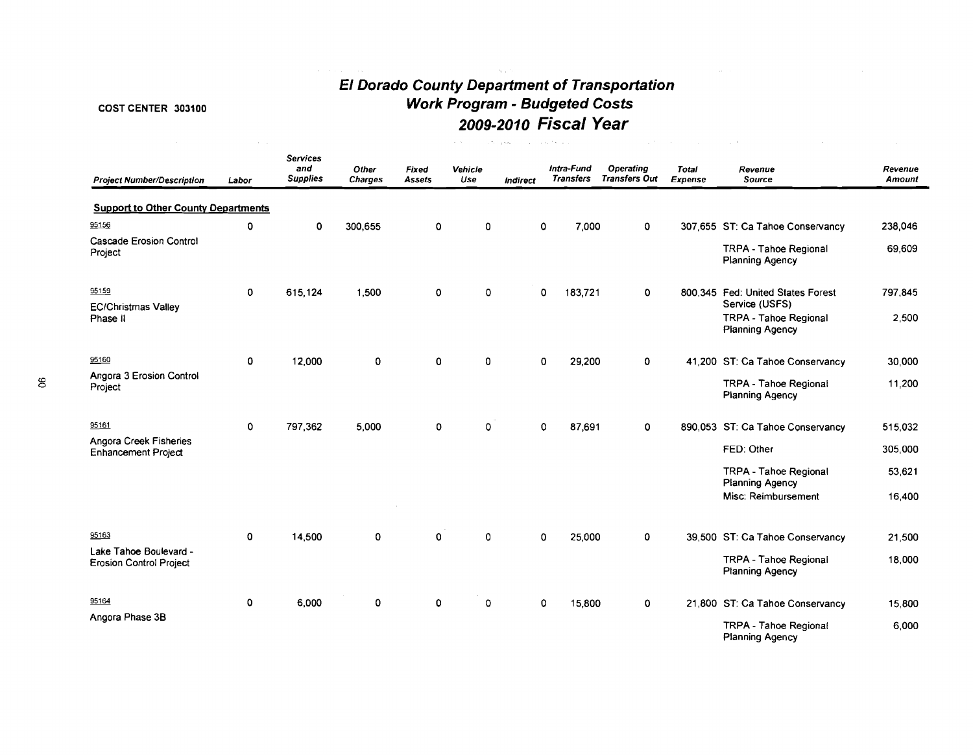# **El Dorado County Department of Transportation Work Program** - **Budgeted Costs 2009-2010 Fiscal Year**

 $\alpha=1$ 

# COST CENTER 303100

| <b>Project Number/Description</b>                        | Labor       | <b>Services</b><br>and<br><b>Supplies</b> | Other<br><b>Charges</b> | Fixed<br><b>Assets</b> | Vehicle<br>Use | <b>Indirect</b> | Intra-Fund<br>Transfers | <b>Operating</b><br><b>Transfers Out</b> | Total<br>Expense | Revenue<br>Source                                                 | Revenue<br><b>Amount</b> |
|----------------------------------------------------------|-------------|-------------------------------------------|-------------------------|------------------------|----------------|-----------------|-------------------------|------------------------------------------|------------------|-------------------------------------------------------------------|--------------------------|
| <b>Support to Other County Departments</b>               |             |                                           |                         |                        |                |                 |                         |                                          |                  |                                                                   |                          |
| 95156                                                    | $\mathbf 0$ | $\mathbf 0$                               | 300,655                 | $\mathbf{0}$           | 0              | $\Omega$        | 7,000                   | $\mathbf 0$                              |                  | 307,655 ST: Ca Tahoe Conservancy                                  | 238,046                  |
| <b>Cascade Erosion Control</b><br>Project                |             |                                           |                         |                        |                |                 |                         |                                          |                  | TRPA - Tahoe Regional<br><b>Planning Agency</b>                   | 69,609                   |
| 95159                                                    | $\mathbf 0$ | 615,124                                   | 1,500                   | $\mathbf 0$            | $\mathbf{0}$   | 0               | 183,721                 | $\Omega$                                 |                  | 800.345 Fed: United States Forest                                 | 797,845                  |
| <b>EC/Christmas Valley</b><br>Phase II                   |             |                                           |                         |                        |                |                 |                         |                                          |                  | Service (USFS)<br><b>TRPA - Tahoe Regional</b><br>Planning Agency | 2.500                    |
| 95160                                                    | $\mathbf 0$ | 12,000                                    | $\mathbf 0$             | 0                      | 0              | $\mathbf 0$     | 29,200                  | $\mathbf 0$                              |                  | 41,200 ST: Ca Tahoe Conservancy                                   | 30,000                   |
| Angora 3 Erosion Control<br>Project                      |             |                                           |                         |                        |                |                 |                         |                                          |                  | TRPA - Tahoe Regional<br><b>Planning Agency</b>                   | 11,200                   |
| 95161                                                    | 0           | 797,362                                   | 5,000                   | O                      | 0              | 0               | 87,691                  | $\mathbf 0$                              |                  | 890,053 ST: Ca Tahoe Conservancy                                  | 515,032                  |
| Angora Creek Fisheries<br><b>Enhancement Project</b>     |             |                                           |                         |                        |                |                 |                         |                                          |                  | FED: Other                                                        | 305,000                  |
|                                                          |             |                                           |                         |                        |                |                 |                         |                                          |                  | TRPA - Tahoe Regional<br>Planning Agency                          | 53,621                   |
|                                                          |             |                                           |                         |                        |                |                 |                         |                                          |                  | Misc: Reimbursement                                               | 16,400                   |
| 95163                                                    | 0           | 14,500                                    | $\mathbf 0$             | $\mathbf{o}$           | 0              | 0               | 25,000                  | 0                                        |                  | 39,500 ST: Ca Tahoe Conservancy                                   | 21,500                   |
| Lake Tahoe Boulevard -<br><b>Erosion Control Project</b> |             |                                           |                         |                        |                |                 |                         |                                          |                  | TRPA - Tahoe Regional<br><b>Planning Agency</b>                   | 18,000                   |
| 95164                                                    | 0           | 6,000                                     | 0                       | 0                      | 0              | 0               | 15,800                  | 0                                        |                  | 21,800 ST: Ca Tahoe Conservancy                                   | 15,800                   |
| Angora Phase 3B                                          |             |                                           |                         |                        |                |                 |                         |                                          |                  | TRPA - Tahoe Regional<br>Planning Agency                          | 6,000                    |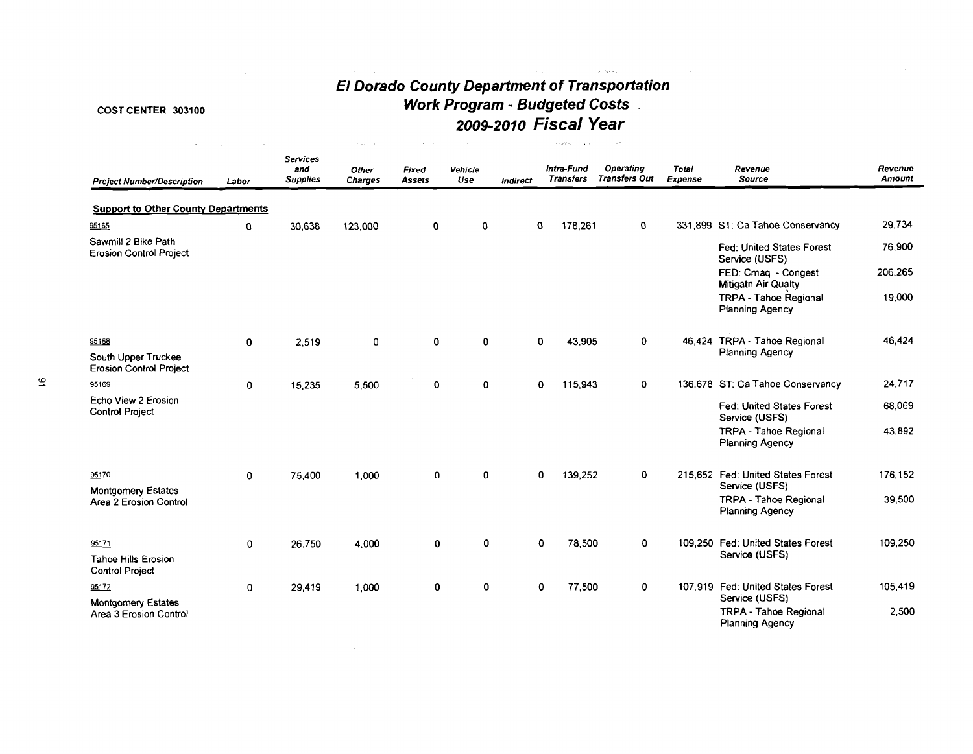# **El Dorado County Department of Transportation Work Program** - **Budgeted Costs** . **2009-201 0 Fiscal Year**

 $\mathcal{L}^{\text{max}}_{\text{max}}$  , where  $\mathcal{L}^{\text{max}}_{\text{max}}$ 

 $\sim 10^{11}$  section .

# **COST** CENTER **303100**

 $\mathcal{L}(\mathcal{L}^{\text{max}})$  . The  $\mathcal{L}(\mathcal{L}^{\text{max}})$ 

| <b>Project Number/Description</b>                     | Labor       | <b>Services</b><br>and<br><b>Supplies</b> | Other<br><b>Charges</b> | Fixed<br>Assets | Vehicle<br>Use | Indirect    |             | Intra-Fund<br><b>Transfers</b> | <b>Operating</b><br><b>Transfers Out</b> | <b>Total</b><br>Expense | Revenue<br>Source                                      | Revenue<br>Amount |
|-------------------------------------------------------|-------------|-------------------------------------------|-------------------------|-----------------|----------------|-------------|-------------|--------------------------------|------------------------------------------|-------------------------|--------------------------------------------------------|-------------------|
| <b>Support to Other County Departments</b>            |             |                                           |                         |                 |                |             |             |                                |                                          |                         |                                                        |                   |
| 95165                                                 | 0           | 30,638                                    | 123,000                 | 0               | $\mathbf 0$    | 0           |             | 178,261                        | 0                                        |                         | 331,899 ST: Ca Tahoe Conservancy                       | 29,734            |
| Sawmill 2 Bike Path<br><b>Erosion Control Project</b> |             |                                           |                         |                 |                |             |             |                                |                                          |                         | Fed: United States Forest<br>Service (USFS)            | 76,900            |
|                                                       |             |                                           |                         |                 |                |             |             |                                |                                          |                         | FED: Cmaq - Congest<br><b>Mitigath Air Qualty</b>      | 206,265           |
|                                                       |             |                                           |                         |                 |                |             |             |                                |                                          |                         | TRPA - Tahoe Regional<br>Planning Agency               | 19,000            |
| 95168                                                 | $\mathbf 0$ | 2,519                                     | 0                       | 0               | 0              | 0           |             | 43,905                         | 0                                        |                         | 46,424 TRPA - Tahoe Regional                           | 46,424            |
| South Upper Truckee<br><b>Erosion Control Project</b> |             |                                           |                         |                 |                |             |             |                                |                                          |                         | <b>Planning Agency</b>                                 |                   |
| 95169                                                 | 0           | 15,235                                    | 5,500                   | 0               | $\mathbf 0$    | $\mathbf 0$ |             | 115,943                        | $\mathbf 0$                              |                         | 136,678 ST: Ca Tahoe Conservancy                       | 24,717            |
| Echo View 2 Erosion<br><b>Control Project</b>         |             |                                           |                         |                 |                |             |             |                                |                                          |                         | Fed: United States Forest<br>Service (USFS)            | 68,069            |
|                                                       |             |                                           |                         |                 |                |             |             |                                |                                          |                         | <b>TRPA - Tahoe Regional</b><br><b>Planning Agency</b> | 43,892            |
| 95170                                                 | 0           | 75.400                                    | 1,000                   | 0               | 0              |             | $\mathbf 0$ | 139,252                        | $\mathbf 0$                              |                         | 215,652 Fed: United States Forest                      | 176,152           |
| Montgomery Estates                                    |             |                                           |                         |                 |                |             |             |                                |                                          |                         | Service (USFS)                                         |                   |
| Area 2 Erosion Control                                |             |                                           |                         |                 |                |             |             |                                |                                          |                         | <b>TRPA - Tahoe Regional</b><br><b>Planning Agency</b> | 39,500            |
| 95171                                                 | 0           | 26,750                                    | 4,000                   | 0               | 0              |             | 0           | 78,500                         | $\mathbf 0$                              |                         | 109.250 Fed: United States Forest                      | 109,250           |
| <b>Tahoe Hills Erosion</b><br>Control Project         |             |                                           |                         |                 |                |             |             |                                |                                          |                         | Service (USFS)                                         |                   |
| 95172                                                 | 0           | 29,419                                    | 1,000                   | 0               | 0              |             | $\mathbf 0$ | 77,500                         | $\mathbf 0$                              |                         | 107.919 Fed: United States Forest<br>Service (USFS)    | 105,419           |
| <b>Montgomery Estates</b><br>Area 3 Erosion Control   |             |                                           |                         |                 |                |             |             |                                |                                          |                         | <b>TRPA - Tahoe Regional</b><br><b>Planning Agency</b> | 2,500             |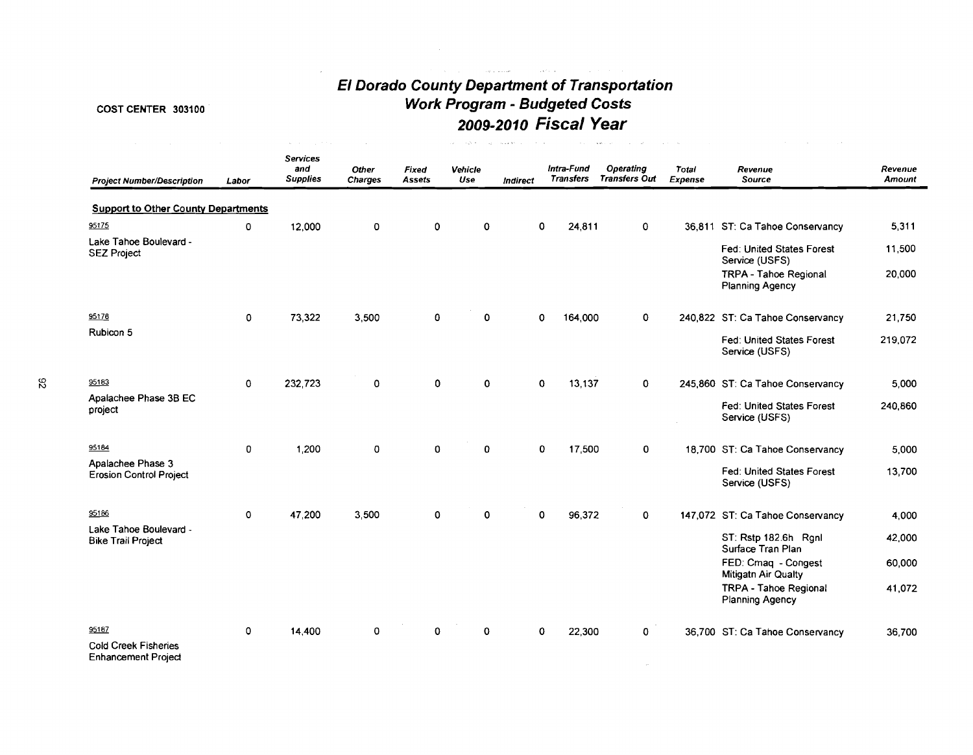# **El Dorado County Department of Transportation Work Program** - **Budgeted Costs 2009-2010 Fiscal Year**

 $\label{eq:1} \hat{\mathcal{A}}(t) = \hat{\mathcal{A}}(t) + \hat{\mathcal{A}}(t) + \hat{\mathcal{A}}(t) + \hat{\mathcal{A}}(t) + \hat{\mathcal{A}}(t)$ 

# COST CENTER **303100**

 $\hat{f}^{\dagger}$  and  $\hat{f}^{\dagger}$  are the second conditions of the second conditions of  $\hat{f}^{\dagger}$ 

| <b>Project Number/Description</b>                         | Labor       | <b>Services</b><br>and<br><b>Supplies</b> | <b>Other</b><br>Charges | Fixed<br><b>Assets</b> | Vehicle<br>Use | <b>Indirect</b> | Intra-Fund            | <b>Operating</b><br>Transfers Transfers Out | Total<br><b>Expense</b> | Revenue<br>Source                                  | Revenue<br>Amount |
|-----------------------------------------------------------|-------------|-------------------------------------------|-------------------------|------------------------|----------------|-----------------|-----------------------|---------------------------------------------|-------------------------|----------------------------------------------------|-------------------|
| <b>Support to Other County Departments</b>                |             |                                           |                         |                        |                |                 |                       |                                             |                         |                                                    |                   |
| 95175                                                     | 0           | 12,000                                    | 0                       | $\mathbf 0$            | $\mathbf 0$    |                 | $\mathbf 0$<br>24,811 | $\mathbf 0$                                 |                         | 36,811 ST: Ca Tahoe Conservancy                    | 5,311             |
| Lake Tahoe Boulevard -<br><b>SEZ Project</b>              |             |                                           |                         |                        |                |                 |                       |                                             |                         | Fed: United States Forest<br>Service (USFS)        | 11,500            |
|                                                           |             |                                           |                         |                        |                |                 |                       |                                             |                         | TRPA - Tahoe Regional<br><b>Planning Agency</b>    | 20,000            |
| 95178                                                     | $\mathbf 0$ | 73,322                                    | 3,500                   | 0                      | 0              |                 | 164,000<br>0          | $\mathbf{0}$                                |                         | 240,822 ST: Ca Tahoe Conservancy                   | 21,750            |
| Rubicon 5                                                 |             |                                           |                         |                        |                |                 |                       |                                             |                         | Fed: United States Forest<br>Service (USFS)        | 219,072           |
| 95183                                                     | $\mathbf 0$ | 232,723                                   | 0                       | $\mathbf 0$            | 0              |                 | 13,137<br>0           | 0                                           |                         | 245,860 ST: Ca Tahoe Conservancy                   | 5.000             |
| Apalachee Phase 3B EC<br>project                          |             |                                           |                         |                        |                |                 |                       |                                             |                         | Fed: United States Forest<br>Service (USFS)        | 240,860           |
| 95184                                                     | $\mathbf 0$ | 1,200                                     | 0                       | $\mathbf 0$            | $\Omega$       |                 | 17,500<br>0           | 0                                           |                         | 18,700 ST: Ca Tahoe Conservancy                    | 5,000             |
| Apalachee Phase 3<br><b>Erosion Control Project</b>       |             |                                           |                         |                        |                |                 |                       |                                             |                         | <b>Fed: United States Forest</b><br>Service (USFS) | 13,700            |
| 95186                                                     | 0           | 47,200                                    | 3,500                   | 0                      | 0              |                 | 0<br>96,372           | 0                                           |                         | 147,072 ST: Ca Tahoe Conservancy                   | 4,000             |
| Lake Tahoe Boulevard -<br><b>Bike Trail Project</b>       |             |                                           |                         |                        |                |                 |                       |                                             |                         | ST: Rstp 182.6h Rgnl<br>Surface Tran Plan          | 42.000            |
|                                                           |             |                                           |                         |                        |                |                 |                       |                                             |                         | FED: Cmaq - Congest<br>Mitigath Air Qualty         | 60,000            |
|                                                           |             |                                           |                         |                        |                |                 |                       |                                             |                         | <b>TRPA - Tahoe Regional</b><br>Planning Agency    | 41,072            |
| 95187                                                     | $\mathbf 0$ | 14,400                                    | 0                       | $\Omega$               | 0              |                 | 0<br>22,300           | 0                                           |                         | 36,700 ST: Ca Tahoe Conservancy                    | 36,700            |
| <b>Cold Creek Fisheries</b><br><b>Enhancement Project</b> |             |                                           |                         |                        |                |                 |                       |                                             |                         |                                                    |                   |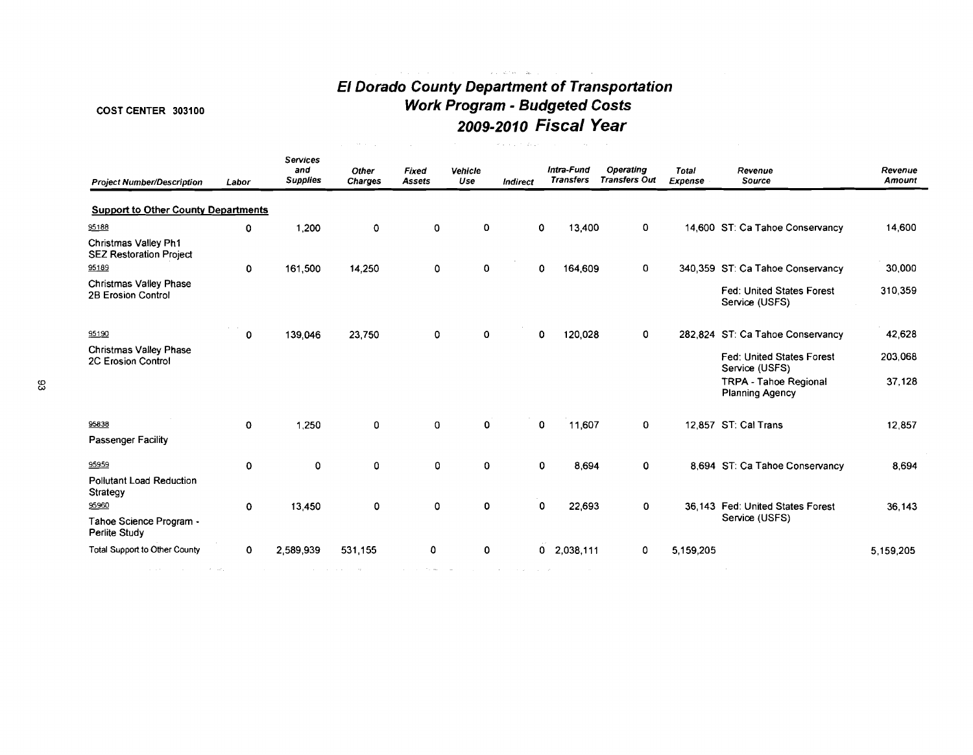# **El Dorado County Department of Transportation**  COST CENTER **303100 Work Program** - **Budgeted Costs 2009-2010 Fiscal Year**

 $\label{eq:1} \left\langle \left( \begin{array}{cc} \ddots & \ddots & \ddots \\ \ddots & \ddots & \ddots \end{array} \right) \right\rangle_{\mathcal{M}} = \left\langle \begin{array}{cc} \ddots & \ddots & \ddots \\ \ddots & \ddots & \ddots \\ \ddots & \ddots & \ddots \end{array} \right\rangle_{\mathcal{M}} = \left\langle \begin{array}{cc} \ddots & \ddots & \ddots \\ \ddots & \ddots & \ddots \\ \ddots & \ddots & \ddots \end{array} \right\rangle_{\mathcal{M}} = \left\langle \begin{array}{cc} \ddots & \ddots & \ddots \\ \ddots & \ddots$ 

| <b>Project Number/Description</b>                      | Labor | Services<br>and<br><b>Supplies</b> | Other<br><b>Charges</b> | Fixed<br><b>Assets</b> | Vehicle<br>Use | Indirect | Intra-Fund<br><b>Transfers</b> | Operating<br><b>Transfers Out</b> | <b>Total</b><br>Expense | Revenue<br>Source                               | Revenue<br>Amount |
|--------------------------------------------------------|-------|------------------------------------|-------------------------|------------------------|----------------|----------|--------------------------------|-----------------------------------|-------------------------|-------------------------------------------------|-------------------|
| <b>Support to Other County Departments</b>             |       |                                    |                         |                        |                |          |                                |                                   |                         |                                                 |                   |
| 95188                                                  | 0     | 1,200                              | 0                       | 0                      | 0              | 0        | 13,400                         | 0                                 |                         | 14,600 ST: Ca Tahoe Conservancy                 | 14,600            |
| Christmas Valley Ph1<br><b>SEZ Restoration Project</b> |       |                                    |                         |                        |                |          |                                |                                   |                         |                                                 |                   |
| 95189                                                  | 0     | 161,500                            | 14,250                  | 0                      | 0              | 0        | 164,609                        | 0                                 |                         | 340,359 ST: Ca Tahoe Conservancy                | 30,000            |
| <b>Christmas Valley Phase</b><br>2B Erosion Control    |       |                                    |                         |                        |                |          |                                |                                   |                         | Fed: United States Forest<br>Service (USFS)     | 310,359           |
| 95190                                                  | 0     | 139,046                            | 23,750                  | 0                      | 0              | 0        | 120,028                        | 0                                 |                         | 282,824 ST: Ca Tahoe Conservancy                | 42,628            |
| <b>Christmas Valley Phase</b><br>2C Erosion Control    |       |                                    |                         |                        |                |          |                                |                                   |                         | Fed: United States Forest<br>Service (USFS)     | 203,068           |
|                                                        |       |                                    |                         |                        |                |          |                                |                                   |                         | <b>TRPA - Tahoe Regional</b><br>Planning Agency | 37,128            |
| 95838                                                  | 0     | 1.250                              | 0                       | $\mathbf{0}$           | $\mathbf 0$    | 0        | 11,607                         | $\mathbf 0$                       |                         | 12,857 ST: Cal Trans                            | 12,857            |
| Passenger Facility                                     |       |                                    |                         |                        |                |          |                                |                                   |                         |                                                 |                   |
| 95959                                                  | 0     | 0                                  | 0                       | 0                      | $\mathbf 0$    | 0        | 8,694                          | 0                                 |                         | 8,694 ST: Ca Tahoe Conservancy                  | 8,694             |
| <b>Pollutant Load Reduction</b><br>Strategy            |       |                                    |                         |                        |                |          |                                |                                   |                         |                                                 |                   |
| 95960                                                  | 0     | 13.450                             | 0                       | 0                      | 0              | 0        | 22,693                         | 0                                 |                         | 36.143 Fed: United States Forest                | 36,143            |
| Tahoe Science Program -<br>Perlite Study               |       |                                    |                         |                        |                |          |                                |                                   |                         | Service (USFS)                                  |                   |
| Total Support to Other County                          | 0     | 2,589,939                          | 531,155                 | 0                      | 0              |          | 0<br>2,038,111                 | 0                                 | 5.159,205               |                                                 | 5,159,205         |
| <b>Service</b>                                         |       |                                    |                         | The West Committee     |                |          |                                |                                   |                         |                                                 |                   |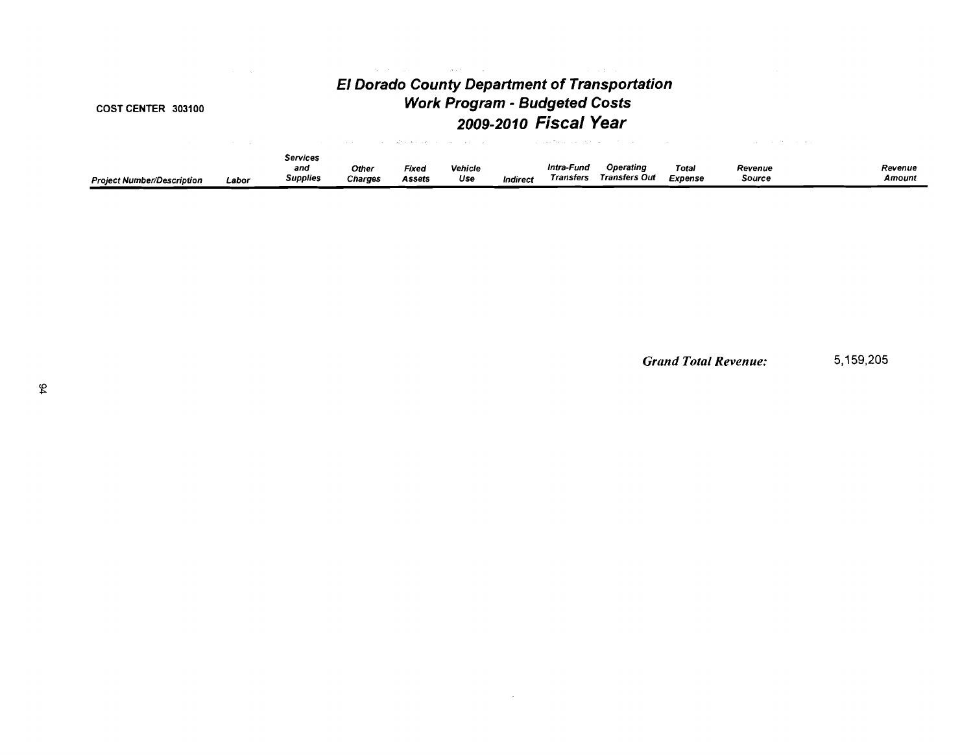#### **COST CENTER 303100**

# **El Dorado County Department of Transportation Work Program** - **Budgeted Costs 2009-2010 Fiscal Year**

 $\label{eq:3.1} \mathcal{O}(\mathcal{O}(\log n) \cdot \mathcal{O}(\log n)) \leq \mathcal{O}(\log n) \leq \mathcal{O}(\log n) \leq \mathcal{O}(\log n)$ 

|                                   |       | <b>Services</b> |                |        |                |          |            |               |         |         |         |
|-----------------------------------|-------|-----------------|----------------|--------|----------------|----------|------------|---------------|---------|---------|---------|
|                                   |       | and             | Other          | Fixed  | <b>Vehicle</b> |          | Intra-Fund | Operating     | Total   | Revenue | Revenue |
| <b>Project Number/Description</b> | Labor | Supplies        | <b>Charges</b> | Assets | Use            | Indirect | Transfers  | Transfers Out | Expense | Source  | Amount  |

 $\mathcal{L}^{\text{max}}_{\text{max}}$ 

*Grand Total Revenue:* 5,159,205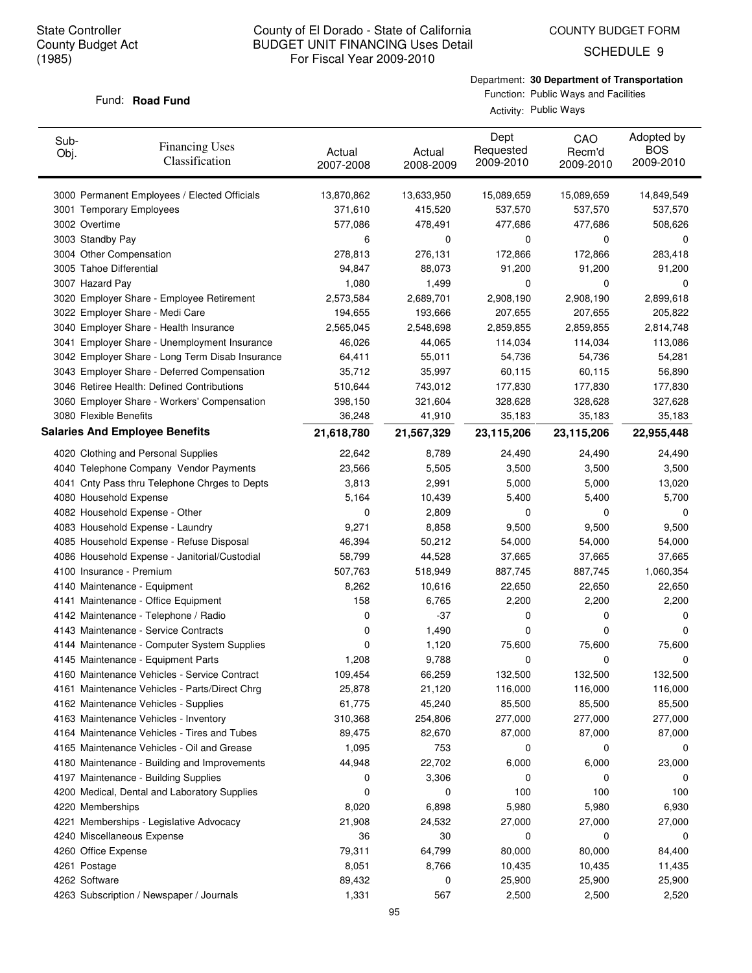COUNTY BUDGET FORM

SCHEDULE 9

# Department: **30 Department of Transportation** Function: Public Ways and Facilities

#### Fund: **Road Fund**

Activity: Public Ways

| Sub-<br>Obj. | <b>Financing Uses</b><br>Classification         | Actual<br>2007-2008 | Actual<br>2008-2009 | Dept<br>Requested<br>2009-2010 | CAO<br>Recm'd<br>2009-2010 | Adopted by<br><b>BOS</b><br>2009-2010 |
|--------------|-------------------------------------------------|---------------------|---------------------|--------------------------------|----------------------------|---------------------------------------|
|              | 3000 Permanent Employees / Elected Officials    | 13,870,862          | 13,633,950          | 15,089,659                     | 15,089,659                 | 14,849,549                            |
|              | 3001 Temporary Employees                        | 371,610             | 415,520             | 537,570                        | 537,570                    | 537,570                               |
|              | 3002 Overtime                                   | 577,086             | 478,491             | 477,686                        | 477,686                    | 508,626                               |
|              | 3003 Standby Pay                                | 6                   | 0                   | 0                              | 0                          | 0                                     |
|              | 3004 Other Compensation                         | 278,813             | 276,131             | 172,866                        | 172,866                    | 283,418                               |
|              | 3005 Tahoe Differential                         | 94,847              | 88,073              | 91,200                         | 91,200                     | 91,200                                |
|              | 3007 Hazard Pay                                 | 1,080               | 1,499               | 0                              | 0                          | 0                                     |
|              | 3020 Employer Share - Employee Retirement       | 2,573,584           | 2,689,701           | 2,908,190                      | 2,908,190                  | 2,899,618                             |
|              | 3022 Employer Share - Medi Care                 | 194,655             | 193,666             | 207,655                        | 207,655                    | 205,822                               |
|              | 3040 Employer Share - Health Insurance          | 2,565,045           | 2,548,698           | 2,859,855                      | 2,859,855                  | 2,814,748                             |
|              | 3041 Employer Share - Unemployment Insurance    | 46,026              | 44,065              | 114,034                        | 114,034                    | 113,086                               |
|              | 3042 Employer Share - Long Term Disab Insurance | 64,411              | 55,011              | 54,736                         | 54,736                     | 54,281                                |
|              | 3043 Employer Share - Deferred Compensation     | 35,712              | 35,997              | 60,115                         | 60,115                     | 56,890                                |
|              | 3046 Retiree Health: Defined Contributions      | 510,644             | 743,012             | 177,830                        | 177,830                    | 177,830                               |
|              | 3060 Employer Share - Workers' Compensation     | 398,150             | 321,604             | 328,628                        | 328,628                    | 327,628                               |
|              | 3080 Flexible Benefits                          | 36,248              | 41,910              | 35,183                         | 35,183                     | 35,183                                |
|              | <b>Salaries And Employee Benefits</b>           | 21,618,780          | 21,567,329          | 23,115,206                     | 23,115,206                 | 22,955,448                            |
|              | 4020 Clothing and Personal Supplies             | 22,642              | 8,789               | 24,490                         | 24,490                     | 24,490                                |
|              | 4040 Telephone Company Vendor Payments          | 23,566              | 5,505               | 3,500                          | 3,500                      | 3,500                                 |
|              | 4041 Cnty Pass thru Telephone Chrges to Depts   | 3,813               | 2,991               | 5,000                          | 5,000                      | 13,020                                |
|              | 4080 Household Expense                          | 5,164               | 10,439              | 5,400                          | 5,400                      | 5,700                                 |
|              | 4082 Household Expense - Other                  | 0                   | 2,809               | 0                              | $\Omega$                   | 0                                     |
|              | 4083 Household Expense - Laundry                | 9,271               | 8,858               | 9,500                          | 9,500                      | 9,500                                 |
|              | 4085 Household Expense - Refuse Disposal        | 46,394              | 50,212              | 54,000                         | 54,000                     | 54,000                                |
|              | 4086 Household Expense - Janitorial/Custodial   | 58,799              | 44,528              | 37,665                         | 37,665                     | 37,665                                |
|              | 4100 Insurance - Premium                        | 507,763             | 518,949             | 887,745                        | 887,745                    | 1,060,354                             |
|              | 4140 Maintenance - Equipment                    | 8,262               | 10,616              | 22,650                         | 22,650                     | 22,650                                |
|              | 4141 Maintenance - Office Equipment             | 158                 | 6,765               | 2,200                          | 2,200                      | 2,200                                 |
|              | 4142 Maintenance - Telephone / Radio            | 0                   | $-37$               | 0                              | 0                          | 0                                     |
|              | 4143 Maintenance - Service Contracts            | 0                   | 1,490               | 0                              | 0                          | 0                                     |
|              | 4144 Maintenance - Computer System Supplies     | 0                   | 1,120               | 75,600                         | 75,600                     | 75,600                                |
|              | 4145 Maintenance - Equipment Parts              | 1,208               | 9,788               | 0                              | 0                          | 0                                     |
|              | 4160 Maintenance Vehicles - Service Contract    | 109,454             | 66,259              | 132,500                        | 132,500                    | 132,500                               |
|              | 4161 Maintenance Vehicles - Parts/Direct Chrg   | 25,878              | 21,120              | 116,000                        | 116,000                    | 116,000                               |
|              | 4162 Maintenance Vehicles - Supplies            | 61,775              | 45,240              | 85,500                         | 85,500                     | 85,500                                |
|              | 4163 Maintenance Vehicles - Inventory           | 310,368             | 254,806             | 277,000                        | 277,000                    | 277,000                               |
|              | 4164 Maintenance Vehicles - Tires and Tubes     | 89,475              | 82,670              | 87,000                         | 87,000                     | 87,000                                |
|              | 4165 Maintenance Vehicles - Oil and Grease      | 1,095               | 753                 | 0                              | 0                          | 0                                     |
|              | 4180 Maintenance - Building and Improvements    | 44,948              | 22,702              | 6,000                          | 6,000                      | 23,000                                |
|              | 4197 Maintenance - Building Supplies            | 0                   | 3,306               | 0                              | 0                          | 0                                     |
|              | 4200 Medical, Dental and Laboratory Supplies    | 0                   | 0                   | 100                            | 100                        | 100                                   |
|              | 4220 Memberships                                | 8,020               | 6,898               | 5,980                          | 5,980                      | 6,930                                 |
|              | 4221 Memberships - Legislative Advocacy         | 21,908              | 24,532              | 27,000                         | 27,000                     | 27,000                                |
|              | 4240 Miscellaneous Expense                      | 36                  | 30                  | 0                              | 0                          | 0                                     |
|              | 4260 Office Expense                             | 79,311              | 64,799              | 80,000                         | 80,000                     | 84,400                                |
|              | 4261 Postage                                    | 8,051               | 8,766               | 10,435                         | 10,435                     | 11,435                                |
|              | 4262 Software                                   | 89,432              | 0                   | 25,900                         | 25,900                     | 25,900                                |
|              | 4263 Subscription / Newspaper / Journals        | 1,331               | 567                 | 2,500                          | 2,500                      | 2,520                                 |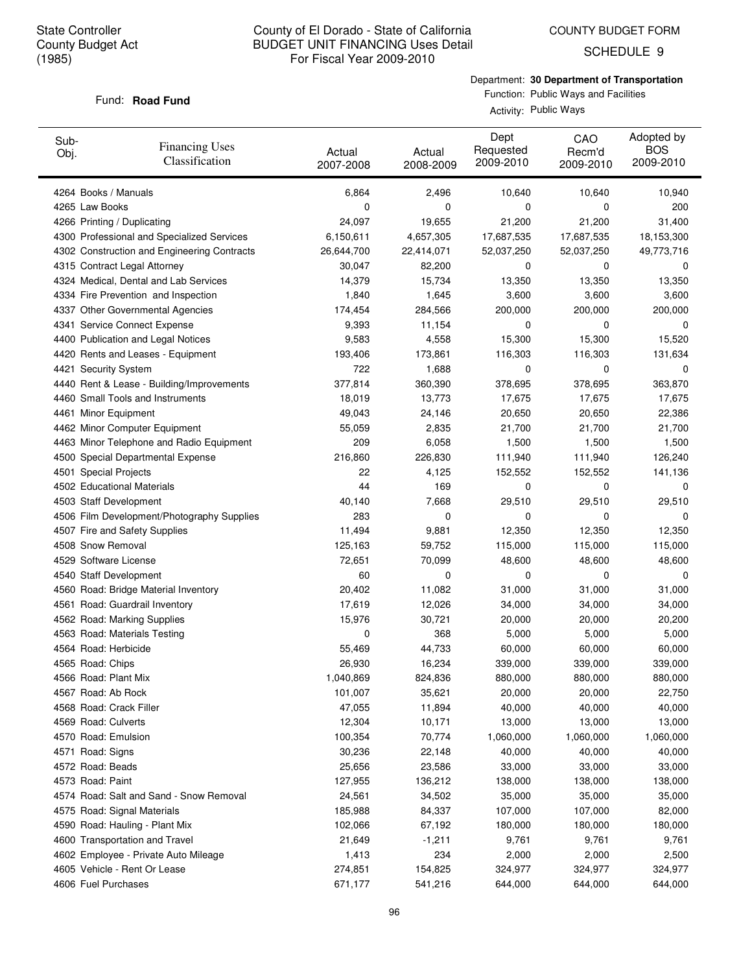SCHEDULE 9

# Department: **30 Department of Transportation** Function: Public Ways and Facilities

#### Fund: **Road Fund**

Activity: Public Ways

| Sub-<br>Obj.                | <b>Financing Uses</b><br>Classification     | Actual<br>2007-2008 | Actual<br>2008-2009 | Dept<br>Requested<br>2009-2010 | CAO<br>Recm'd<br>2009-2010 | Adopted by<br><b>BOS</b><br>2009-2010 |
|-----------------------------|---------------------------------------------|---------------------|---------------------|--------------------------------|----------------------------|---------------------------------------|
| 4264 Books / Manuals        |                                             | 6,864               | 2,496               | 10,640                         | 10,640                     | 10,940                                |
| 4265 Law Books              |                                             | 0                   | 0                   | 0                              | 0                          | 200                                   |
| 4266 Printing / Duplicating |                                             | 24,097              | 19,655              | 21,200                         | 21,200                     | 31,400                                |
|                             | 4300 Professional and Specialized Services  | 6,150,611           | 4,657,305           | 17,687,535                     | 17,687,535                 | 18,153,300                            |
|                             | 4302 Construction and Engineering Contracts | 26,644,700          | 22,414,071          | 52,037,250                     | 52,037,250                 | 49,773,716                            |
|                             | 4315 Contract Legal Attorney                | 30,047              | 82,200              | 0                              | 0                          | 0                                     |
|                             | 4324 Medical, Dental and Lab Services       | 14,379              | 15,734              | 13,350                         | 13,350                     | 13,350                                |
|                             | 4334 Fire Prevention and Inspection         | 1,840               | 1,645               | 3,600                          | 3,600                      | 3,600                                 |
|                             | 4337 Other Governmental Agencies            | 174,454             | 284,566             | 200,000                        | 200,000                    | 200,000                               |
|                             | 4341 Service Connect Expense                | 9,393               | 11,154              | 0                              | 0                          | 0                                     |
|                             | 4400 Publication and Legal Notices          | 9,583               | 4,558               | 15,300                         | 15,300                     | 15,520                                |
|                             | 4420 Rents and Leases - Equipment           | 193,406             | 173,861             | 116,303                        | 116,303                    | 131,634                               |
| 4421 Security System        |                                             | 722                 | 1,688               | 0                              | 0                          | 0                                     |
|                             | 4440 Rent & Lease - Building/Improvements   | 377,814             | 360,390             | 378,695                        | 378,695                    | 363,870                               |
|                             | 4460 Small Tools and Instruments            | 18,019              | 13,773              | 17,675                         | 17,675                     | 17,675                                |
| 4461 Minor Equipment        |                                             | 49,043              | 24,146              | 20,650                         | 20,650                     | 22,386                                |
|                             | 4462 Minor Computer Equipment               | 55,059              | 2,835               | 21,700                         | 21,700                     | 21,700                                |
|                             | 4463 Minor Telephone and Radio Equipment    | 209                 | 6,058               | 1,500                          | 1,500                      | 1,500                                 |
|                             | 4500 Special Departmental Expense           | 216,860             | 226,830             | 111,940                        | 111,940                    | 126,240                               |
| 4501 Special Projects       |                                             | 22                  | 4,125               | 152,552                        | 152,552                    | 141,136                               |
| 4502 Educational Materials  |                                             | 44                  | 169                 | 0                              | 0                          | 0                                     |
| 4503 Staff Development      |                                             | 40,140              | 7,668               | 29,510                         | 29,510                     | 29,510                                |
|                             | 4506 Film Development/Photography Supplies  | 283                 | 0                   | 0                              | 0                          | 0                                     |
|                             | 4507 Fire and Safety Supplies               | 11,494              | 9,881               | 12,350                         | 12,350                     | 12,350                                |
| 4508 Snow Removal           |                                             | 125,163             | 59,752              | 115,000                        | 115,000                    | 115,000                               |
| 4529 Software License       |                                             | 72,651              | 70,099              | 48,600                         | 48,600                     | 48,600                                |
| 4540 Staff Development      |                                             | 60                  | 0                   | 0                              | 0                          | 0                                     |
|                             | 4560 Road: Bridge Material Inventory        | 20,402              | 11,082              | 31,000                         | 31,000                     | 31,000                                |
|                             | 4561 Road: Guardrail Inventory              | 17,619              | 12,026              | 34,000                         | 34,000                     | 34,000                                |
|                             |                                             | 15,976              | 30,721              | 20,000                         | 20,000                     | 20,200                                |
|                             | 4562 Road: Marking Supplies                 |                     |                     |                                |                            |                                       |
|                             | 4563 Road: Materials Testing                | 0                   | 368                 | 5,000                          | 5,000                      | 5,000                                 |
| 4564 Road: Herbicide        |                                             | 55,469              | 44,733              | 60,000                         | 60,000                     | 60,000<br>339,000                     |
| 4565 Road: Chips            |                                             | 26,930              | 16,234              | 339,000                        | 339,000                    |                                       |
| 4566 Road: Plant Mix        |                                             | 1,040,869           | 824,836             | 880,000                        | 880,000                    | 880,000                               |
| 4567 Road: Ab Rock          |                                             | 101,007             | 35,621              | 20,000                         | 20,000                     | 22,750                                |
| 4568 Road: Crack Filler     |                                             | 47,055              | 11,894              | 40,000                         | 40,000                     | 40,000                                |
| 4569 Road: Culverts         |                                             | 12,304              | 10,171              | 13,000                         | 13,000                     | 13,000                                |
| 4570 Road: Emulsion         |                                             | 100,354             | 70,774              | 1,060,000                      | 1,060,000                  | 1,060,000                             |
| 4571 Road: Signs            |                                             | 30,236              | 22,148              | 40,000                         | 40,000                     | 40,000                                |
| 4572 Road: Beads            |                                             | 25,656              | 23,586              | 33,000                         | 33,000                     | 33,000                                |
| 4573 Road: Paint            |                                             | 127,955             | 136,212             | 138,000                        | 138,000                    | 138,000                               |
|                             | 4574 Road: Salt and Sand - Snow Removal     | 24,561              | 34,502              | 35,000                         | 35,000                     | 35,000                                |
|                             | 4575 Road: Signal Materials                 | 185,988             | 84,337              | 107,000                        | 107,000                    | 82,000                                |
|                             | 4590 Road: Hauling - Plant Mix              | 102,066             | 67,192              | 180,000                        | 180,000                    | 180,000                               |
|                             | 4600 Transportation and Travel              | 21,649              | $-1,211$            | 9,761                          | 9,761                      | 9,761                                 |
|                             | 4602 Employee - Private Auto Mileage        | 1,413               | 234                 | 2,000                          | 2,000                      | 2,500                                 |
|                             | 4605 Vehicle - Rent Or Lease                | 274,851             | 154,825             | 324,977                        | 324,977                    | 324,977                               |
| 4606 Fuel Purchases         |                                             | 671,177             | 541,216             | 644,000                        | 644,000                    | 644,000                               |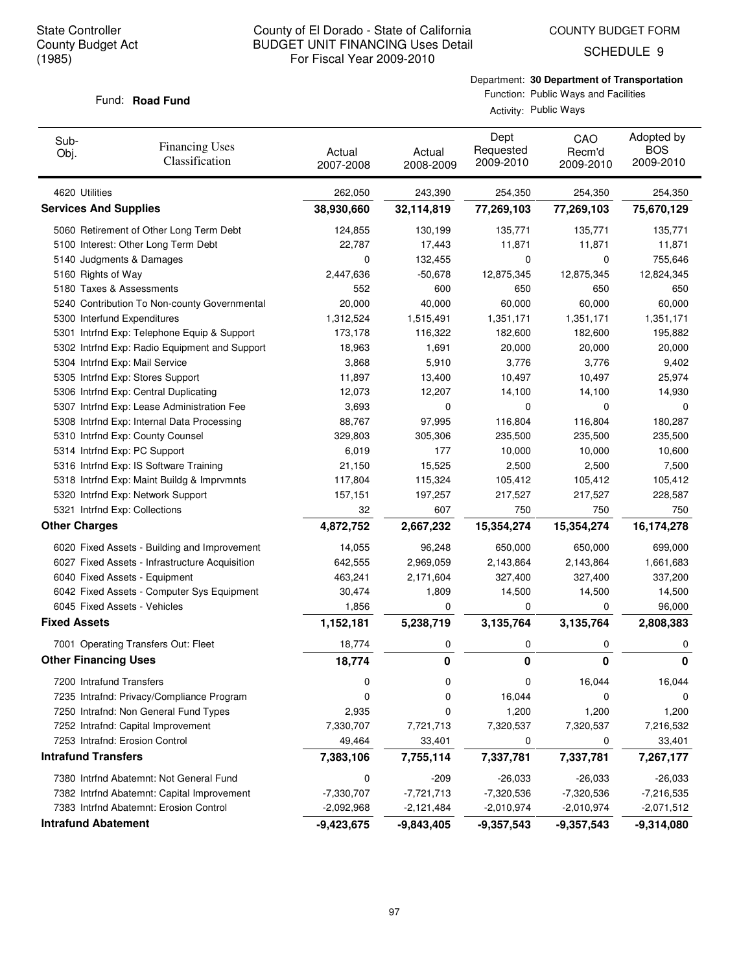SCHEDULE 9

# Department: **30 Department of Transportation**

#### Fund: **Road Fund**

Function: Public Ways and Facilities Activity: Public Ways

| Sub-<br>Obj.                | <b>Financing Uses</b><br>Classification                            | Actual<br>2007-2008 | Actual<br>2008-2009 | Dept<br>Requested<br>2009-2010 | CAO<br>Recm'd<br>2009-2010 | Adopted by<br><b>BOS</b><br>2009-2010 |
|-----------------------------|--------------------------------------------------------------------|---------------------|---------------------|--------------------------------|----------------------------|---------------------------------------|
| 4620 Utilities              |                                                                    | 262,050             | 243,390             | 254,350                        | 254,350                    | 254,350                               |
|                             | <b>Services And Supplies</b>                                       | 38,930,660          | 32,114,819          | 77,269,103                     | 77,269,103                 | 75,670,129                            |
|                             | 5060 Retirement of Other Long Term Debt                            | 124,855             | 130,199             | 135,771                        | 135,771                    | 135,771                               |
|                             | 5100 Interest: Other Long Term Debt                                | 22,787              | 17,443              | 11,871                         | 11,871                     | 11,871                                |
|                             | 5140 Judgments & Damages                                           | 0                   | 132,455             | 0                              | 0                          | 755,646                               |
| 5160 Rights of Way          |                                                                    | 2,447,636           | $-50,678$           | 12,875,345                     | 12,875,345                 | 12,824,345                            |
|                             | 5180 Taxes & Assessments                                           | 552                 | 600                 | 650                            | 650                        | 650                                   |
|                             | 5240 Contribution To Non-county Governmental                       | 20,000              | 40,000              | 60,000                         | 60,000                     | 60,000                                |
|                             | 5300 Interfund Expenditures                                        | 1,312,524           | 1,515,491           | 1,351,171                      | 1,351,171                  | 1,351,171                             |
|                             | 5301 Intrfnd Exp: Telephone Equip & Support                        | 173,178             | 116,322             | 182,600                        | 182,600                    | 195,882                               |
|                             | 5302 Intrfnd Exp: Radio Equipment and Support                      | 18,963              | 1,691               | 20,000                         | 20,000                     | 20,000                                |
|                             | 5304 Intrfnd Exp: Mail Service                                     | 3,868               | 5,910               | 3,776                          | 3,776                      | 9,402                                 |
|                             | 5305 Intrfnd Exp: Stores Support                                   | 11,897              | 13,400              | 10,497                         | 10,497                     | 25,974                                |
|                             | 5306 Intrfnd Exp: Central Duplicating                              | 12,073              | 12,207              | 14,100                         | 14,100                     | 14,930                                |
|                             | 5307 Intrfnd Exp: Lease Administration Fee                         | 3,693               | 0                   | 0                              | 0                          | 0                                     |
|                             | 5308 Intrfnd Exp: Internal Data Processing                         | 88,767              | 97,995              | 116,804                        | 116,804                    | 180,287                               |
|                             | 5310 Intrfnd Exp: County Counsel                                   | 329,803             | 305,306             | 235,500                        | 235,500                    | 235,500                               |
|                             | 5314 Intrfnd Exp: PC Support                                       | 6,019               | 177                 | 10,000                         | 10,000                     | 10,600                                |
|                             | 5316 Intrfnd Exp: IS Software Training                             | 21,150              | 15,525              | 2,500                          | 2,500                      | 7,500                                 |
|                             | 5318 Intrfnd Exp: Maint Buildg & Imprvmnts                         | 117,804             | 115,324             | 105,412                        | 105,412<br>217,527         | 105,412                               |
|                             | 5320 Intrfnd Exp: Network Support<br>5321 Intrfnd Exp: Collections | 157,151<br>32       | 197,257<br>607      | 217,527<br>750                 | 750                        | 228,587<br>750                        |
| <b>Other Charges</b>        |                                                                    |                     |                     |                                |                            |                                       |
|                             |                                                                    | 4,872,752           | 2,667,232           | 15,354,274                     | 15,354,274                 | 16,174,278                            |
|                             | 6020 Fixed Assets - Building and Improvement                       | 14,055              | 96,248              | 650,000                        | 650,000                    | 699,000                               |
|                             | 6027 Fixed Assets - Infrastructure Acquisition                     | 642,555             | 2,969,059           | 2,143,864                      | 2,143,864                  | 1,661,683                             |
|                             | 6040 Fixed Assets - Equipment                                      | 463,241             | 2,171,604           | 327,400                        | 327,400                    | 337,200                               |
|                             | 6042 Fixed Assets - Computer Sys Equipment                         | 30,474              | 1,809               | 14,500                         | 14,500                     | 14,500                                |
|                             | 6045 Fixed Assets - Vehicles                                       | 1,856               | 0                   | 0                              | 0                          | 96,000                                |
| <b>Fixed Assets</b>         |                                                                    | 1,152,181           | 5,238,719           | 3,135,764                      | 3,135,764                  | 2,808,383                             |
|                             | 7001 Operating Transfers Out: Fleet                                | 18,774              | 0                   | 0                              | 0                          | 0                                     |
| <b>Other Financing Uses</b> |                                                                    | 18,774              | 0                   | 0                              | 0                          | 0                                     |
|                             | 7200 Intrafund Transfers                                           | 0                   | 0                   | 0                              | 16,044                     | 16,044                                |
|                             | 7235 Intrafnd: Privacy/Compliance Program                          | 0                   | 0                   | 16,044                         | 0                          | 0                                     |
|                             | 7250 Intrafnd: Non General Fund Types                              | 2,935               | 0                   | 1,200                          | 1,200                      | 1,200                                 |
|                             | 7252 Intrafnd: Capital Improvement                                 | 7,330,707           | 7,721,713           | 7,320,537                      | 7,320,537                  | 7,216,532                             |
|                             | 7253 Intrafnd: Erosion Control                                     | 49,464              | 33,401              | 0                              | 0                          | 33,401                                |
| <b>Intrafund Transfers</b>  |                                                                    | 7,383,106           | 7,755,114           | 7,337,781                      | 7,337,781                  | 7,267,177                             |
|                             | 7380 Intrfnd Abatemnt: Not General Fund                            | 0                   | $-209$              | $-26,033$                      | $-26,033$                  | $-26,033$                             |
|                             | 7382 Intrfnd Abatemnt: Capital Improvement                         | $-7,330,707$        | $-7,721,713$        | $-7,320,536$                   | $-7,320,536$               | $-7,216,535$                          |
|                             | 7383 Intrfnd Abatemnt: Erosion Control                             | $-2,092,968$        | $-2,121,484$        | $-2,010,974$                   | $-2,010,974$               | $-2,071,512$                          |
| <b>Intrafund Abatement</b>  |                                                                    | $-9,423,675$        | $-9,843,405$        | $-9,357,543$                   | $-9,357,543$               | $-9,314,080$                          |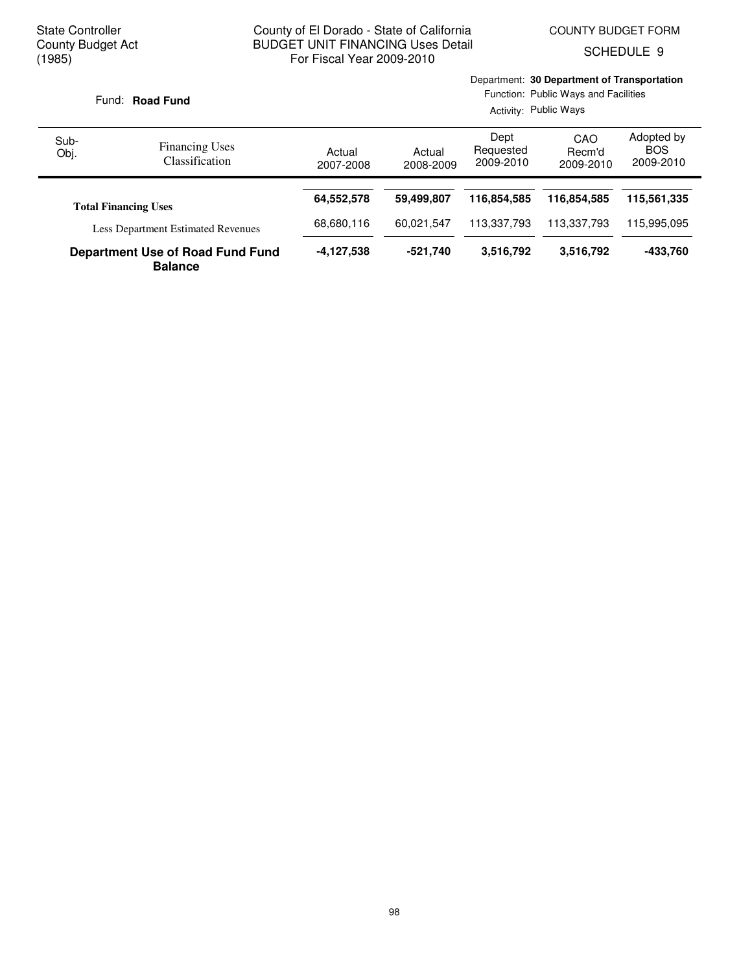Department: **30 Department of Transportation**

SCHEDULE 9

|              | Fund: Road Fund                                                          |                     |                     | Activity: Public Ways          | Function: Public Ways and Facilities |                                       |
|--------------|--------------------------------------------------------------------------|---------------------|---------------------|--------------------------------|--------------------------------------|---------------------------------------|
| Sub-<br>Obj. | <b>Financing Uses</b><br>Classification                                  | Actual<br>2007-2008 | Actual<br>2008-2009 | Dept<br>Requested<br>2009-2010 | CAO<br>Recm'd<br>2009-2010           | Adopted by<br><b>BOS</b><br>2009-2010 |
|              |                                                                          | 64,552,578          | 59,499,807          | 116.854.585                    | 116.854.585                          | 115,561,335                           |
|              | <b>Total Financing Uses</b><br><b>Less Department Estimated Revenues</b> | 68,680,116          | 60.021.547          | 113,337,793                    | 113.337.793                          | 115.995.095                           |
|              | <b>Department Use of Road Fund Fund</b><br><b>Balance</b>                | -4,127,538          | $-521,740$          | 3,516,792                      | 3,516,792                            | -433,760                              |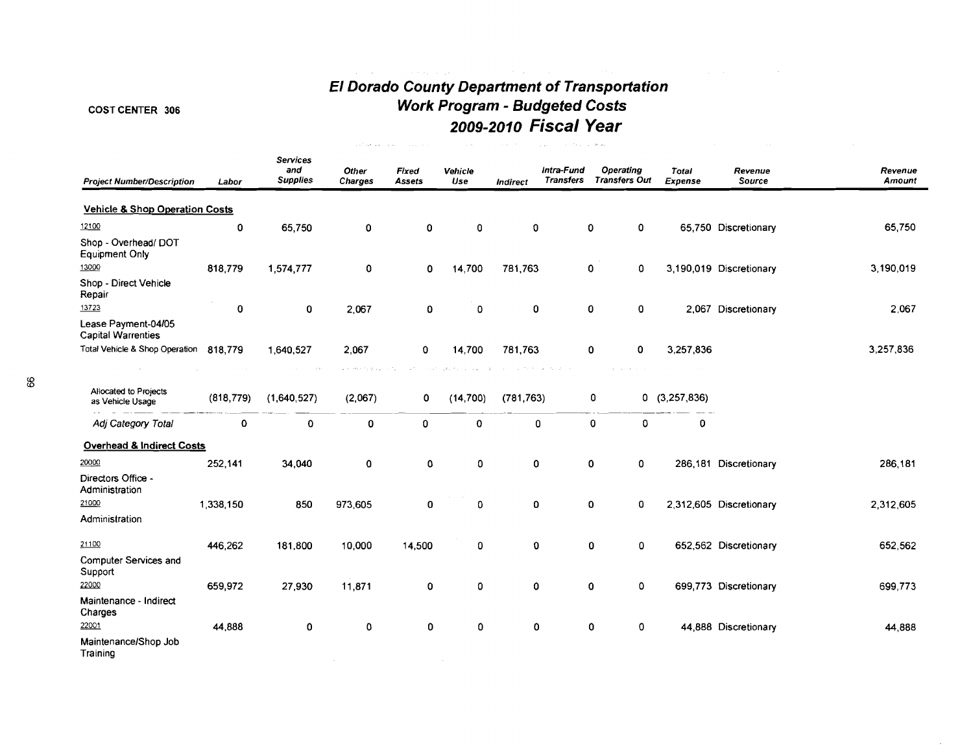# **El Dorado County Department of Transporta tion**  COST CENTER 306 **Work Program** - **Budgeted Costs 2009-2010 Fiscal Year**

|                                                  |            |                                    | and low and looking  | <b>Contractor</b> | 12.50           | $\sim$ 100 $\mu$ | starting the project<br>$\sim$ $\sim$ |                                          |                         |                         |                   |
|--------------------------------------------------|------------|------------------------------------|----------------------|-------------------|-----------------|------------------|---------------------------------------|------------------------------------------|-------------------------|-------------------------|-------------------|
| <b>Project Number/Description</b>                | Labor      | Services<br>and<br><b>Supplies</b> | Other<br>Charges     | Fixed<br>Assets   | Vehicle<br>Use  | Indirect         | Intra-Fund<br>Transfers               | <b>Operating</b><br><b>Transfers Out</b> | <b>Total</b><br>Expense | Revenue<br>Source       | Revenue<br>Amount |
| <b>Vehicle &amp; Shop Operation Costs</b>        |            |                                    |                      |                   |                 |                  |                                       |                                          |                         |                         |                   |
| 12100                                            | 0          | 65,750                             | 0                    | 0                 | 0               | 0                |                                       | $\mathbf 0$<br>0                         |                         | 65,750 Discretionary    | 65,750            |
| Shop - Overhead/ DOT<br><b>Equipment Only</b>    |            |                                    |                      |                   |                 |                  |                                       |                                          |                         |                         |                   |
| 13000                                            | 818,779    | 1,574,777                          | 0                    | 0                 | 14,700          | 781,763          |                                       | 0<br>0                                   |                         | 3,190,019 Discretionary | 3,190,019         |
| Shop - Direct Vehicle<br>Repair                  |            |                                    |                      |                   |                 |                  |                                       |                                          |                         |                         |                   |
| 13723                                            | 0          | 0                                  | 2,067                | 0                 | 0               | 0                |                                       | 0<br>0                                   |                         | 2,067 Discretionary     | 2,067             |
| Lease Payment-04/05<br><b>Capital Warrenties</b> |            |                                    |                      |                   |                 |                  |                                       |                                          |                         |                         |                   |
| Total Vehicle & Shop Operation 818,779           |            | 1,640,527                          | 2,067                | 0                 | 14,700          | 781,763          |                                       | 0<br>0                                   | 3,257,836               |                         | 3,257,836         |
|                                                  |            | $\sim 100$                         | and other financials |                   | advertisers and |                  | call to the actual at the             | and the state                            |                         |                         |                   |
| Allocated to Projects<br>as Vehicle Usage        | (818, 779) | (1,640,527)                        | (2,067)              | 0                 | (14, 700)       | (781, 763)       |                                       | 0                                        | 0(3,257,836)            |                         |                   |
| Adj Category Total                               | 0          | 0                                  | 0                    | 0                 | 0               | 0                |                                       | 0<br>0                                   | 0                       |                         |                   |
| <b>Overhead &amp; Indirect Costs</b>             |            |                                    |                      |                   |                 |                  |                                       |                                          |                         |                         |                   |
| 20000                                            | 252,141    | 34,040                             | 0                    | 0                 | 0               | 0                |                                       | 0<br>0                                   |                         | 286,181 Discretionary   | 286,181           |
| Directors Office -<br>Administration             |            |                                    |                      |                   |                 |                  |                                       |                                          |                         |                         |                   |
| 21000                                            | 1 338 150  | 850                                | 973,605              | 0                 | 0               | 0                |                                       | $\mathbf 0$<br>0                         |                         | 2,312,605 Discretionary | 2,312,605         |
| Administration                                   |            |                                    |                      |                   |                 |                  |                                       |                                          |                         |                         |                   |
| 21100                                            | 446,262    | 181,800                            | 10,000               | 14,500            | 0               | 0                |                                       | 0<br>0                                   |                         | 652,562 Discretionary   | 652,562           |
| Computer Services and<br>Support                 |            |                                    |                      |                   |                 |                  |                                       |                                          |                         |                         |                   |
| 22000                                            | 659.972    | 27,930                             | 11,871               | 0                 | 0               | 0                |                                       | 0<br>0                                   |                         | 699,773 Discretionary   | 699,773           |
| Maintenance - Indirect<br>Charges                |            |                                    |                      |                   |                 |                  |                                       |                                          |                         |                         |                   |
| 22001                                            | 44,888     | 0                                  | 0                    | 0                 | $\mathbf 0$     | 0                |                                       | 0<br>$\mathbf 0$                         |                         | 44,888 Discretionary    | 44,888            |
| Maintenance/Shop Job<br>Training                 |            |                                    |                      |                   |                 |                  |                                       |                                          |                         |                         |                   |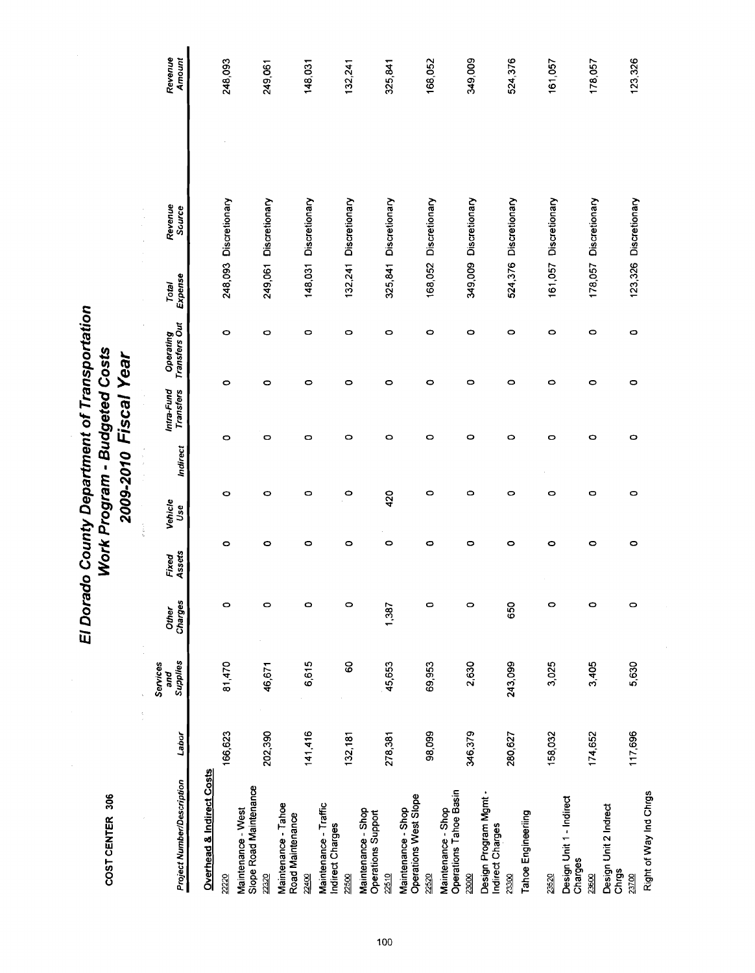COST CENTER 306

# El Dorado County Department of Transportation Work Program - Budgeted Costs 2009-2010 Fiscal Year

Revenue<br>Amount 349,009 123,326 248,093  $132,241$ 168,052 524,376 161,057 178,057 249,061 148,031 325,841 248,093 Discretionary 249,061 Discretionary 148,031 Discretionary 132,241 Discretionary 325,841 Discretionary 168,052 Discretionary 349,009 Discretionary 524,376 Discretionary 161.057 Discretionary 178,057 Discretionary 123,326 Discretionary Revenue<br>Source Total<br>Expense Intra-Fund Operating<br>Transfers Transfers Out  $\circ$  $\circ$  $\circ$  $\circ$  $\circ$  $\circ$  $\circ$  $\circ$  $\circ$  $\circ$  $\circ$  $\circ$  $\circ$  $\circ$  $\circ$  $\circ$  $\circ$  $\circ$  $\circ$ O  $\circ$  $\circ$  $\circ$  $\bullet$  $\circ$  $\circ$  $\circ$  $\circ$ Ō o  $\circ$  $\bullet$  $\bullet$ Indirect  $\circ$  $\circ$  $\circ$  $\circ$  $\circ$ 420  $\circ$  $\circ$  $\circ$ o  $\bullet$ Vehicle<br>Use  $\circ$  $\circ$  $\circ$  $\circ$  $\circ$  $\circ$  $\circ$ o  $\circ$  $\circ$  $\circ$ Fixed<br>Assets Other<br>Charges 650  $\circ$  $\circ$  $\circ$  $\circ$ 1,387  $\circ$  $\circ$  $\circ$  $\circ$  $\bullet$ Services<br>and<br>Supplies 6,615 81,470 46,671 80 45,653 69,953 2,630 243,099 3,025 3,405 5,630 ł 202,390 141,416 117,696 166,623 98,099 346,379 280,627 174,652  $132,181$ 278,381 158,032 Labor Overhead & Indirect Costs Project Number/Description Maintenance - West<br>Slope Road Maintenance Maintenance - Shop<br>Operations Tahoe Basin Right of Way Ind Chrgs Design Program Mgmt -<br>Indirect Charges Maintenance - Shop<br>Operations West Slope Design Unit 1 - Indirect Maintenance - Tahoe Maintenance - Traffic Design Unit 2 Indrect Maintenance - Shop<br>Operations Support Tahoe Engineering Road Maintenance Indirect Charges Charges Chrgs 22510 23000 23300 23600 22220 2320 22400 2500 22520 23520 23700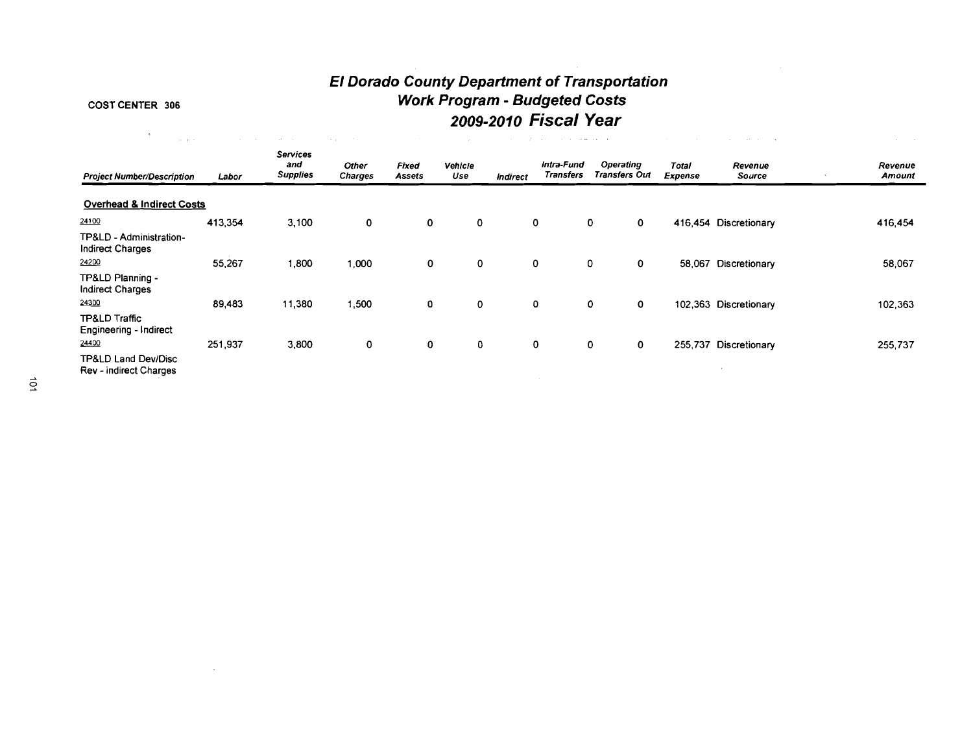# **El Dorado County Department of Transportation COST CENTER 306 Work Program** - **Budgeted Costs 2009-201 0 Fiscal Year**

 $\sim$ 

| - 40                                                        | <b>Carl Adams</b> | Art in                                    | <b>Contract</b><br>$\sigma = \rho$ . |                        |                |             | contract the contract of the gallery and the |                                   |                         |                       |                   |
|-------------------------------------------------------------|-------------------|-------------------------------------------|--------------------------------------|------------------------|----------------|-------------|----------------------------------------------|-----------------------------------|-------------------------|-----------------------|-------------------|
| <b>Project Number/Description</b>                           | Labor             | <b>Services</b><br>and<br><b>Supplies</b> | <b>Other</b><br><b>Charges</b>       | Fixed<br><b>Assets</b> | Vehicle<br>Use | Indirect    | Intra-Fund<br>Transfers                      | Operating<br><b>Transfers Out</b> | Total<br><b>Expense</b> | Revenue<br>Source     | Revenue<br>Amount |
| <b>Overhead &amp; Indirect Costs</b>                        |                   |                                           |                                      |                        |                |             |                                              |                                   |                         |                       |                   |
| 24100                                                       | 413,354           | 3,100                                     | $\mathbf 0$                          | $\mathbf 0$            | $\mathbf 0$    | $\mathbf 0$ |                                              | $\mathbf 0$<br>$\mathbf{o}$       |                         | 416,454 Discretionary | 416,454           |
| TP&LD - Administration-<br><b>Indirect Charges</b>          |                   |                                           |                                      |                        |                |             |                                              |                                   |                         |                       |                   |
| 24200                                                       | 55,267            | 1,800                                     | 1,000                                | $\mathbf 0$            | $\mathbf 0$    | $\mathbf 0$ |                                              | $\mathbf 0$<br>0                  | 58,067                  | Discretionary         | 58,067            |
| TP&LD Planning -<br>Indirect Charges                        |                   |                                           |                                      |                        |                |             |                                              |                                   |                         |                       |                   |
| 24300                                                       | 89,483            | 11,380                                    | 1,500                                | 0                      | $\mathbf 0$    | 0           |                                              | $\mathbf 0$<br>0                  |                         | 102,363 Discretionary | 102,363           |
| <b>TP&amp;LD Traffic</b><br>Engineering - Indirect<br>24400 | 251,937           | 3,800                                     | 0                                    | 0                      | 0              | 0           |                                              | 0<br>0                            |                         | 255,737 Discretionary | 255,737           |
| <b>TP&amp;LD Land Dev/Disc</b><br>Rev - indirect Charges    |                   |                                           |                                      |                        |                |             |                                              |                                   |                         |                       |                   |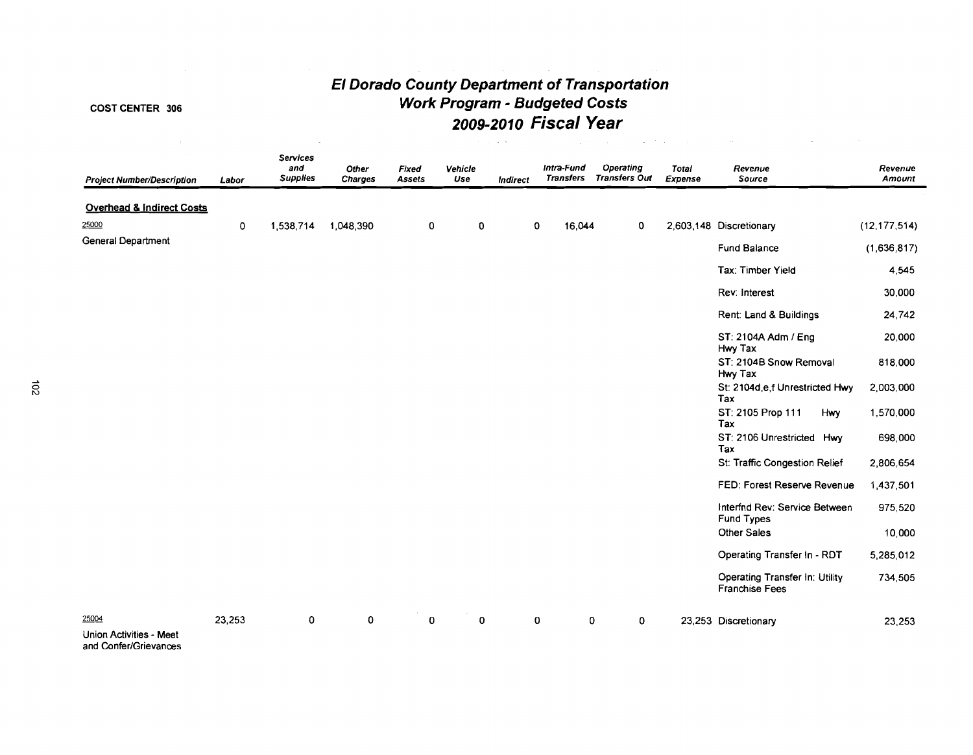# **El Dorado County Department of Transportation Work Program** - **Budgeted Costs 2009-2010 Fiscal Year**

# COST CENTER 306

25000

|                                   |             |                                    |                         |                 |                | the company of the |                                |        | and the same<br>the company of the company | <b>Contractor</b>              |                                        |                   |
|-----------------------------------|-------------|------------------------------------|-------------------------|-----------------|----------------|--------------------|--------------------------------|--------|--------------------------------------------|--------------------------------|----------------------------------------|-------------------|
| <b>Project Number/Description</b> | Labor       | Services<br>and<br><b>Supplies</b> | Other<br><b>Charges</b> | Fixed<br>Assets | Vehicle<br>Use | <b>Indirect</b>    | Intra-Fund<br><b>Transfers</b> |        | <b>Operating</b><br><b>Transfers Out</b>   | <b>Total</b><br><b>Expense</b> | Revenue<br>Source                      | Revenue<br>Amount |
| Overhead & Indirect Costs         |             |                                    |                         |                 |                |                    |                                |        |                                            |                                |                                        |                   |
| 25000                             | $\mathbf 0$ | 1,538,714                          | 1.048.390               | 0               | 0              |                    | 0                              | 16,044 | $\mathbf 0$                                |                                | 2,603,148 Discretionary                | (12, 177, 514)    |
| General Department                |             |                                    |                         |                 |                |                    |                                |        |                                            |                                | Fund Balance                           | (1,636,817)       |
|                                   |             |                                    |                         |                 |                |                    |                                |        |                                            |                                | Tax: Timber Yield                      | 4,545             |
|                                   |             |                                    |                         |                 |                |                    |                                |        |                                            |                                | Rev: Interest                          | 30,000            |
|                                   |             |                                    |                         |                 |                |                    |                                |        |                                            |                                | Rent: Land & Buildings                 | 24,742            |
|                                   |             |                                    |                         |                 |                |                    |                                |        |                                            |                                | ST: 2104A Adm / Eng<br>Hwy Tax         | 20,000            |
|                                   |             |                                    |                         |                 |                |                    |                                |        |                                            |                                | ST: 2104B Snow Removal<br>Hwy Tax      | 818,000           |
|                                   |             |                                    |                         |                 |                |                    |                                |        |                                            |                                | St: 2104d e f Unrestricted Hwy<br>Tax  | 2,003,000         |
|                                   |             |                                    |                         |                 |                |                    |                                |        |                                            |                                | ST: 2105 Prop 111<br><b>Hwy</b><br>Tax | 1,570,000         |
|                                   |             |                                    |                         |                 |                |                    |                                |        |                                            |                                | ST: 2106 Unrestricted Hwy<br>Tax       | 698,000           |

 $\vec{5}$ 

|                                                  |        |   |   |             |             |   |   |         | Tax                                                     |           |
|--------------------------------------------------|--------|---|---|-------------|-------------|---|---|---------|---------------------------------------------------------|-----------|
|                                                  |        |   |   |             |             |   |   |         | ST: 2106 Unrestricted Hwy<br>Tax                        | 698,000   |
|                                                  |        |   |   |             |             |   |   |         | St: Traffic Congestion Relief                           | 2,806,654 |
|                                                  |        |   |   |             |             |   |   |         | FED: Forest Reserve Revenue                             | 1,437,501 |
|                                                  |        |   |   |             |             |   |   |         | Interfnd Rev: Service Between<br><b>Fund Types</b>      | 975,520   |
|                                                  |        |   |   |             |             |   |   |         | <b>Other Sales</b>                                      | 10,000    |
|                                                  |        |   |   |             |             |   |   |         | Operating Transfer In - RDT                             | 5,285,012 |
|                                                  |        |   |   |             |             |   |   |         | Operating Transfer In: Utility<br><b>Franchise Fees</b> | 734,505   |
| 25004                                            | 23,253 | 0 | 0 | $\mathbf 0$ | $\mathbf 0$ | 0 | 0 | $\circ$ | 23,253 Discretionary                                    | 23,253    |
| Union Activities - Meet<br>and Confer/Grievances |        |   |   |             |             |   |   |         |                                                         |           |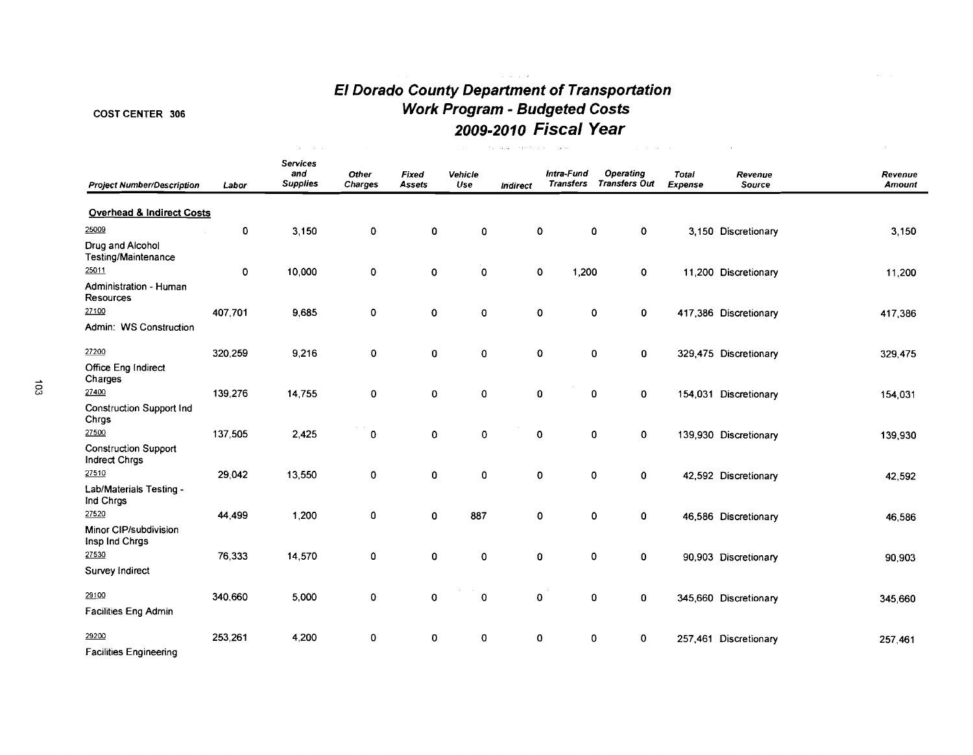# **El Dorado County Department of Transportation Work Program** - **Budgeted Costs 2009-20 10 Fiscal Year**

# COST CENTER 306

 $\Delta \sim 10^{11}$  km s  $^{-1}$ 

| <b>Project Number/Description</b>            | Labor       | <b>Services</b><br>and<br><b>Supplies</b> | Other<br>Charges | <b>Fixed</b><br><b>Assets</b> | Vehicle<br>Use | Indirect | Intra-Fund<br><b>Transfers</b>    | <b>Operating</b><br><b>Transfers Out</b> | <b>Total</b><br><b>Expense</b> | Revenue<br>Source     | Revenue<br><b>Amount</b> |
|----------------------------------------------|-------------|-------------------------------------------|------------------|-------------------------------|----------------|----------|-----------------------------------|------------------------------------------|--------------------------------|-----------------------|--------------------------|
| <b>Overhead &amp; Indirect Costs</b>         |             |                                           |                  |                               |                |          |                                   |                                          |                                |                       |                          |
| 25009                                        | $\mathbf 0$ | 3,150                                     | 0                | $\mathbf 0$                   | 0              |          | 0<br>$\mathbf 0$                  | $\mathbf 0$                              |                                | 3,150 Discretionary   | 3,150                    |
| Drug and Alcohol<br>Testing/Maintenance      |             |                                           |                  |                               |                |          |                                   |                                          |                                |                       |                          |
| 25011                                        | $\mathbf 0$ | 10,000                                    | 0                | 0                             | 0              |          | $\mathbf 0$<br>1,200              | $\mathbf 0$                              |                                | 11,200 Discretionary  | 11,200                   |
| Administration - Human<br>Resources          |             |                                           |                  |                               |                |          |                                   |                                          |                                |                       |                          |
| 27100                                        | 407,701     | 9,685                                     | 0                | 0                             | $\mathbf 0$    |          | $\pmb{0}$<br>$\mathbf 0$          | 0                                        |                                | 417,386 Discretionary | 417,386                  |
| Admin: WS Construction                       |             |                                           |                  |                               |                |          |                                   |                                          |                                |                       |                          |
| 27200                                        | 320,259     | 9,216                                     | 0                | $\mathbf 0$                   | $\pmb{0}$      |          | $\pmb{0}$                         | 0<br>0                                   |                                | 329,475 Discretionary | 329,475                  |
| Office Eng Indirect<br>Charges               |             |                                           |                  |                               |                |          |                                   |                                          |                                |                       |                          |
| 27400                                        | 139,276     | 14,755                                    | 0                | 0                             | 0              |          | $\pmb{0}$<br>0                    | $\mathbf 0$                              |                                | 154,031 Discretionary | 154,031                  |
| <b>Construction Support Ind</b><br>Chrgs     |             |                                           |                  |                               |                |          |                                   |                                          |                                |                       |                          |
| 27500                                        | 137,505     | 2,425                                     | 0                | $\mathbf 0$                   | 0              |          | 0<br>$\mathbf 0$                  | $\mathbf 0$                              |                                | 139,930 Discretionary | 139,930                  |
| <b>Construction Support</b><br>Indrect Chrgs |             |                                           |                  |                               |                |          |                                   |                                          |                                |                       |                          |
| 27510                                        | 29,042      | 13,550                                    | 0                | $\mathbf 0$                   | 0              |          | $\pmb{\mathsf{O}}$<br>$\mathbf 0$ | $\mathbf 0$                              |                                | 42,592 Discretionary  | 42,592                   |
| Lab/Materials Testing -<br>Ind Chrgs         |             |                                           |                  |                               |                |          |                                   |                                          |                                |                       |                          |
| 27520                                        | 44,499      | 1,200                                     | 0                | $\mathbf 0$                   | 887            |          | $\pmb{0}$<br>$\mathbf 0$          | 0                                        |                                | 46,586 Discretionary  | 46,586                   |
| Minor CIP/subdivision<br>Insp Ind Chrgs      |             |                                           |                  |                               |                |          |                                   |                                          |                                |                       |                          |
| 27530                                        | 76,333      | 14,570                                    | 0                | 0                             | 0              |          | 0<br>$\mathbf 0$                  | 0                                        |                                | 90,903 Discretionary  | 90,903                   |
| Survey Indirect                              |             |                                           |                  |                               |                |          |                                   |                                          |                                |                       |                          |
| 29100                                        | 340,660     | 5,000                                     | 0                | 0                             | 0              |          | $\pmb{\mathsf{O}}$<br>0           | 0                                        |                                | 345,660 Discretionary | 345,660                  |
| <b>Facilities Eng Admin</b>                  |             |                                           |                  |                               |                |          |                                   |                                          |                                |                       |                          |
| 29200                                        | 253,261     | 4,200                                     | 0                | $\circ$                       | 0              |          | 0<br>0                            | 0                                        |                                | 257,461 Discretionary | 257,461                  |
| <b>Facilities Engineering</b>                |             |                                           |                  |                               |                |          |                                   |                                          |                                |                       |                          |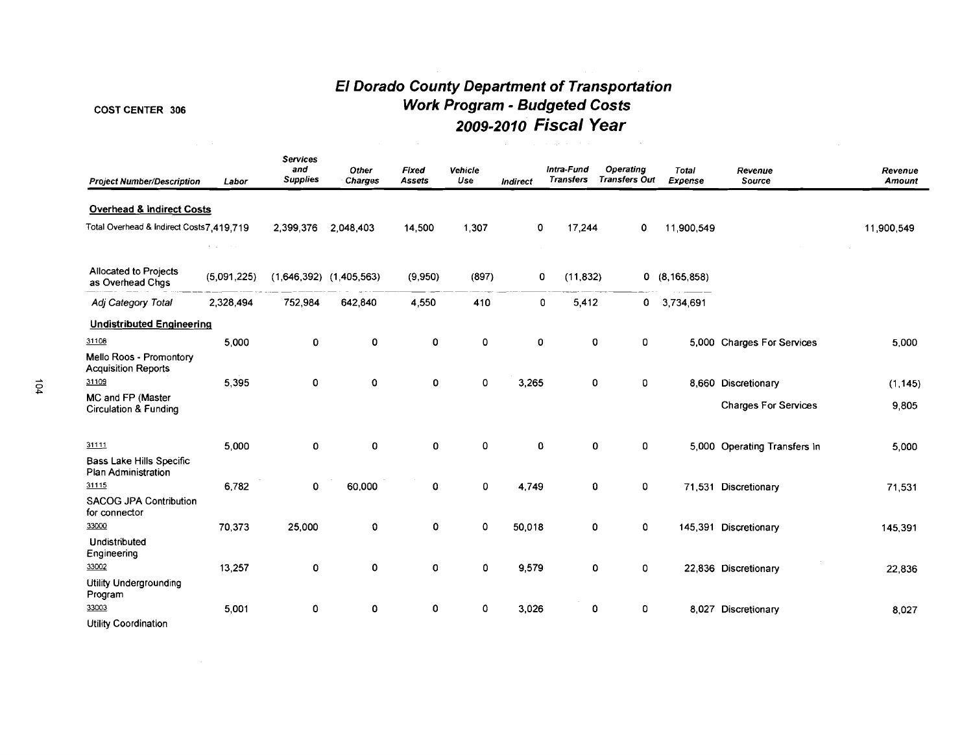# **€I Dorado County Department of Transportation**  COST CENTER 306 **Work Program** - **Budgeted Costs 2009-201 0 Fiscal Year**

| <b>Project Number/Description</b>                             | Labor                                | <b>Services</b><br>and<br><b>Supplies</b> | Other<br><b>Charges</b>     | <b>Fixed</b><br><b>Assets</b> | Vehicle<br>Use | <b>Indirect</b> | Intra-Fund<br><b>Transfers</b> | Operating<br><b>Transfers Out</b> | Total<br>Expense | Revenue<br>Source            | Revenue<br>Amount |
|---------------------------------------------------------------|--------------------------------------|-------------------------------------------|-----------------------------|-------------------------------|----------------|-----------------|--------------------------------|-----------------------------------|------------------|------------------------------|-------------------|
| <b>Overhead &amp; Indirect Costs</b>                          |                                      |                                           |                             |                               |                |                 |                                |                                   |                  |                              |                   |
| Total Overhead & Indirect Costs7,419,719                      | $\mathbf{E} = \mathbf{E} \mathbf{E}$ | 2,399,376                                 | 2,048,403                   | 14,500                        | 1,307          | 0               | 17,244                         | 0                                 | 11,900,549       |                              | 11,900,549        |
| Allocated to Projects<br>as Overhead Chgs                     | (5,091,225)                          |                                           | $(1,646,392)$ $(1,405,563)$ | (9,950)                       | (897)          |                 | 0<br>(11, 832)                 |                                   | 0(8, 165, 858)   |                              |                   |
| Adj Category Total                                            | 2,328,494                            | 752,984                                   | 642,840                     | 4,550                         | 410            |                 | 0<br>5,412                     | $\mathbf{0}$                      | 3.734,691        |                              |                   |
| <b>Undistributed Engineering</b>                              |                                      |                                           |                             |                               |                |                 |                                |                                   |                  |                              |                   |
| 31108                                                         | 5,000                                | 0                                         | 0                           | 0                             | 0              | $\pmb{0}$       | $\mathbf 0$                    | 0                                 |                  | 5,000 Charges For Services   | 5,000             |
| Mello Roos - Promontory<br><b>Acquisition Reports</b>         |                                      |                                           |                             |                               |                |                 |                                |                                   |                  |                              |                   |
| 31109                                                         | 5,395                                | 0                                         | 0                           | $\mathbf 0$                   | $\mathbf 0$    | 3,265           | 0                              | 0                                 |                  | 8,660 Discretionary          | (1, 145)          |
| MC and FP (Master<br><b>Circulation &amp; Funding</b>         |                                      |                                           |                             |                               |                |                 |                                |                                   |                  | <b>Charges For Services</b>  | 9,805             |
| 31111                                                         | 5,000                                | 0                                         | 0                           | 0                             | $\mathbf 0$    | 0               | 0                              | 0                                 |                  | 5,000 Operating Transfers In | 5,000             |
| <b>Bass Lake Hills Specific</b><br><b>Plan Administration</b> |                                      |                                           |                             |                               |                |                 |                                |                                   |                  |                              |                   |
| 31115                                                         | 6,782                                | 0                                         | 60,000                      | 0                             | 0              | 4,749           | 0                              | 0                                 |                  | 71,531 Discretionary         | 71,531            |
| <b>SACOG JPA Contribution</b><br>for connector                |                                      |                                           |                             |                               |                |                 |                                |                                   |                  |                              |                   |
| 33000                                                         | 70,373                               | 25,000                                    | 0                           | 0                             | 0              | 50,018          | 0                              | 0                                 |                  | 145,391 Discretionary        | 145,391           |
| Undistributed<br>Engineering                                  |                                      |                                           |                             |                               |                |                 |                                |                                   |                  |                              |                   |
| 33002                                                         | 13,257                               | 0                                         | 0                           | $\mathbf 0$                   | 0              | 9,579           | 0                              | 0                                 |                  | 22,836 Discretionary         | 22,836            |
| <b>Utility Undergrounding</b><br>Program                      |                                      |                                           |                             |                               |                |                 |                                |                                   |                  |                              |                   |
| 33003                                                         | 5,001                                | 0                                         | 0                           | 0                             | 0              | 3,026           | 0                              | 0                                 |                  | 8,027 Discretionary          | 8,027             |
| <b>Utility Coordination</b>                                   |                                      |                                           |                             |                               |                |                 |                                |                                   |                  |                              |                   |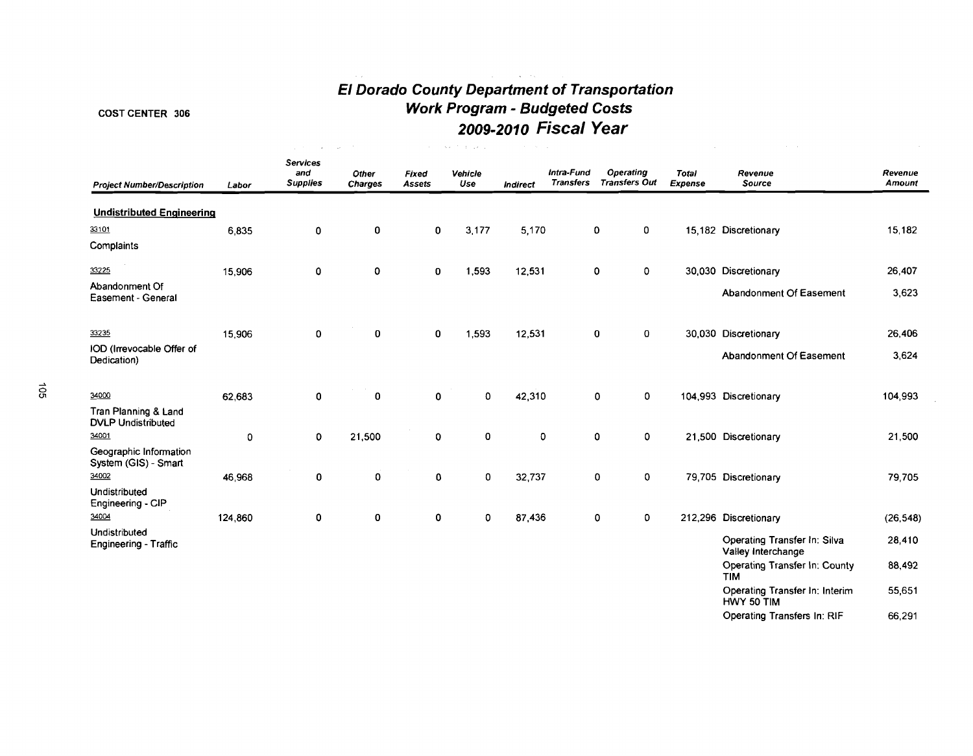# **El Dorado County Department of Transportation Work Program** - **Budgeted Costs 2009-2010 Fiscal Year**

# COST CENTER 306

|                                                   |         | $\sim$                                    | $\sim$                  |                 | Section Departure | contractors and |                                |                                   |                         |                                                    |                   |
|---------------------------------------------------|---------|-------------------------------------------|-------------------------|-----------------|-------------------|-----------------|--------------------------------|-----------------------------------|-------------------------|----------------------------------------------------|-------------------|
| <b>Project Number/Description</b>                 | Labor   | <b>Services</b><br>and<br><b>Supplies</b> | Other<br><b>Charges</b> | Fixed<br>Assets | Vehicle<br>Use    | Indirect        | Intra-Fund<br><b>Transfers</b> | Operating<br><b>Transfers Out</b> | <b>Total</b><br>Expense | Revenue<br>Source                                  | Revenue<br>Amount |
| <b>Undistributed Engineering</b>                  |         |                                           |                         |                 |                   |                 |                                |                                   |                         |                                                    |                   |
|                                                   |         |                                           |                         |                 |                   |                 |                                |                                   |                         |                                                    |                   |
| 33101                                             | 6,835   | 0                                         | 0                       | 0               | 3,177             | 5,170           |                                | 0<br>0                            |                         | 15,182 Discretionary                               | 15,182            |
| Complaints                                        |         |                                           |                         |                 |                   |                 |                                |                                   |                         |                                                    |                   |
| 33225                                             | 15,906  | 0                                         | 0                       | 0               | 1,593             | 12,531          |                                | 0<br>0                            |                         | 30,030 Discretionary                               | 26,407            |
| Abandonment Of<br>Easement - General              |         |                                           |                         |                 |                   |                 |                                |                                   |                         | Abandonment Of Easement                            | 3,623             |
| 33235                                             | 15,906  | 0                                         | 0                       | 0               | 1,593             | 12,531          |                                | 0<br>$\mathbf 0$                  |                         | 30,030 Discretionary                               | 26,406            |
| IOD (Irrevocable Offer of<br>Dedication)          |         |                                           |                         |                 |                   |                 |                                |                                   |                         | Abandonment Of Easement                            | 3,624             |
| 34000                                             | 62,683  | 0                                         | 0                       | 0               | 0                 | 42,310          |                                | $\mathbf 0$<br>0                  |                         | 104,993 Discretionary                              | 104,993           |
| Tran Planning & Land<br><b>DVLP Undistributed</b> |         |                                           |                         |                 |                   |                 |                                |                                   |                         |                                                    |                   |
| 34001                                             | 0       | $\mathbf 0$                               | 21,500                  | 0               | $\pmb{0}$         | 0               |                                | $\mathbf 0$<br>0                  |                         | 21,500 Discretionary                               | 21,500            |
| Geographic Information<br>System (GIS) - Smart    |         |                                           |                         |                 |                   |                 |                                |                                   |                         |                                                    |                   |
| 34002                                             | 46,968  | 0                                         | 0                       | 0               | 0                 | 32,737          |                                | $\mathbf{0}$<br>$\mathbf 0$       |                         | 79,705 Discretionary                               | 79,705            |
| Undistributed<br>Engineering - CIP                |         |                                           |                         |                 |                   |                 |                                |                                   |                         |                                                    |                   |
| 34004                                             | 124,860 | $\pmb{0}$                                 | 0                       | 0               | 0                 | 87,436          |                                | 0<br>0                            |                         | 212,296 Discretionary                              | (26, 548)         |
| Undistributed<br><b>Engineering - Traffic</b>     |         |                                           |                         |                 |                   |                 |                                |                                   |                         | Operating Transfer In: Silva<br>Valley Interchange | 28,410            |
|                                                   |         |                                           |                         |                 |                   |                 |                                |                                   |                         | Operating Transfer In: County<br><b>TIM</b>        | 88,492            |
|                                                   |         |                                           |                         |                 |                   |                 |                                |                                   |                         | Operating Transfer In: Interim<br>HWY 50 TIM       | 55,651            |

Operating Transfers In: RIF 66,291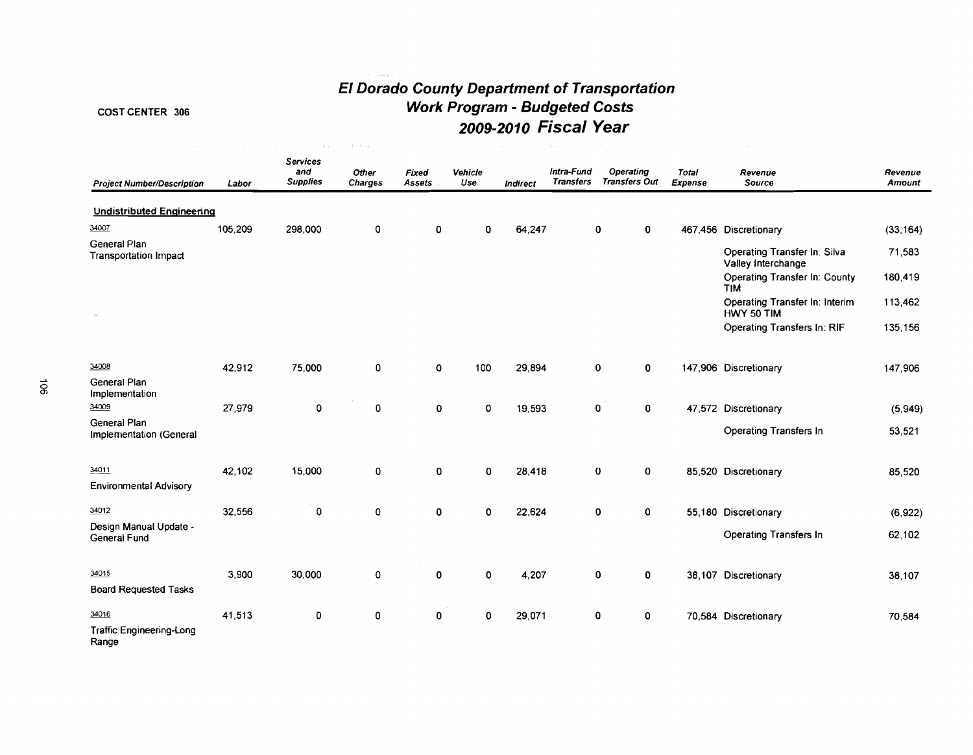# **El Dorado County Department of Transportation Work Program** - **Budgeted Costs 2009-2010 Fiscal Year**

# COST CENTER 306

|                                              |         | $\sim$ $\sim$                             | <b>Carl Park</b>        |                 |                |          | a the car                      |                                          |                         |                                                    |                   |
|----------------------------------------------|---------|-------------------------------------------|-------------------------|-----------------|----------------|----------|--------------------------------|------------------------------------------|-------------------------|----------------------------------------------------|-------------------|
| <b>Project Number/Description</b>            | Labor   | <b>Services</b><br>and<br><b>Supplies</b> | <b>Other</b><br>Charges | Fixed<br>Assets | Vehicle<br>Use | Indirect | Intra-Fund<br><b>Transfers</b> | <b>Operating</b><br><b>Transfers Out</b> | <b>Total</b><br>Expense | Revenue<br>Source                                  | Revenue<br>Amount |
| <b>Undistributed Engineering</b>             |         |                                           |                         |                 |                |          |                                |                                          |                         |                                                    |                   |
| 34007                                        | 105,209 | 298,000                                   | 0                       | 0               | 0              | 64,247   |                                | 0<br>0                                   |                         | 467,456 Discretionary                              | (33, 164)         |
| General Plan<br><b>Transportation Impact</b> |         |                                           |                         |                 |                |          |                                |                                          |                         | Operating Transfer In: Silva<br>Valley Interchange | 71,583            |
|                                              |         |                                           |                         |                 |                |          |                                |                                          |                         | Operating Transfer In: County<br><b>TIM</b>        | 180,419           |
|                                              |         |                                           |                         |                 |                |          |                                |                                          |                         | Operating Transfer In: Interim<br>HWY 50 TIM       | 113,462           |
|                                              |         |                                           |                         |                 |                |          |                                |                                          |                         | <b>Operating Transfers In: RIF</b>                 | 135,156           |
| 34008                                        | 42,912  | 75,000                                    | 0                       | $\mathbf 0$     | 100            | 29,894   |                                | $\mathbf 0$<br>0                         |                         | 147,906 Discretionary                              | 147,906           |
| General Plan<br>Implementation               |         |                                           |                         |                 |                |          |                                |                                          |                         |                                                    |                   |
| 34009                                        | 27,979  | 0                                         | 0                       | $\mathbf 0$     | 0              | 19,593   |                                | 0<br>0                                   |                         | 47,572 Discretionary                               | (5,949)           |
| General Plan<br>Implementation (General      |         |                                           |                         |                 |                |          |                                |                                          |                         | <b>Operating Transfers In</b>                      | 53,521            |
| 34011                                        | 42,102  | 15,000                                    | 0                       | $\mathbf C$     | 0              | 28,418   |                                | 0<br>0                                   |                         | 85,520 Discretionary                               | 85,520            |
| <b>Environmental Advisory</b>                |         |                                           |                         |                 |                |          |                                |                                          |                         |                                                    |                   |
| 34012                                        | 32,556  | 0                                         | 0                       | 0               | 0              | 22,624   |                                | 0<br>0                                   |                         | 55,180 Discretionary                               | (6, 922)          |
| Design Manual Update -<br>General Fund       |         |                                           |                         |                 |                |          |                                |                                          |                         | Operating Transfers In                             | 62,102            |
| 34015                                        | 3,900   | 30,000                                    | 0                       | $\mathbf{0}$    | 0              | 4,207    |                                | 0<br>$\mathbf 0$                         |                         | 38,107 Discretionary                               | 38,107            |
| <b>Board Requested Tasks</b>                 |         |                                           |                         |                 |                |          |                                |                                          |                         |                                                    |                   |
| 34016                                        | 41,513  | 0                                         | 0                       | $\mathbf 0$     | 0              | 29,071   |                                | 0<br>0                                   |                         | 70,584 Discretionary                               | 70,584            |
| Traffic Engineering-Long<br>Range            |         |                                           |                         |                 |                |          |                                |                                          |                         |                                                    |                   |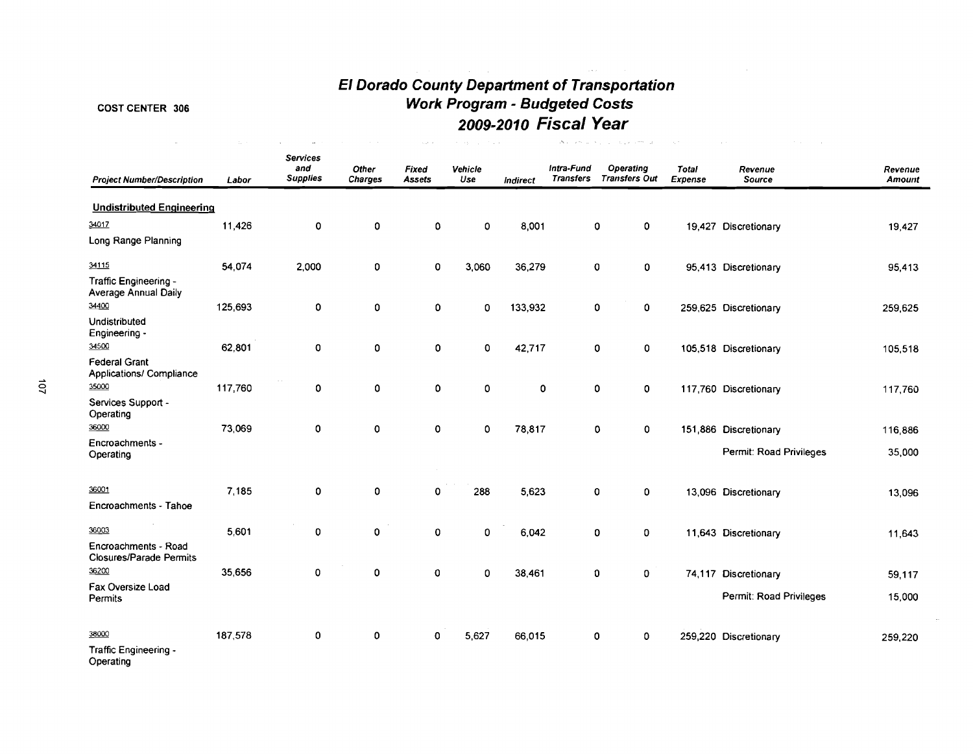#### COST CENTER 306

# **El Dorado County Department of Transportation Work Program** - **Budgeted Costs 2009-2010 Fiscal Year**

| <b>Project Number/Description</b>                      | Labor   | <b>Services</b><br>and<br><b>Supplies</b> | Other<br><b>Charges</b> | Fixed<br>Assets | Vehicle<br>Use | Indirect    | Intra-Fund<br><b>Transfers</b> | Operating<br><b>Transfers Out</b> | Total<br>Expense | Revenue<br><b>Source</b> | Revenue<br>Amount |
|--------------------------------------------------------|---------|-------------------------------------------|-------------------------|-----------------|----------------|-------------|--------------------------------|-----------------------------------|------------------|--------------------------|-------------------|
| <b>Undistributed Engineering</b>                       |         |                                           |                         |                 |                |             |                                |                                   |                  |                          |                   |
| 34017                                                  | 11,426  | $\mathbf 0$                               | $\pmb{0}$               | 0               | 0              | 8,001       |                                | 0<br>0                            |                  | 19,427 Discretionary     | 19,427            |
| Long Range Planning                                    |         |                                           |                         |                 |                |             |                                |                                   |                  |                          |                   |
| 34115                                                  | 54,074  | 2,000                                     | 0                       | 0               | 3,060          | 36,279      |                                | 0<br>0                            |                  | 95,413 Discretionary     | 95,413            |
| Traffic Engineering -<br>Average Annual Daily          |         |                                           |                         |                 |                |             |                                |                                   |                  |                          |                   |
| 34400                                                  | 125,693 | 0                                         | 0                       | 0               | 0              | 133,932     |                                | 0<br>0                            |                  | 259,625 Discretionary    | 259,625           |
| <b>Undistributed</b><br>Engineering -                  |         |                                           |                         |                 |                |             |                                |                                   |                  |                          |                   |
| 34500                                                  | 62,801  | $\mathbf 0$                               | 0                       | 0               | 0              | 42,717      |                                | 0<br>0                            |                  | 105,518 Discretionary    | 105,518           |
| <b>Federal Grant</b><br>Applications/ Compliance       |         |                                           |                         |                 |                |             |                                |                                   |                  |                          |                   |
| 35000                                                  | 117,760 | 0                                         | 0                       | 0               | 0              | $\mathbf 0$ |                                | 0<br>0                            |                  | 117,760 Discretionary    | 117,760           |
| Services Support -<br>Operating                        |         |                                           |                         |                 |                |             |                                |                                   |                  |                          |                   |
| 36000                                                  | 73,069  | $\mathbf 0$                               | $\mathbf 0$             | 0               | 0              | 78,817      |                                | 0<br>0                            |                  | 151,886 Discretionary    | 116,886           |
| Encroachments -<br>Operating                           |         |                                           |                         |                 |                |             |                                |                                   |                  | Permit: Road Privileges  | 35,000            |
| 36001                                                  | 7,185   | 0                                         | 0                       | 0               | 288            | 5623        |                                | 0<br>0                            |                  | 13,096 Discretionary     | 13,096            |
| Encroachments - Tahoe                                  |         |                                           |                         |                 |                |             |                                |                                   |                  |                          |                   |
| 36003                                                  | 5,601   | $\mathbf 0$                               | $\mathbf 0$             | 0               | 0              | 6,042       |                                | 0<br>0                            |                  | 11,643 Discretionary     | 11,643            |
| Encroachments - Road<br><b>Closures/Parade Permits</b> |         |                                           |                         |                 |                |             |                                |                                   |                  |                          |                   |
| 36200                                                  | 35,656  | 0                                         | $\mathbf 0$             | 0               | 0              | 38,461      |                                | 0<br>0                            |                  | 74,117 Discretionary     | 59,117            |
| Fax Oversize Load<br>Permits                           |         |                                           |                         |                 |                |             |                                |                                   |                  | Permit: Road Privileges  | 15,000            |
| 38000                                                  | 187,578 | 0                                         | 0                       | 0               | 5,627          | 66,015      |                                | 0<br>0                            |                  | 259,220 Discretionary    | 259,220           |
| Traffic Engineering -<br>Operating                     |         |                                           |                         |                 |                |             |                                |                                   |                  |                          |                   |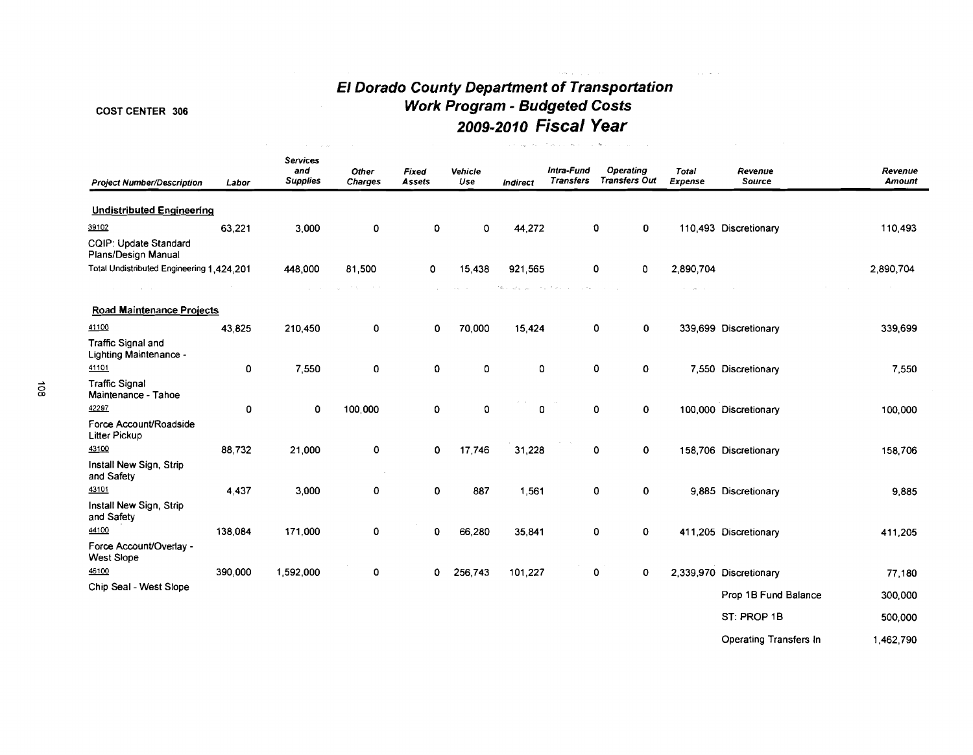# **El Dorado County Department of Transportation**  COST CENTER 306 **Work Program** - **Budgeted Costs 2009-2010 Fiscal Year**

**Sales** 

#### **Services and Other Fixed Vehicle Intra-Fund Operating Total Revenue Revenue Project Number/Description Labor Supplies Charges Assets Use Indirect Transfers Transfers Oul Expense Source Amount**  Undistributed Enaineering **39102** 63,221 3.000 0 0 0 44,272 0 0 110,493 Discretionary 110,493 CQIP: Update Standard Plans/Design Manual Total Undistributed Engineering 1,424,201 448,000 81,500 0 15,438 921,565 0 0 2,890,704 2.890.704  $\hat{\mathcal{A}} = \hat{\mathcal{A}} \hat{\mathcal{A}}$  .  $\sim 100$  km s  $^{-1}$ the services. **Carl Adams**  $\gamma$  ,  $\gamma$  as Road Maintenance Proiects 41100 43.825 210,450  $\mathbf{0}$ 0 70,000 15,424 0 0 339,699 Discretionary 339,699 Traffic Signal and Lighting Maintenance - 41101  $\mathbf{0}$ 7,550  $\mathbf 0$ 0 0 0 0 0 7,550 Discretionary 7,550 **0** Traffic Signal **a,** Maintenance - Tahoe Maintenance - Ianoe<br>
<u>42297</u> 0 0 100,000<br>
Force Account/Roadside<br>
Litter Pickup<br>
43100 88,732 21,000 0<br>
Install New Sign. Strip 0 0 0 0 0 0 100.000 Discretionary 100.000 Force AccounVRoadside Litter Pickup 0 17.746 31.228 0 0 158.706 Discretionary 158.706 Install New Sign, Strip and Safety 43101 4,437 3,000 0 0 887 1,561 0 0 9,885 Discretionary 9,885 Install New Sign, Strip and Safety 44100 138,084 171,000 0 0 66,280 35,841 0 0 411,205 Discretionary 411,205 Force AccounVOverlay - West Slope 46100 390,000 1,592,000 0 0 256,743 101,227 0 0 2,339,970 Discretionary 77.180 Chip Seal -West Slope Prop 1B Fund Balance 300,000 ST: PROP 1B 500,000

Operating Transfers In 1,462,790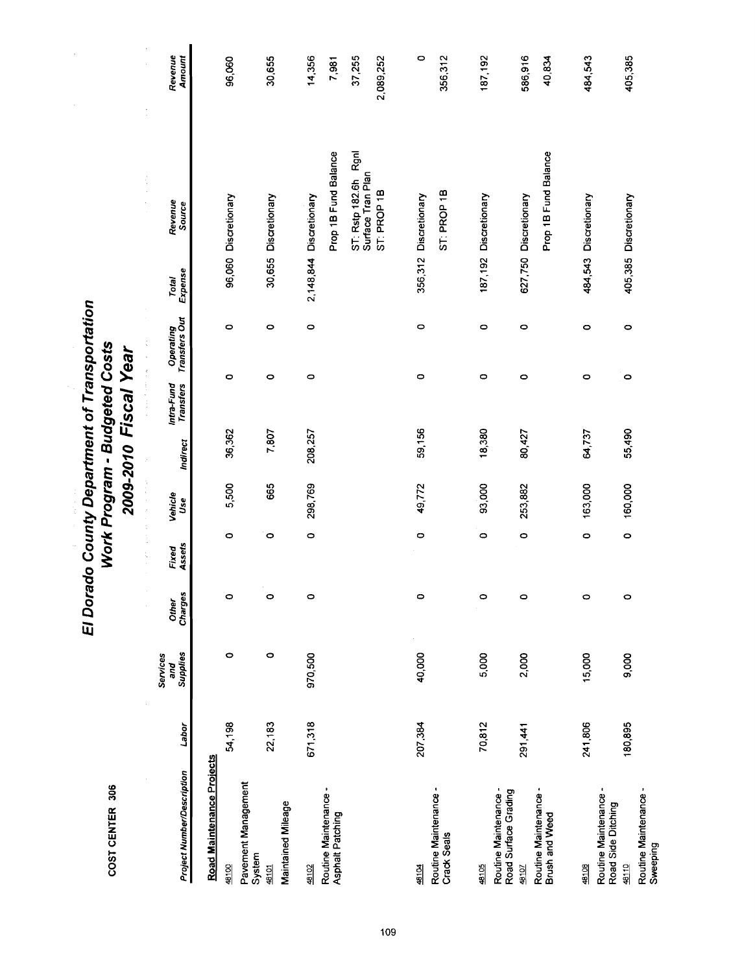| œ<br>ă |  |
|--------|--|
|        |  |
|        |  |

# El Dorado County Department of Transportation<br>Work Program - Budgeted Costs<br>2009-2010 Fiscal Year

i,

|                                             |         |                             |                  |                 | 医无头的 医小脑内脏 医静脉 | ź        | $\label{eq:2.1} \begin{split} \mathcal{L}_{\text{max}}(\mathcal{L}_{\text{max}},\mathcal{L}_{\text{max}},\mathcal{L}_{\text{max}}) = \mathcal{L}_{\text{max}}(\mathcal{L}_{\text{max}},\mathcal{L}_{\text{max}}) \\ \mathcal{L}_{\text{max}}(\mathcal{L}_{\text{max}},\mathcal{L}_{\text{max}},\mathcal{L}_{\text{max}}) = \mathcal{L}_{\text{max}}(\mathcal{L}_{\text{max}},\mathcal{L}_{\text{max}}) \end{split}$ | $\frac{1}{2}$              |                  | f,                                           |                   |
|---------------------------------------------|---------|-----------------------------|------------------|-----------------|----------------|----------|---------------------------------------------------------------------------------------------------------------------------------------------------------------------------------------------------------------------------------------------------------------------------------------------------------------------------------------------------------------------------------------------------------------------|----------------------------|------------------|----------------------------------------------|-------------------|
| <b>Project Number/Description</b>           | Labor   | Supplies<br>Services<br>and | Charges<br>Other | Assets<br>Fixed | Venicle<br>Use | Indirect | Intra-Fund<br>Transfers                                                                                                                                                                                                                                                                                                                                                                                             | Operating<br>Transfers Out | Total<br>Expense | Revenue<br>Source                            | Revenue<br>Amount |
| Road Maintenance Projects                   |         |                             |                  |                 |                |          |                                                                                                                                                                                                                                                                                                                                                                                                                     |                            |                  |                                              |                   |
| 48100                                       | 54,198  | 0                           | $\circ$          | $\circ$         | 5,500          | 36,362   | O                                                                                                                                                                                                                                                                                                                                                                                                                   | $\circ$                    |                  | 96,060 Discretionary                         | 96,060            |
| Pavement Management<br>System               |         |                             |                  |                 |                |          |                                                                                                                                                                                                                                                                                                                                                                                                                     |                            |                  |                                              |                   |
| 48101                                       | 22,183  | 0                           | $\circ$          | 0               | 665            | 7,807    | 0                                                                                                                                                                                                                                                                                                                                                                                                                   | 0                          |                  | 30,655 Discretionary                         | 30,655            |
| Maintained Mileage                          |         |                             |                  |                 |                |          |                                                                                                                                                                                                                                                                                                                                                                                                                     |                            |                  |                                              |                   |
| 48102                                       | 671,318 | 970,500                     | $\circ$          | $\circ$         | 298,769        | 208,257  | $\circ$                                                                                                                                                                                                                                                                                                                                                                                                             | $\circ$                    |                  | 2,148,844 Discretionary                      | 14,356            |
| Routine Maintenance -<br>Asphalt Patching   |         |                             |                  |                 |                |          |                                                                                                                                                                                                                                                                                                                                                                                                                     |                            |                  | Prop 1B Fund Balance                         | 7,981             |
|                                             |         |                             |                  |                 |                |          |                                                                                                                                                                                                                                                                                                                                                                                                                     |                            |                  | Rgnl<br>ST: Rstp 182.6h<br>Surface Tran Plan | 37,255            |
|                                             |         |                             |                  |                 |                |          |                                                                                                                                                                                                                                                                                                                                                                                                                     |                            |                  | ST: PROP 1B                                  | 2,089,252         |
|                                             |         |                             |                  |                 |                |          |                                                                                                                                                                                                                                                                                                                                                                                                                     |                            |                  |                                              |                   |
| 48104                                       | 207,384 | 40,000                      | $\circ$          | $\bullet$       | 49,772         | 59,156   | 0                                                                                                                                                                                                                                                                                                                                                                                                                   | 0                          |                  | 356,312 Discretionary                        | 0                 |
| Routine Maintenance -<br>Crack Seals        |         |                             |                  |                 |                |          |                                                                                                                                                                                                                                                                                                                                                                                                                     |                            |                  | ST: PROP 1B                                  | 356,312           |
| 48105                                       |         |                             |                  |                 |                |          |                                                                                                                                                                                                                                                                                                                                                                                                                     |                            |                  |                                              |                   |
|                                             | 70,812  | 5,000                       | $\circ$          | $\bullet$       | 93,000         | 18,380   | O                                                                                                                                                                                                                                                                                                                                                                                                                   | $\circ$                    |                  | 187,192 Discretionary                        | 187,192           |
| Road Surface Grading<br>Routine Maintenance |         |                             |                  |                 |                |          |                                                                                                                                                                                                                                                                                                                                                                                                                     |                            |                  |                                              |                   |
| 48107                                       | 291,441 | 2,000                       | $\circ$          | $\circ$         | 253,882        | 80,427   | $\circ$                                                                                                                                                                                                                                                                                                                                                                                                             | $\circ$                    |                  | 627,750 Discretionary                        | 586,916           |
| Routine Maintenance -<br>Brush and Weed     |         |                             |                  |                 |                |          |                                                                                                                                                                                                                                                                                                                                                                                                                     |                            |                  | Prop 1B Fund Balance                         | 40,834            |
|                                             |         |                             |                  |                 |                |          |                                                                                                                                                                                                                                                                                                                                                                                                                     |                            |                  |                                              |                   |
| 48108                                       | 241,806 | 15,000                      | $\circ$          | $\circ$         | 163,000        | 64,737   | $\circ$                                                                                                                                                                                                                                                                                                                                                                                                             | 0                          |                  | 484,543 Discretionary                        | 484,543           |
| Routine Maintenance -<br>Road Side Ditching |         |                             |                  |                 |                |          |                                                                                                                                                                                                                                                                                                                                                                                                                     |                            |                  |                                              |                   |
| 48110                                       | 180,895 | 9,000                       | $\circ$          | $\circ$         | 160,000        | 55,490   | $\circ$                                                                                                                                                                                                                                                                                                                                                                                                             | $\circ$                    |                  | 405,385 Discretionary                        | 405,385           |
| Routine Maintenance -<br>Sweeping           |         |                             |                  |                 |                |          |                                                                                                                                                                                                                                                                                                                                                                                                                     |                            |                  |                                              |                   |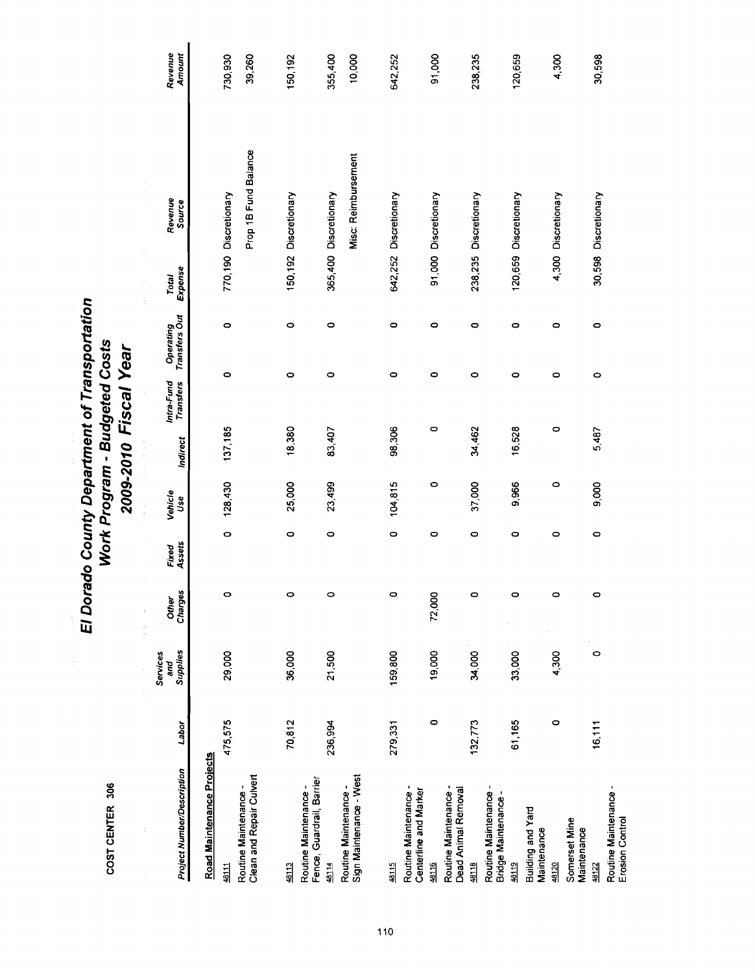COST CENTER 306

# El Dorado County Department of Transportation Work Program - Budgeted Costs 2009-2010 Fiscal Year

Revenue<br>Amount 730,930 39,260 10,000 50,192 355,400 642,252 91,000 238,235 120,659 4,300 30,598 Prop 1B Fund Balance Misc: Reimbursement 770,190 Discretionary 365,400 Discretionary 150,192 Discretionary 30,598 Discretionary Revenue<br>Source 642,252 Discretionary 91,000 Discretionary 238,235 Discretionary 120,659 Discretionary 4,300 Discretionary Total<br>Expense Operating<br>Transfers Out  $\circ$  $\circ$  $\circ$  $\circ$  $\circ$  $\circ$  $\circ$  $\circ$  $\bullet$  $\circ$  $\circ$  $\circ$  $\circ$  $\circ$  $\circ$  $\circ$  $\circ$  $\circ$ Intra-Fund<br>Transfers 137,185 18,380 98,306  $\circ$ 34,462 16,528  $\circ$ 83,407 5,487 Indirect 128,430 25,000 23,499 104,815  $\circ$ 37,000 9,966  $\circ$ 9,000 Vehicle<br>Use  $\ddot{\circ}$  $\circ$  $\circ$  $\bullet$  $\circ$  $\circ$  $\circ$  $\circ$  $\bullet$ Fixed<br>Assets Other<br>Charges  $\circ$  $\circ$  $\circ$  $\circ$ 72,000  $\circ$  $\circ$  $\bullet$  $\bullet$ 4,300 29,000 36,000 21,500 19,000 34,000 33,000  $\circ$ Services Supplies 159,800 and 70,812 475,575 236,994  $\circ$ 132,773 61,165 16,111 279,331  $\circ$ Labor Road Maintenance Projects **Project Number/Description** Routine Maintenance -<br>Clean and Repair Culvert Routine Maintenance -<br>Sign Maintenance - West Fence, Guardrail, Barrier Routine Maintenance -Routine Maintenance -<br>Dead Animal Removal Routine Maintenance -Routine Maintenance -Centerline and Marker Routine Maintenance -<br>Erosion Control Bridge Maintenance-**Building and Yard** Somerset Mine Maintenance Maintenance 48114 48115 48118 48119 48120 48122  $4811$ 49113 48116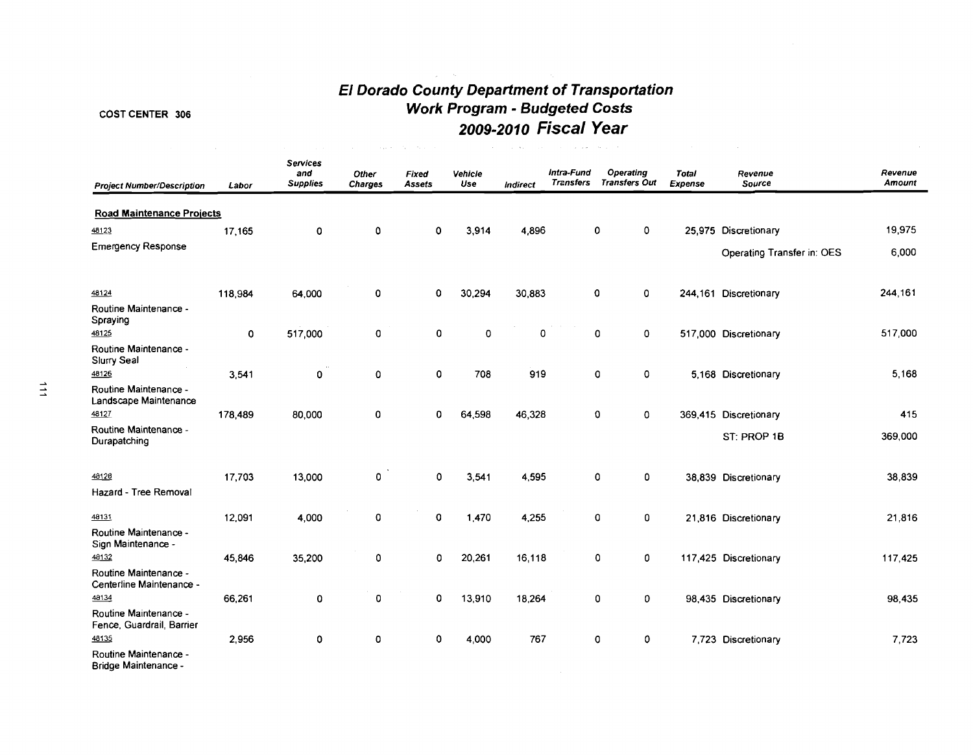# **El Dorado County Department of Transportation**  COST CENTER 306 **Work Program** - **Budgeted Costs 2009-2010 Fiscal Year**

 $\label{eq:1} \mathcal{L}(\mathcal{L}^{\text{max}}_{\text{max}}(\mathbf{x}_i) - \mathcal{L}^{\text{max}}_{\text{max}}(\mathbf{x}_i) - \mathcal{L}^{\text{max}}_{\text{max}})$ 

 $\hat{\mathcal{L}}_{\text{max}}(\hat{\mathcal{L}}_{\text{max}})$  , where  $\hat{\mathcal{L}}_{\text{max}}(\hat{\mathcal{L}}_{\text{max}})$  , where  $\hat{\mathcal{L}}_{\text{max}}$ 

| <b>Project Number/Description</b>                  | Labor   | <b>Services</b><br>and<br><b>Supplies</b> | Other<br><b>Charges</b> | <b>Fixed</b><br>Assets | Vehicle<br>Use | Indirect | Intra-Fund<br><b>Transfers</b> | Operating<br><b>Transfers Out</b> | Total<br>Expense | Revenue<br>Source          | Revenue<br>Amount |
|----------------------------------------------------|---------|-------------------------------------------|-------------------------|------------------------|----------------|----------|--------------------------------|-----------------------------------|------------------|----------------------------|-------------------|
| <b>Road Maintenance Projects</b>                   |         |                                           |                         |                        |                |          |                                |                                   |                  |                            |                   |
| 48123                                              | 17,165  | $\mathbf 0$                               | 0                       | 0                      | 3,914          | 4,896    |                                | $\mathbf 0$<br>0                  |                  | 25,975 Discretionary       | 19,975            |
| <b>Emergency Response</b>                          |         |                                           |                         |                        |                |          |                                |                                   |                  | Operating Transfer in: OES | 6,000             |
| 48124                                              | 118,984 | 64,000                                    | $\mathbf 0$             | 0                      | 30,294         | 30,883   |                                | 0<br>0                            |                  | 244,161 Discretionary      | 244,161           |
| Routine Maintenance -<br>Spraying                  |         |                                           |                         |                        |                |          |                                |                                   |                  |                            |                   |
| 48125<br>Routine Maintenance -<br>Slurry Seal      | O       | 517,000                                   | 0                       | 0                      | 0              | 0        |                                | $\mathbf 0$<br>0                  |                  | 517,000 Discretionary      | 517,000           |
| 48126                                              | 3,541   | 0                                         | 0                       | $\mathbf 0$            | 708            | 919      |                                | 0<br>0                            |                  | 5,168 Discretionary        | 5,168             |
| Routine Maintenance -<br>Landscape Maintenance     |         |                                           |                         |                        |                |          |                                |                                   |                  |                            |                   |
| 48127                                              | 178,489 | 80,000                                    | 0                       | $\mathbf{0}$           | 64,598         | 46,328   |                                | $\mathbf{o}$<br>0                 |                  | 369,415 Discretionary      | 415               |
| Routine Maintenance -<br>Durapatching              |         |                                           |                         |                        |                |          |                                |                                   |                  | ST: PROP 1B                | 369,000           |
| 48128                                              | 17.703  | 13,000                                    | 0                       | $\mathbf 0$            | 3,541          | 4,595    |                                | $\mathbf{0}$<br>$\mathbf 0$       |                  | 38,839 Discretionary       | 38,839            |
| Hazard - Tree Removal                              |         |                                           |                         |                        |                |          |                                |                                   |                  |                            |                   |
| 48131                                              | 12,091  | 4,000                                     | 0                       | 0                      | 1,470          | 4,255    |                                | O<br>0                            |                  | 21,816 Discretionary       | 21,816            |
| Routine Maintenance -<br>Sign Maintenance -        |         |                                           |                         |                        |                |          |                                |                                   |                  |                            |                   |
| 48132                                              | 45.846  | 35,200                                    | 0                       | $\mathbf 0$            | 20,261         | 16,118   |                                | 0<br>0                            |                  | 117,425 Discretionary      | 117,425           |
| Routine Maintenance -<br>Centerline Maintenance -  |         |                                           |                         |                        |                |          |                                |                                   |                  |                            |                   |
| 48134                                              | 66.261  | $\pmb{0}$                                 | 0                       | $\mathbf 0$            | 13,910         | 18,264   |                                | 0<br>0                            |                  | 98,435 Discretionary       | 98,435            |
| Routine Maintenance -<br>Fence, Guardrail, Barrier |         |                                           |                         |                        |                |          |                                |                                   |                  |                            |                   |
| 48135                                              | 2,956   | 0                                         | 0                       | 0                      | 4,000          | 767      |                                | 0<br>$\mathbf 0$                  |                  | 7,723 Discretionary        | 7,723             |
| Routine Maintenance -<br>Bridge Maintenance -      |         |                                           |                         |                        |                |          |                                |                                   |                  |                            |                   |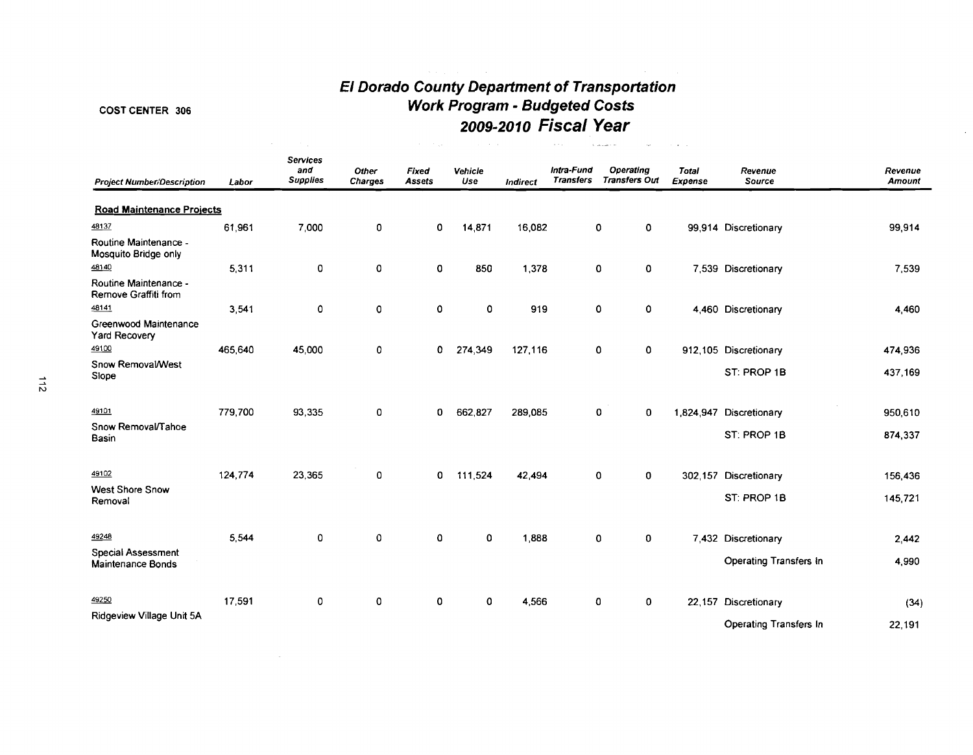# **El Dorado County DeparCment of TransporCation Work Program** - **Budgeted Costs 2009-2010 Fiscal Year**

# COST CENTER 306

 $\mathcal{L}^{\text{max}}_{\text{max}}$ 

| <b>Project Number/Description</b>             | Labor   | <b>Services</b><br>and<br><b>Supplies</b> | Other<br><b>Charges</b> | Fixed<br><b>Assets</b> | Vehicle<br>Use | Indirect | Intra-Fund<br><b>Transfers</b> | <b>Operating</b><br><b>Transfers Out</b> | <b>Total</b><br>Expense | Revenue<br>Source             | Revenue<br>Amount |
|-----------------------------------------------|---------|-------------------------------------------|-------------------------|------------------------|----------------|----------|--------------------------------|------------------------------------------|-------------------------|-------------------------------|-------------------|
| <b>Road Maintenance Projects</b>              |         |                                           |                         |                        |                |          |                                |                                          |                         |                               |                   |
| 48137                                         | 61,961  | 7,000                                     | 0                       | 0                      | 14,871         | 16,082   |                                | 0<br>0                                   |                         | 99,914 Discretionary          | 99,914            |
| Routine Maintenance -<br>Mosquito Bridge only |         |                                           |                         |                        |                |          |                                |                                          |                         |                               |                   |
| 48140                                         | 5,311   | 0                                         | 0                       | 0                      | 850            | 1,378    |                                | $\mathbf 0$<br>0                         |                         | 7,539 Discretionary           | 7,539             |
| Routine Maintenance -<br>Remove Graffiti from |         |                                           |                         |                        |                |          |                                |                                          |                         |                               |                   |
| 48141                                         | 3,541   | 0                                         | 0                       | 0                      | 0              | 919      |                                | $\mathbf 0$<br>0                         |                         | 4,460 Discretionary           | 4,460             |
| Greenwood Maintenance<br>Yard Recovery        |         |                                           |                         |                        |                |          |                                |                                          |                         |                               |                   |
| 49100                                         | 465,640 | 45,000                                    | 0                       | 0                      | 274,349        | 127,116  |                                | 0<br>$\mathbf 0$                         |                         | 912,105 Discretionary         | 474,936           |
| Snow Removal/West<br>Slope                    |         |                                           |                         |                        |                |          |                                |                                          |                         | ST: PROP 1B                   | 437,169           |
| 49101                                         |         |                                           |                         |                        |                |          |                                |                                          |                         |                               |                   |
| Snow Removal/Tahoe                            | 779,700 | 93,335                                    | 0                       | 0                      | 662,827        | 289,085  |                                | 0<br>0                                   |                         | 1,824,947 Discretionary       | 950,610           |
| Basin                                         |         |                                           |                         |                        |                |          |                                |                                          |                         | ST: PROP 1B                   | 874,337           |
| 49102                                         | 124,774 | 23,365                                    | 0                       | 0                      | 111,524        | 42,494   |                                | $\mathbf 0$<br>0                         |                         | 302.157 Discretionary         | 156,436           |
| <b>West Shore Snow</b><br>Removal             |         |                                           |                         |                        |                |          |                                |                                          |                         | ST: PROP 1B                   | 145,721           |
| 49248                                         | 5.544   | 0                                         | $\mathbf 0$             | $\mathbf 0$            | $\mathbf 0$    | 1,888    |                                | 0<br>0                                   |                         | 7,432 Discretionary           | 2,442             |
| Special Assessment                            |         |                                           |                         |                        |                |          |                                |                                          |                         |                               |                   |
| Maintenance Bonds                             |         |                                           |                         |                        |                |          |                                |                                          |                         | <b>Operating Transfers In</b> | 4,990             |
| 49250                                         | 17,591  | 0                                         | 0                       | $\circ$                | 0              | 4,566    |                                | $\mathbf 0$<br>0                         |                         | 22,157 Discretionary          | (34)              |
| Ridgeview Village Unit 5A                     |         |                                           |                         |                        |                |          |                                |                                          |                         | <b>Operating Transfers In</b> | 22,191            |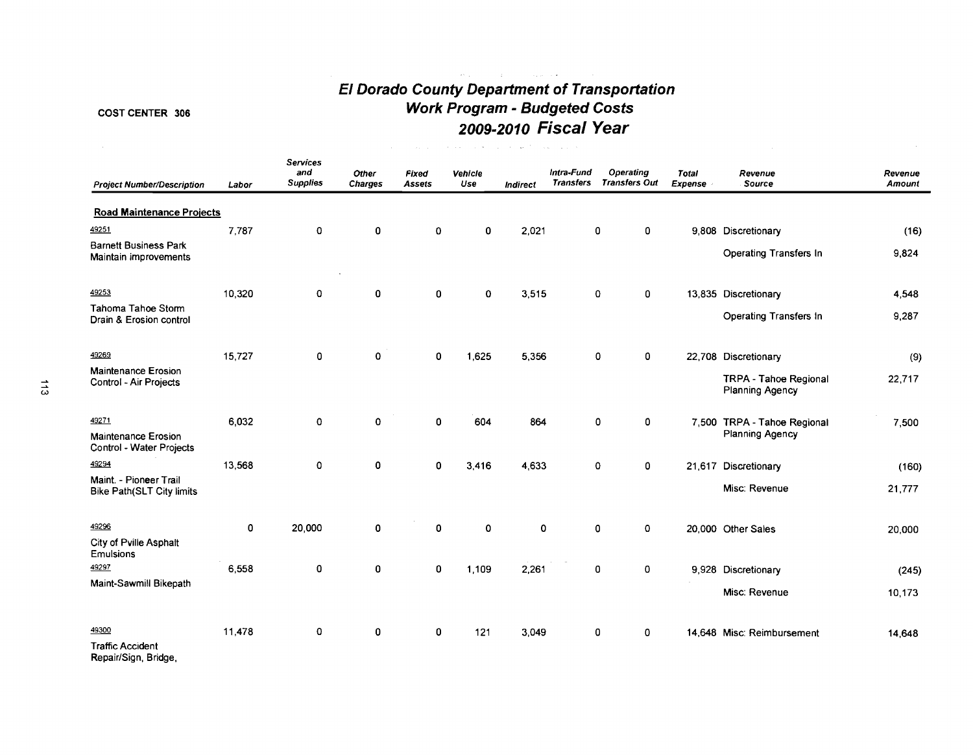# **El Dorado County Department of Transportation Work Program** - **Budgeted Costs 2009-2010 Fiscal Year**

 $\mathcal{A}^{\mathcal{A}}$  and  $\mathcal{A}^{\mathcal{A}}$  are  $\mathcal{A}^{\mathcal{A}}$  . The contribution of  $\mathcal{A}^{\mathcal{A}}$ 

# COST CENTER 306

| <b>Project Number/Description</b>                            | Labor  | <b>Services</b><br>and<br><b>Supplies</b> | Other<br>Charges | Fixed<br><b>Assets</b> | Vehicle<br>Use | <b>Indirect</b> | Intra-Fund<br><b>Transfers</b> | Operating<br><b>Transfers Out</b> | Total<br><b>Expense</b> | Revenue<br>Source                                      | Revenue<br><b>Amount</b> |
|--------------------------------------------------------------|--------|-------------------------------------------|------------------|------------------------|----------------|-----------------|--------------------------------|-----------------------------------|-------------------------|--------------------------------------------------------|--------------------------|
| <b>Road Maintenance Projects</b>                             |        |                                           |                  |                        |                |                 |                                |                                   |                         |                                                        |                          |
| 49251                                                        | 7.787  | $\mathbf 0$                               | 0                | $\mathbf 0$            | 0              | 2.021           |                                | 0<br>0                            |                         | 9,808 Discretionary                                    | (16)                     |
| <b>Barnett Business Park</b><br><b>Maintain improvements</b> |        |                                           |                  |                        |                |                 |                                |                                   |                         | Operating Transfers In                                 | 9,824                    |
| 49253                                                        | 10,320 | 0                                         | 0                | $\mathbf 0$            | $\mathbf 0$    | 3,515           |                                | 0<br>0                            |                         | 13,835 Discretionary                                   | 4,548                    |
| Tahoma Tahoe Stom<br>Drain & Erosion control                 |        |                                           |                  |                        |                |                 |                                |                                   |                         | Operating Transfers In                                 | 9,287                    |
| 49269                                                        | 15,727 | 0                                         | $\mathbf 0$      | $\mathbf 0$            | 1,625          | 5,356           |                                | 0<br>0                            |                         | 22,708 Discretionary                                   | (9)                      |
| <b>Maintenance Erosion</b><br>Control - Air Projects         |        |                                           |                  |                        |                |                 |                                |                                   |                         | <b>TRPA - Tahoe Regional</b><br><b>Planning Agency</b> | 22,717                   |
| 49271<br><b>Maintenance Erosion</b>                          | 6,032  | 0                                         | $\mathbf 0$      | 0                      | 604            | 864             |                                | 0<br>0                            |                         | 7,500 TRPA - Tahoe Regional<br><b>Planning Agency</b>  | 7,500                    |
| Control - Water Projects<br>49294                            | 13,568 | $\mathbf 0$                               | 0                | 0                      | 3.416          | 4,633           |                                | $\pmb{0}$<br>0                    |                         | 21,617 Discretionary                                   | (160)                    |
| Maint. - Pioneer Trail<br><b>Bike Path(SLT City limits</b>   |        |                                           |                  |                        |                |                 |                                |                                   |                         | Misc: Revenue                                          | 21,777                   |
| 49296                                                        | 0      | 20,000                                    | 0                | $\mathbf 0$            | $\mathbf 0$    | 0               |                                | $\mathbf{o}$<br>0                 |                         | 20,000 Other Sales                                     | 20,000                   |
| City of Pville Asphalt<br><b>Emulsions</b>                   |        |                                           |                  |                        |                |                 |                                |                                   |                         |                                                        |                          |
| 49297                                                        | 6,558  | 0                                         | 0                | 0                      | 1.109          | 2,261           |                                | 0<br>0                            |                         | 9,928 Discretionary                                    | (245)                    |
| Maint-Sawmill Bikepath                                       |        |                                           |                  |                        |                |                 |                                |                                   |                         | Misc: Revenue                                          | 10,173                   |
| 49300                                                        | 11,478 | 0                                         | 0                | $\mathbf 0$            | 121            | 3,049           |                                | 0<br>0                            |                         | 14,648 Misc: Reimbursement                             | 14,648                   |
| <b>Traffic Accident</b><br>Repair/Sign, Bridge,              |        |                                           |                  |                        |                |                 |                                |                                   |                         |                                                        |                          |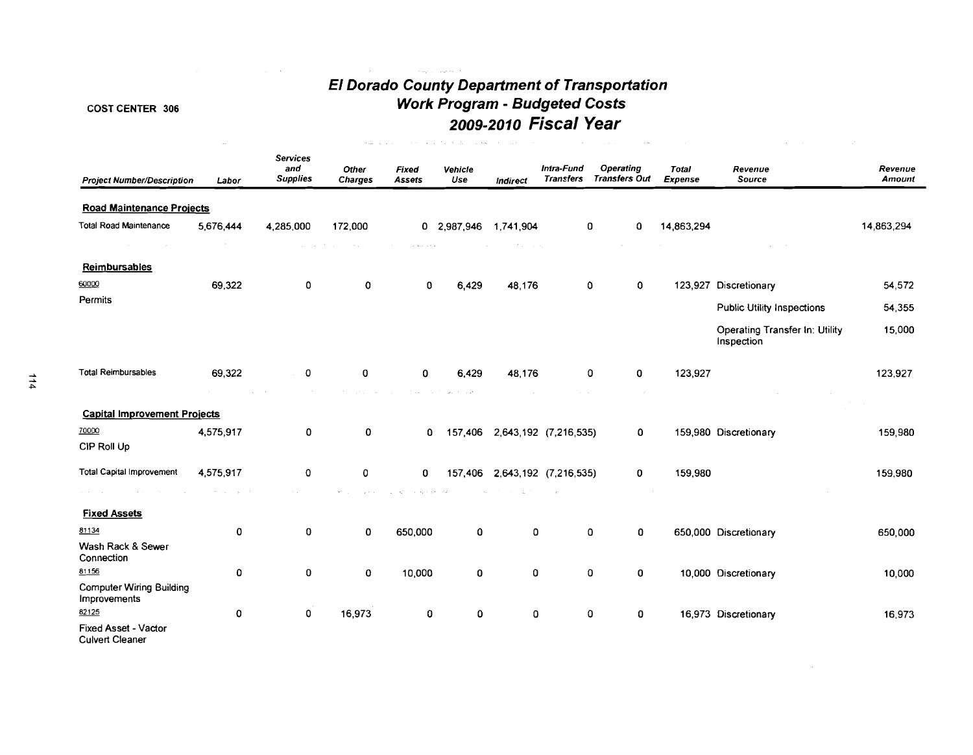# **COST CENTER 306**

 $\label{eq:2.1} \frac{1}{\sqrt{2}}\int_{\mathbb{R}^{2}}\left|\frac{d\mathbf{r}}{d\mathbf{r}}\right|^{2}d\mathbf{r}^{2}d\mathbf{r}^{2}d\mathbf{r}^{2}d\mathbf{r}^{2}d\mathbf{r}^{2}d\mathbf{r}^{2}d\mathbf{r}^{2}d\mathbf{r}^{2}d\mathbf{r}^{2}d\mathbf{r}^{2}d\mathbf{r}^{2}d\mathbf{r}^{2}d\mathbf{r}^{2}d\mathbf{r}^{2}d\mathbf{r}^{2}d\mathbf{r}^{2}d\math$ 

 $\sim 10^{-1}$ 

# **El Dorado County Department of Transportation Work Program** - **Budgeted Costs 2009-2010 Fiscal Year**

 $\mathcal{L}^{\text{max}}_{\text{max}}$  and  $\mathcal{L}^{\text{max}}_{\text{max}}$ 

 $\left\langle \psi_{\text{sing}} \right\rangle_{\text{L}} = \left\langle \psi_{\text{m}} e^{i \phi_{\text{m}} \phi_{\text{m}} \cdot \phi_{\text{m}} \right\rangle$ 

| <b>Project Number/Description</b>               | Labor                        | <b>Services</b><br>and<br><b>Supplies</b> | <b>Other</b><br>Charges                      | <b>Fixed</b><br><b>Assets</b>                                                                                       | Vehicle<br>Use                                 | Indirect                 | Intra-Fund<br><b>Transfers</b> | <b>Operating</b><br><b>Transfers Out</b> | <b>Total</b><br>Expense | Revenue<br>Source                            | Revenue<br>Amount |
|-------------------------------------------------|------------------------------|-------------------------------------------|----------------------------------------------|---------------------------------------------------------------------------------------------------------------------|------------------------------------------------|--------------------------|--------------------------------|------------------------------------------|-------------------------|----------------------------------------------|-------------------|
| <b>Road Maintenance Projects</b>                |                              |                                           |                                              |                                                                                                                     |                                                |                          |                                |                                          |                         |                                              |                   |
| <b>Total Road Maintenance</b><br>$\sim 100$     | 5,676,444<br>$\sim 10^{-11}$ | 4,285,000<br><b>Service</b>               | 172,000<br><b>Contract</b><br>$\sim 10^{-1}$ | $\alpha$ , and $\alpha$ , and $\alpha$                                                                              | 0 2,987,946                                    | 1,741,904<br>August 1970 | 0                              | 0<br>$\sim$                              | 14,863,294              |                                              | 14,863,294        |
| Reimbursables                                   |                              |                                           |                                              |                                                                                                                     |                                                |                          |                                |                                          |                         |                                              |                   |
| 60000                                           | 69.322                       | 0                                         | 0                                            | 0                                                                                                                   | 6,429                                          | 48,176                   | 0                              | 0                                        |                         | 123,927 Discretionary                        | 54,572            |
| Permits                                         |                              |                                           |                                              |                                                                                                                     |                                                |                          |                                |                                          |                         | <b>Public Utility Inspections</b>            | 54,355            |
|                                                 |                              |                                           |                                              |                                                                                                                     |                                                |                          |                                |                                          |                         | Operating Transfer In: Utility<br>Inspection | 15,000            |
| Total Reimbursables                             | 69,322                       | 0                                         | 0                                            | 0                                                                                                                   | 6,429                                          | 48,176                   | 0                              | 0                                        | 123,927                 |                                              | 123.927           |
| <b>Capital Improvement Projects</b>             | <b>Contract</b>              | $\sim$                                    | and the company                              | <b>Basic Scott</b><br>$\sim 10^{-1}$                                                                                | $\omega\omega\rightarrow -\omega\omega\lambda$ | $\sim$                   | <b>Contract</b>                | $\sim$ $\sim$                            |                         |                                              |                   |
| 70000                                           | 4,575,917                    | 0                                         | 0                                            | 0                                                                                                                   | 157,406                                        |                          | 2,643,192 (7,216,535)          | 0                                        |                         | 159,980 Discretionary                        | 159,980           |
| CIP Roll Up                                     |                              |                                           |                                              |                                                                                                                     |                                                |                          |                                |                                          |                         |                                              |                   |
| <b>Total Capital Improvement</b>                | 4,575,917                    | 0                                         | 0                                            | 0                                                                                                                   | 157,406                                        | 2,643,192 (7,216,535)    |                                | 0                                        | 159,980                 |                                              | 159,980           |
| contractors and                                 |                              | <b>COLLECT</b>                            | and in                                       | $\gamma_{\rm eff} = \epsilon_{\rm p}^{\rm th} \sim \gamma_{\rm B} \nu_{\rm e} = \sigma_{\rm m}^{\rm th}$<br>ALC: NO | $\sim 10^{-1}$                                 | A.                       |                                |                                          |                         |                                              |                   |
| <b>Fixed Assets</b>                             |                              |                                           |                                              |                                                                                                                     |                                                |                          |                                |                                          |                         |                                              |                   |
| 81134                                           | 0                            | 0                                         | 0                                            | 650,000                                                                                                             | 0                                              | 0                        | 0                              | 0                                        |                         | 650,000 Discretionary                        | 650,000           |
| Wash Rack & Sewer<br>Connection                 |                              |                                           |                                              |                                                                                                                     |                                                |                          |                                |                                          |                         |                                              |                   |
| 81156                                           | $\circ$                      | 0                                         | 0                                            | 10,000                                                                                                              | 0                                              | 0                        | 0                              | 0                                        |                         | 10,000 Discretionary                         | 10,000            |
| <b>Computer Wiring Building</b><br>Improvements |                              |                                           |                                              |                                                                                                                     |                                                |                          |                                |                                          |                         |                                              |                   |
| 82125                                           | $\pmb{0}$                    | 0                                         | 16,973                                       | 0                                                                                                                   | 0                                              | 0                        | 0                              | 0                                        |                         | 16,973 Discretionary                         | 16,973            |
| Fixed Asset - Vactor<br><b>Culvert Cleaner</b>  |                              |                                           |                                              |                                                                                                                     |                                                |                          |                                |                                          |                         |                                              |                   |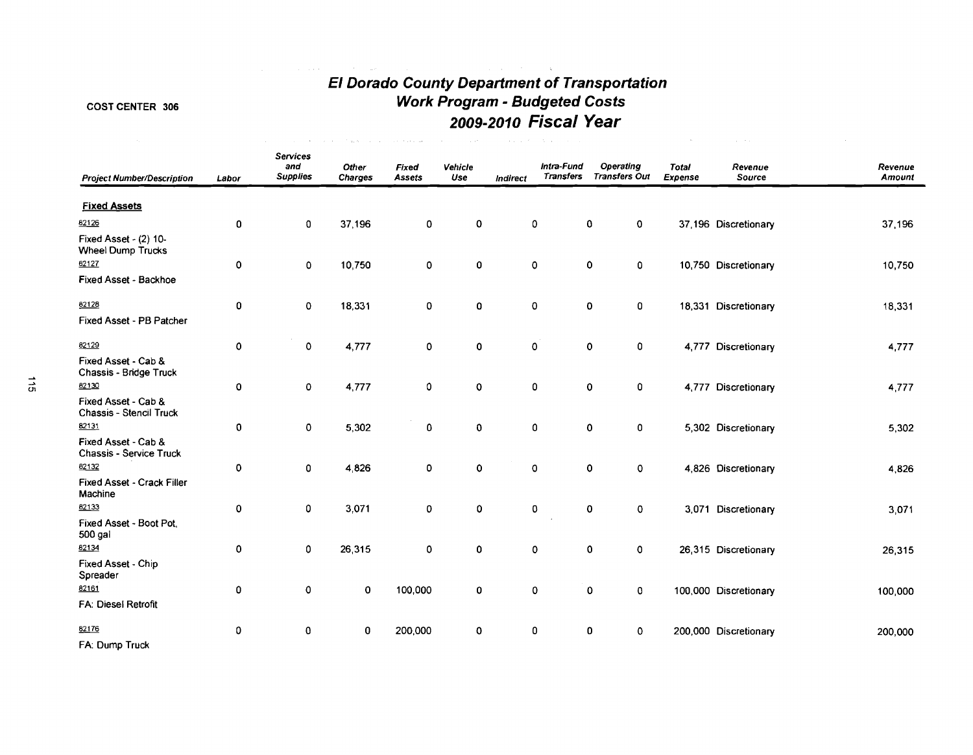# **El Dorado County Department of Transportation Work Program** - **Budgeted Costs 2009-2010 Fiscal Year**

 $\mathcal{O}(\mathcal{O}(n^2))$  . The contract of the contract of the contract of the contract of the contract of the contract of the contract of the contract of the contract of the contract of the contract of the contract of the cont

# COST CENTER 306

| <b>Project Number/Description</b>                 | Labor | <b>Services</b><br>and<br><b>Supplies</b> | Other<br>Charges | Fixed<br>Assets | Vehicle<br>Use | <b>Indirect</b> | Intra-Fund<br><b>Transfers</b> | <b>Operating</b><br><b>Transfers Out</b> | <b>Total</b><br>Expense | Revenue<br>Source     | Revenue<br><b>Amount</b> |
|---------------------------------------------------|-------|-------------------------------------------|------------------|-----------------|----------------|-----------------|--------------------------------|------------------------------------------|-------------------------|-----------------------|--------------------------|
| <b>Fixed Assets</b>                               |       |                                           |                  |                 |                |                 |                                |                                          |                         |                       |                          |
| 62126                                             | 0     | $\mathbf 0$                               | 37,196           | 0               | 0              | 0               |                                | 0<br>$\mathbf 0$                         |                         | 37,196 Discretionary  | 37,196                   |
| Fixed Asset - (2) 10-<br><b>Wheel Dump Trucks</b> |       |                                           |                  |                 |                |                 |                                |                                          |                         |                       |                          |
| 82127                                             | 0     | 0                                         | 10,750           | 0               | 0              | $\pmb{0}$       |                                | 0<br>0                                   |                         | 10,750 Discretionary  | 10,750                   |
| Fixed Asset - Backhoe                             |       |                                           |                  |                 |                |                 |                                |                                          |                         |                       |                          |
| 82128                                             | 0     | $\mathsf{o}\,$                            | 18,331           | 0               | 0              | 0               |                                | $\mathbf 0$<br>0                         |                         | 18,331 Discretionary  | 18,331                   |
| Fixed Asset - PB Patcher                          |       |                                           |                  |                 |                |                 |                                |                                          |                         |                       |                          |
| 82129                                             | 0     | $\mathbf 0$                               | 4,777            | 0               | 0              |                 | 0                              | 0<br>0                                   |                         | 4,777 Discretionary   | 4,777                    |
| Fixed Asset - Cab &<br>Chassis - Bridge Truck     |       |                                           |                  |                 |                |                 |                                |                                          |                         |                       |                          |
| 82130                                             | 0     | 0                                         | 4,777            | 0               | $\circ$        |                 | 0                              | 0<br>0                                   |                         | 4,777 Discretionary   | 4,777                    |
| Fixed Asset - Cab &<br>Chassis - Stencil Truck    |       |                                           |                  |                 |                |                 |                                |                                          |                         |                       |                          |
| 82131                                             | 0     | 0                                         | 5,302            | 0               | 0              |                 | 0                              | 0<br>0                                   |                         | 5,302 Discretionary   | 5,302                    |
| Fixed Asset - Cab &<br>Chassis - Service Truck    |       |                                           |                  |                 |                |                 |                                |                                          |                         |                       |                          |
| 82132                                             | 0     | 0                                         | 4,826            | 0               | $\mathbf 0$    | $\pmb{0}$       |                                | $\mathbf 0$<br>$\pmb{\mathsf{O}}$        |                         | 4,826 Discretionary   | 4,826                    |
| Fixed Asset - Crack Filler<br>Machine             |       |                                           |                  |                 |                |                 |                                |                                          |                         |                       |                          |
| 82133                                             | 0     | 0                                         | 3,071            | 0               | 0              |                 | 0                              | $\mathbf 0$<br>$\mathbf 0$               |                         | 3,071 Discretionary   | 3,071                    |
| Fixed Asset - Boot Pot,<br>500 gal                |       |                                           |                  |                 |                |                 |                                |                                          |                         |                       |                          |
| 82134                                             | 0     | 0                                         | 26,315           | 0               | 0              |                 | 0                              | $\mathbf 0$<br>0                         |                         | 26,315 Discretionary  | 26,315                   |
| Fixed Asset - Chip<br>Spreader                    |       |                                           |                  |                 |                |                 |                                |                                          |                         |                       |                          |
| 82161                                             | 0     | 0                                         | $\mathbf 0$      | 100,000         | 0              |                 | 0                              | 0<br>0                                   |                         | 100,000 Discretionary | 100,000                  |
| FA: Diesel Retrofit                               |       |                                           |                  |                 |                |                 |                                |                                          |                         |                       |                          |
| 82176                                             | 0     | 0                                         | 0                | 200,000         | $\mathbf 0$    |                 | 0                              | 0<br>$\mathbf 0$                         |                         | 200,000 Discretionary | 200,000                  |
| FA: Dump Truck                                    |       |                                           |                  |                 |                |                 |                                |                                          |                         |                       |                          |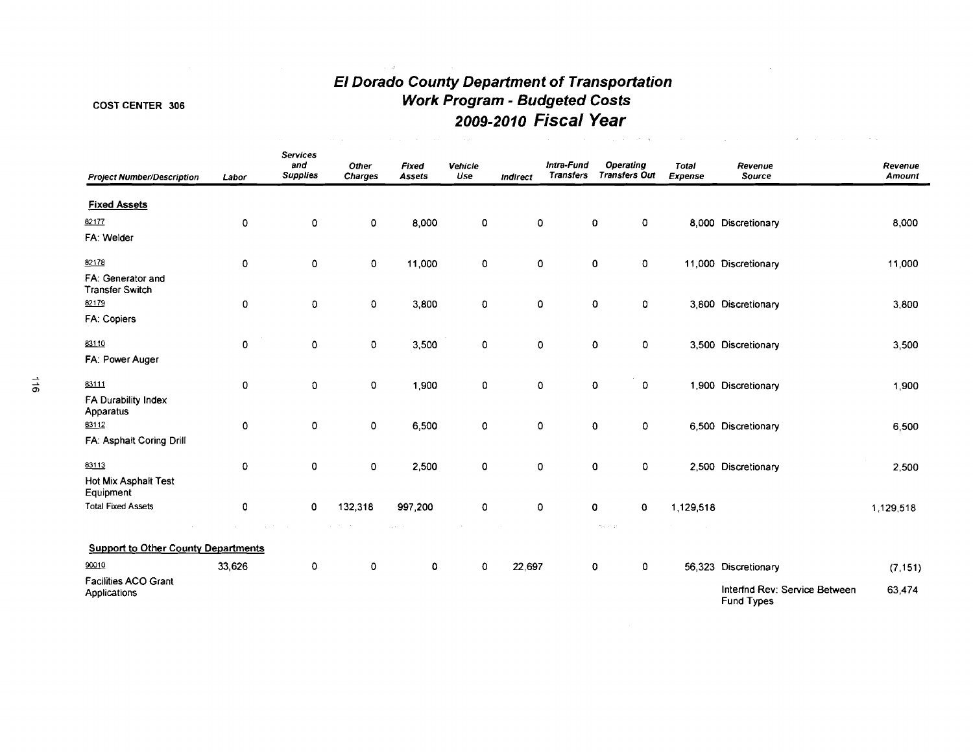# **El Dorado County Department of Transportation Work Program** - **Budgeted Costs 2009-201 0 Fiscal Year**

Contractor of the Second

 $\sim 10^7$ 

# COST CENTER 306

| <b>Project Number/Description</b>           | Labor       | <b>Services</b><br>and<br><b>Supplies</b> | Other<br><b>Charges</b> | Fixed<br><b>Assets</b> | Vehicle<br>Use     | Indirect | Intra-Fund<br><b>Transfers</b> | <b>Operating</b><br><b>Transfers Out</b>                | <b>Total</b><br>Expense | Revenue<br>Source                                  | Revenue<br>Amount |
|---------------------------------------------|-------------|-------------------------------------------|-------------------------|------------------------|--------------------|----------|--------------------------------|---------------------------------------------------------|-------------------------|----------------------------------------------------|-------------------|
| <b>Fixed Assets</b>                         |             |                                           |                         |                        |                    |          |                                |                                                         |                         |                                                    |                   |
| 82177                                       | 0           | 0                                         | 0                       | 8,000                  | 0                  | O        |                                | 0<br>0                                                  |                         | 8,000 Discretionary                                | 8,000             |
| FA: Welder                                  |             |                                           |                         |                        |                    |          |                                |                                                         |                         |                                                    |                   |
| 82178                                       | $\mathbf 0$ | $\pmb{0}$                                 | $\pmb{0}$               | 11,000                 | $\pmb{0}$          | 0        |                                | $\mathbf{0}$<br>0                                       |                         | 11,000 Discretionary                               | 11,000            |
| FA: Generator and<br><b>Transfer Switch</b> |             |                                           |                         |                        |                    |          |                                |                                                         |                         |                                                    |                   |
| 82179                                       | $\mathbf 0$ | O                                         | $\mathbf 0$             | 3,800                  | $\pmb{\mathsf{O}}$ | 0        |                                | 0<br>0                                                  |                         | 3,800 Discretionary                                | 3,800             |
| FA: Copiers                                 |             |                                           |                         |                        |                    |          |                                |                                                         |                         |                                                    |                   |
| 83110                                       | $\mathbf 0$ | 0                                         | $\pmb{0}$               | 3,500                  | $\pmb{0}$          | 0        |                                | 0<br>0                                                  |                         | 3,500 Discretionary                                | 3,500             |
| FA: Power Auger                             |             |                                           |                         |                        |                    |          |                                |                                                         |                         |                                                    |                   |
| 83111                                       | $\mathbf 0$ | $\mathbf 0$                               | $\pmb{0}$               | 1,900                  | $\mathbf 0$        | 0        |                                | $\mathbf 0$<br>0                                        |                         | 1,900 Discretionary                                | 1,900             |
| FA Durability Index<br>Apparatus            |             |                                           |                         |                        |                    |          |                                |                                                         |                         |                                                    |                   |
| 83112                                       | $\mathbf 0$ | 0                                         | 0                       | 6,500                  | $\mathbf 0$        | 0        |                                | $\mathbf{0}$<br>0                                       |                         | 6,500 Discretionary                                | 6,500             |
| FA: Asphalt Coring Drill                    |             |                                           |                         |                        |                    |          |                                |                                                         |                         |                                                    |                   |
| 83113                                       | $\mathbf 0$ | $\mathbf 0$                               | 0                       | 2,500                  | $\pmb{0}$          | 0        |                                | $\mathbf 0$<br>0                                        |                         | 2,500 Discretionary                                | 2,500             |
| Hot Mix Asphalt Test<br>Equipment           |             |                                           |                         |                        |                    |          |                                |                                                         |                         |                                                    |                   |
| <b>Total Fixed Assets</b>                   | $\mathbf 0$ | 0                                         | 132,318                 | 997,200                | $\mathbf 0$        | 0        |                                | 0<br>0                                                  | 1,129,518               |                                                    | 1,129,518         |
|                                             |             |                                           |                         |                        |                    |          |                                | $\sigma_{\rm e} \eta_{\rm e} \to \gamma \gamma_{\rm e}$ |                         |                                                    |                   |
| <b>Support to Other County Departments</b>  |             |                                           |                         |                        |                    |          |                                |                                                         |                         |                                                    |                   |
| 90010                                       | 33,626      | 0                                         | 0                       | 0                      | $\mathbf 0$        | 22,697   |                                | 0<br>0                                                  |                         | 56,323 Discretionary                               | (7, 151)          |
| <b>Facilities ACO Grant</b><br>Applications |             |                                           |                         |                        |                    |          |                                |                                                         |                         | Interfnd Rev: Service Between<br><b>Fund Types</b> | 63,474            |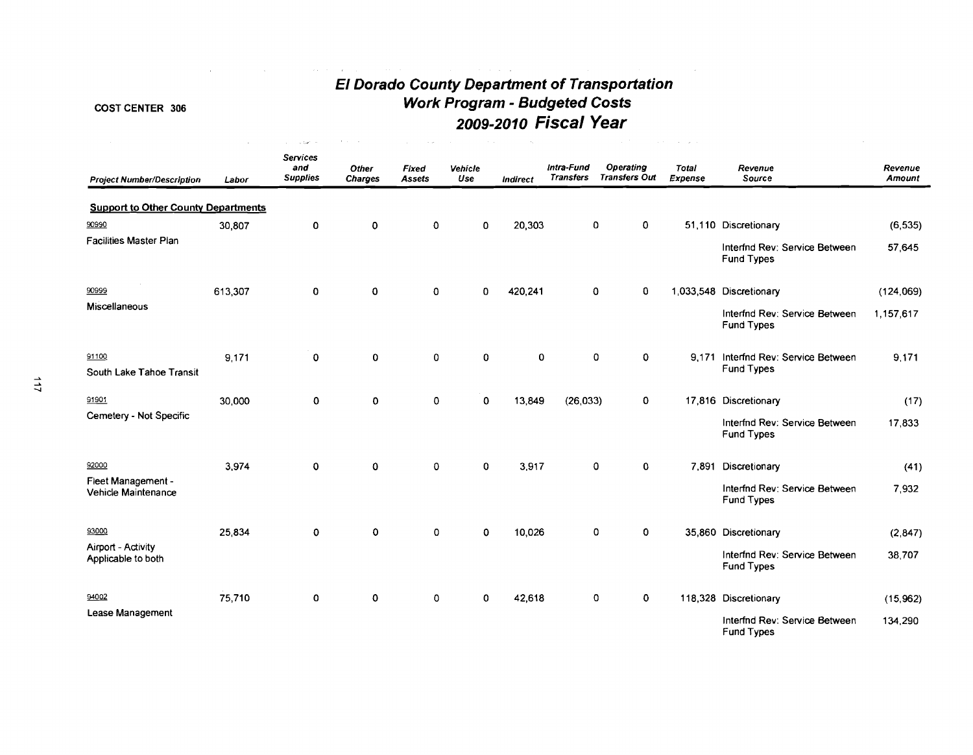# **EI Dorado County Department of Transportation Work Program** - **Budgeted Costs 2009-2010 Fiscal Year**

 $\mathcal{L}_{\text{max}}$  and  $\mathcal{L}_{\text{max}}$  and  $\mathcal{L}_{\text{max}}$ 

 $\mathcal{L}(\mathcal{F})$  , and  $\mathcal{L}(\mathcal{F})$  , and  $\mathcal{L}(\mathcal{F})$ 

**San America** 

# **COST CENTER 306**

 $\sim$ 

the control of the control of the control of the control of

| <b>Project Number/Description</b>          | Labor   | <b>Services</b><br>and<br><b>Supplies</b> | Other<br><b>Charges</b> | Fixed<br><b>Assets</b> | Vehicle<br>Use | Indirect | Intra-Fund<br><b>Transfers</b> | <b>Operating</b><br><b>Transfers Out</b> | <b>Total</b><br>Expense | Revenue<br>Source                                  | Revenue<br>Amount |
|--------------------------------------------|---------|-------------------------------------------|-------------------------|------------------------|----------------|----------|--------------------------------|------------------------------------------|-------------------------|----------------------------------------------------|-------------------|
| <b>Support to Other County Departments</b> |         |                                           |                         |                        |                |          |                                |                                          |                         |                                                    |                   |
| 90990                                      | 30,807  | 0                                         | 0                       | $\mathbf 0$            | $\mathbf 0$    | 20,303   | 0                              | $\mathbf 0$                              |                         | 51,110 Discretionary                               | (6, 535)          |
| <b>Facilities Master Plan</b>              |         |                                           |                         |                        |                |          |                                |                                          |                         | Interfnd Rev: Service Between<br><b>Fund Types</b> | 57,645            |
| 90999                                      | 613,307 | $\mathbf 0$                               | 0                       | $\mathbf 0$            | $\mathbf 0$    | 420,241  | $\mathbf 0$                    | 0                                        |                         | 1,033,548 Discretionary                            | (124,069)         |
| Miscellaneous                              |         |                                           |                         |                        |                |          |                                |                                          |                         | Interfnd Rev: Service Between<br><b>Fund Types</b> | 1,157,617         |
| 91100                                      | 9,171   | $\mathbf 0$                               | 0                       | $\mathbf 0$            | 0              | 0        |                                | $\mathbf 0$<br>$\mathbf 0$               |                         | 9.171 Interfnd Rev: Service Between                | 9.171             |
| South Lake Tahoe Transit                   |         |                                           |                         |                        |                |          |                                |                                          |                         | <b>Fund Types</b>                                  |                   |
| 91901                                      | 30,000  | 0                                         | 0                       | $\Omega$               | $\Omega$       | 13,849   | (26, 033)                      | $\mathbf 0$                              |                         | 17,816 Discretionary                               | (17)              |
| Cemetery - Not Specific                    |         |                                           |                         |                        |                |          |                                |                                          |                         | Interfnd Rev: Service Between<br><b>Fund Types</b> | 17,833            |
| 92000                                      | 3,974   | $\mathbf 0$                               | $\mathbf 0$             | $\mathbf 0$            | $\mathbf 0$    | 3,917    |                                | 0<br>0                                   |                         | 7,891 Discretionary                                | (41)              |
| Fleet Management -<br>Vehicle Maintenance  |         |                                           |                         |                        |                |          |                                |                                          |                         | Interfnd Rev: Service Between<br><b>Fund Types</b> | 7,932             |
| 93000                                      | 25,834  | $\mathbf 0$                               | $\mathbf 0$             | 0                      | 0              | 10,026   |                                | 0<br>$\mathbf 0$                         |                         | 35,860 Discretionary                               | (2,847)           |
| Airport - Activity<br>Applicable to both   |         |                                           |                         |                        |                |          |                                |                                          |                         | Interfnd Rev: Service Between<br><b>Fund Types</b> | 38,707            |
| 94002                                      | 75,710  | O                                         | 0                       | $\mathbf 0$            | $\Omega$       | 42,618   |                                | 0<br>$\mathbf 0$                         |                         | 118,328 Discretionary                              | (15,962)          |
| Lease Management                           |         |                                           |                         |                        |                |          |                                |                                          |                         | Interfnd Rev: Service Between                      | 134,290           |

Fund Types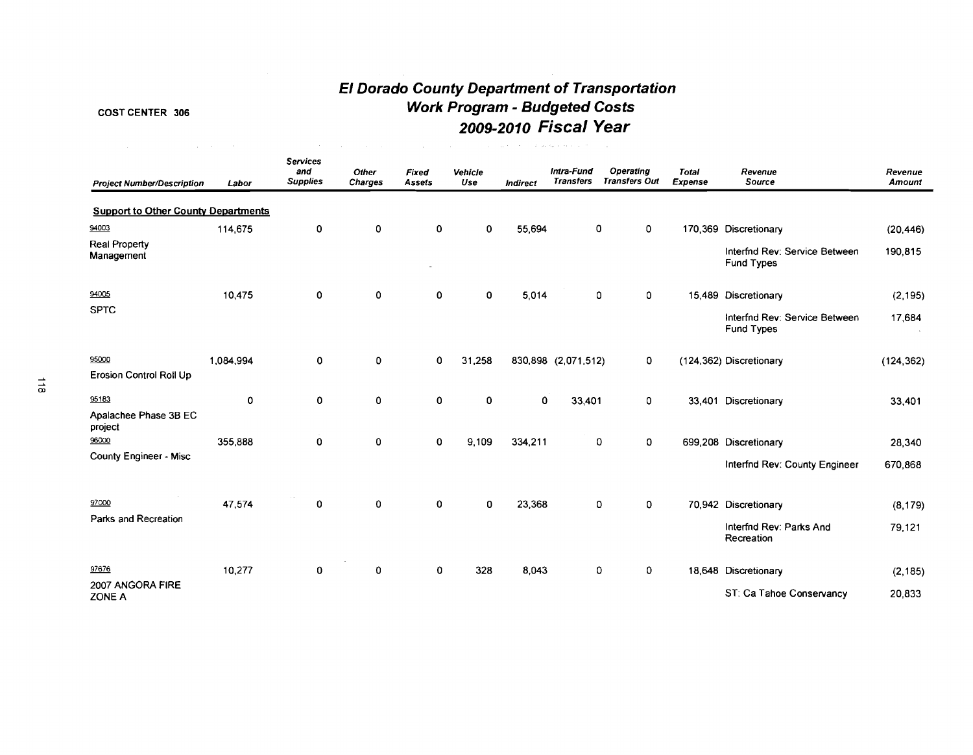# **El Dorado County Department of Transportation**  COST CENTER 306 **Work Program** - **Budgeted Costs 2009-201 0 Fiscal Year**

| <b>Project Number/Description</b>          | Labor     | <b>Services</b><br>and<br><b>Supplies</b> | Other<br><b>Charges</b> | Fixed<br>Assets | Vehicle<br>Use | 化氧化物 化二甲基二乙二甲基二甲基 医梅尔特氏试验检尿 医心脏<br>Indirect | Intra-Fund<br><b>Transfers</b> | Operating<br><b>Transfers Out</b> | <b>Total</b><br>Expense | Revenue<br>Source                                  | Revenue<br>Amount |
|--------------------------------------------|-----------|-------------------------------------------|-------------------------|-----------------|----------------|---------------------------------------------|--------------------------------|-----------------------------------|-------------------------|----------------------------------------------------|-------------------|
| <b>Support to Other County Departments</b> |           |                                           |                         |                 |                |                                             |                                |                                   |                         |                                                    |                   |
| 94003                                      | 114,675   | 0                                         | 0                       | $\mathbf 0$     | 0              | 55,694                                      | $\mathbf 0$                    | $\mathbf{0}$                      |                         | 170,369 Discretionary                              | (20, 446)         |
| <b>Real Property</b><br>Management         |           |                                           |                         | ۰               |                |                                             |                                |                                   |                         | Interfnd Rev: Service Between<br><b>Fund Types</b> | 190,815           |
| 94005                                      | 10,475    | $\mathbf 0$                               | 0                       | 0               | 0              | 5,014                                       | 0                              | 0                                 |                         | 15,489 Discretionary                               | (2, 195)          |
| <b>SPTC</b>                                |           |                                           |                         |                 |                |                                             |                                |                                   |                         | Interfnd Rev: Service Between<br>Fund Types        | 17,684            |
| 95000<br><b>Erosion Control Roll Up</b>    | 1,084,994 | 0                                         | 0                       | 0               | 31,258         |                                             | 830,898 (2,071,512)            | $\mathbf{0}$                      |                         | (124,362) Discretionary                            | (124, 362)        |
| 95183                                      | 0         | 0                                         | 0                       | 0               | 0              | 0                                           | 33,401                         | 0                                 |                         | 33,401 Discretionary                               | 33,401            |
| Apalachee Phase 3B EC<br>project           |           |                                           |                         |                 |                |                                             |                                |                                   |                         |                                                    |                   |
| 96000                                      | 355,888   | $\mathbf 0$                               | 0                       | $\mathbf 0$     | 9,109          | 334,211                                     | 0                              | 0                                 |                         | 699,208 Discretionary                              | 28,340            |
| County Engineer - Misc                     |           |                                           |                         |                 |                |                                             |                                |                                   |                         | Interfnd Rev: County Engineer                      | 670,868           |
| 97000                                      | 47.574    | $\mathbf 0$                               | 0                       | $\mathbf 0$     | $\mathbf 0$    | 23,368                                      | 0                              | 0                                 |                         | 70,942 Discretionary                               | (8, 179)          |
| Parks and Recreation                       |           |                                           |                         |                 |                |                                             |                                |                                   |                         | Interfnd Rev: Parks And<br>Recreation              | 79,121            |
| 97676                                      | 10,277    | $\mathbf 0$                               | 0                       | 0               | 328            | 8,043                                       | 0                              | 0                                 |                         | 18,648 Discretionary                               | (2, 185)          |
| 2007 ANGORA FIRE<br>ZONE A                 |           |                                           |                         |                 |                |                                             |                                |                                   |                         | ST: Ca Tahoe Conservancy                           | 20,833            |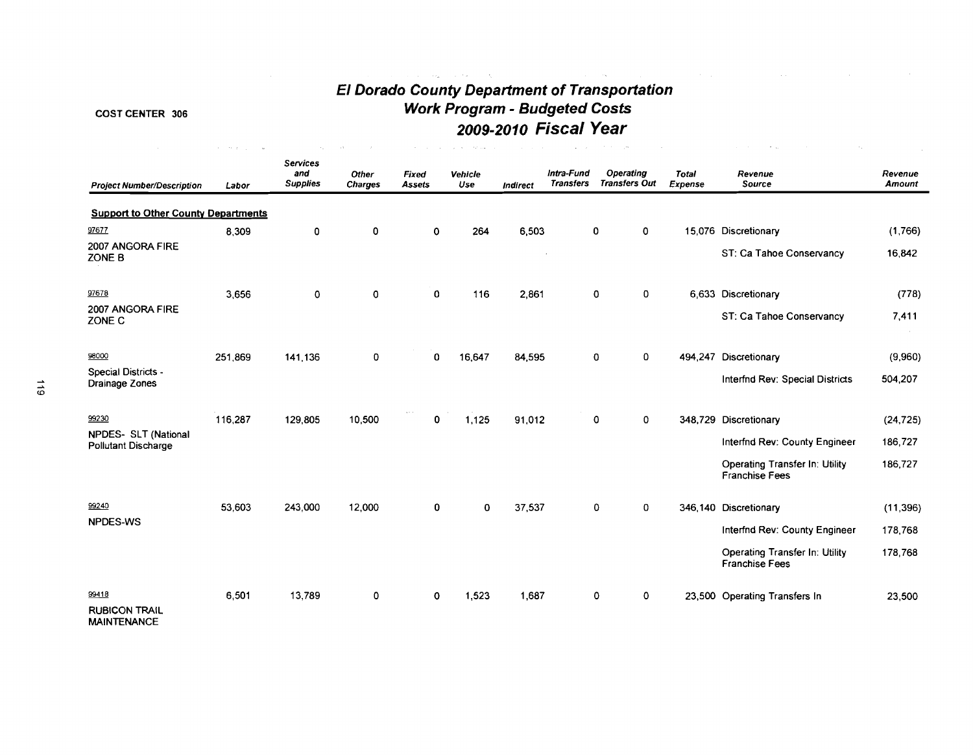# COST CENTER 306

and the state of the state

 $\mathcal{L}_{\text{max}}$  , and  $\mathcal{L}_{\text{max}}$  , and  $\mathcal{L}_{\text{max}}$ 

# **El Dorado County Department of Transportation Work Program** - **Budgeted Costs 2009-2010 Fiscal Year**

the contract of the contract of the contract of the contract of

والهادات الفاقات الهامات

| <b>Project Number/Description</b>                   | Labor   | <b>Services</b><br>and<br><b>Supplies</b> | <b>Other</b><br><b>Charges</b> | Fixed<br>Assets | Vehicle<br>Use | <b>Indirect</b> | Intra-Fund<br><b>Transfers</b> | <b>Operating</b><br><b>Transfers Out</b> | <b>Total</b><br>Expense | Revenue<br><b>Source</b>                                       | Revenue<br><b>Amount</b> |
|-----------------------------------------------------|---------|-------------------------------------------|--------------------------------|-----------------|----------------|-----------------|--------------------------------|------------------------------------------|-------------------------|----------------------------------------------------------------|--------------------------|
| <b>Support to Other County Departments</b>          |         |                                           |                                |                 |                |                 |                                |                                          |                         |                                                                |                          |
| 97677                                               | 8,309   | 0                                         | 0                              | $\mathbf 0$     | 264            | 6,503           |                                | 0<br>$\mathbf 0$                         |                         | 15,076 Discretionary                                           | (1,766)                  |
| 2007 ANGORA FIRE<br>ZONE B                          |         |                                           |                                |                 |                |                 |                                |                                          |                         | ST: Ca Tahoe Conservancy                                       | 16,842                   |
| 97678                                               | 3,656   | $\mathbf 0$                               | $\mathbf 0$                    | 0               | 116            | 2,861           |                                | $\mathbf 0$<br>0                         |                         | 6,633 Discretionary                                            | (778)                    |
| 2007 ANGORA FIRE<br>ZONE C                          |         |                                           |                                |                 |                |                 |                                |                                          |                         | ST: Ca Tahoe Conservancy                                       | 7,411                    |
| 98000                                               | 251,869 | 141.136                                   | 0                              | $\mathbf 0$     | 16,647         | 84,595          |                                | 0<br>$\mathbf 0$                         |                         | 494,247 Discretionary                                          | (9,960)                  |
| Special Districts -<br>Drainage Zones               |         |                                           |                                |                 |                |                 |                                |                                          |                         | Interfnd Rev: Special Districts                                | 504,207                  |
| 99230                                               | 116,287 | 129,805                                   | 10,500                         | $\mathbf 0$     | 1,125          | 91,012          |                                | $\mathbf 0$<br>$\mathbf 0$               |                         | 348,729 Discretionary                                          | (24, 725)                |
| NPDES- SLT (National<br><b>Pollutant Discharge</b>  |         |                                           |                                |                 |                |                 |                                |                                          |                         | Interfnd Rev: County Engineer                                  | 186,727                  |
|                                                     |         |                                           |                                |                 |                |                 |                                |                                          |                         | <b>Operating Transfer In: Utility</b><br><b>Franchise Fees</b> | 186,727                  |
| 99240                                               | 53,603  | 243,000                                   | 12,000                         | 0               | $\mathbf 0$    | 37,537          |                                | 0<br>0                                   |                         | 346,140 Discretionary                                          | (11, 396)                |
| <b>NPDES-WS</b>                                     |         |                                           |                                |                 |                |                 |                                |                                          |                         | <b>Interfnd Rev: County Engineer</b>                           | 178,768                  |
|                                                     |         |                                           |                                |                 |                |                 |                                |                                          |                         | Operating Transfer In: Utility<br><b>Franchise Fees</b>        | 178,768                  |
| 99418<br><b>RUBICON TRAIL</b><br><b>MAINTENANCE</b> | 6,501   | 13,789                                    | 0                              | $\mathbf 0$     | 1,523          | 1,687           |                                | $\mathbf 0$<br>0                         |                         | 23,500 Operating Transfers In                                  | 23,500                   |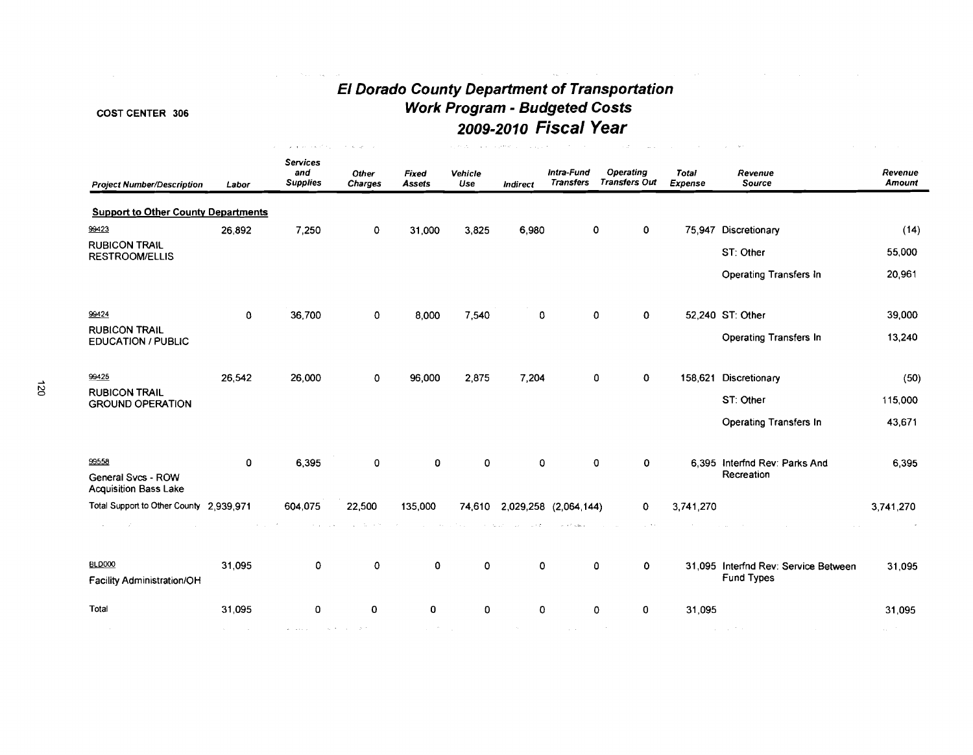$\hat{\mathcal{A}}_{\text{max}}$  and  $\hat{\mathcal{A}}_{\text{max}}$  and  $\hat{\mathcal{A}}_{\text{max}}$ 

and a proportion of the companies of

# **El Dorado County Department of Transportation**  COST CENTER 306 **Work Program** - **Budgeted Costs 2009-2010 Fiscal Year**

| <b>Project Number/Description</b>                  | Labor              | <b>Services</b><br>and<br><b>Supplies</b>                                                                 | Other<br><b>Charges</b> | Fixed<br><b>Assets</b>             | Vehicle<br>Use | <b>Indirect</b>               | Intra-Fund<br><b>Transfers</b> | Operating<br><b>Transfers Out</b>   | <b>Total</b><br>Expense | Revenue<br>Source                           | Revenue<br><b>Amount</b> |
|----------------------------------------------------|--------------------|-----------------------------------------------------------------------------------------------------------|-------------------------|------------------------------------|----------------|-------------------------------|--------------------------------|-------------------------------------|-------------------------|---------------------------------------------|--------------------------|
| <b>Support to Other County Departments</b>         |                    |                                                                                                           |                         |                                    |                |                               |                                |                                     |                         |                                             |                          |
| 99423                                              | 26,892             | 7,250                                                                                                     | 0                       | 31,000                             | 3,825          | 6,980                         | 0                              | $\mathbf 0$                         |                         | 75,947 Discretionary                        | (14)                     |
| <b>RUBICON TRAIL</b><br><b>RESTROOM/ELLIS</b>      |                    |                                                                                                           |                         |                                    |                |                               |                                |                                     |                         | ST: Other                                   | 55,000                   |
|                                                    |                    |                                                                                                           |                         |                                    |                |                               |                                |                                     |                         | Operating Transfers In                      | 20,961                   |
| 99424                                              | $\mathbf{0}$       | 36,700                                                                                                    | 0                       | 8,000                              | 7,540          | 0                             | $\Omega$                       | 0                                   |                         | 52,240 ST: Other                            | 39,000                   |
| <b>RUBICON TRAIL</b><br><b>EDUCATION / PUBLIC</b>  |                    |                                                                                                           |                         |                                    |                |                               |                                |                                     |                         | <b>Operating Transfers In</b>               | 13,240                   |
| 99425                                              | 26.542             | 26,000                                                                                                    | 0                       | 96,000                             | 2,875          | 7,204                         | 0                              | 0                                   |                         | 158,621 Discretionary                       | (50)                     |
| <b>RUBICON TRAIL</b><br><b>GROUND OPERATION</b>    |                    |                                                                                                           |                         |                                    |                |                               |                                |                                     |                         | ST: Other                                   | 115,000                  |
|                                                    |                    |                                                                                                           |                         |                                    |                |                               |                                |                                     |                         | Operating Transfers In                      | 43,671                   |
| 99558                                              | 0                  | 6,395                                                                                                     | $\mathbf 0$             | $\mathbf{0}$                       | 0              | $\mathbf 0$                   | $\mathbf 0$                    | $\mathbf 0$                         |                         | 6,395 Interfnd Rev: Parks And<br>Recreation | 6.395                    |
| General Svcs - ROW<br><b>Acquisition Bass Lake</b> |                    |                                                                                                           |                         |                                    |                |                               |                                |                                     |                         |                                             |                          |
| Total Support to Other County 2,939,971            |                    | 604,075                                                                                                   | 22,500                  | 135,000                            |                |                               | 74,610 2,029,258 (2,064,144)   | $\mathbf{o}$                        | 3,741,270               |                                             | 3,741,270                |
| contract of the state<br><b>Contract</b>           |                    | the contract of the contract of a significant contract of the contract of the contract of the contract of |                         |                                    |                | construction and construction | Contract Called C              | and the company<br><b>Carl Adam</b> |                         | $\sim 100$<br><b>Contract</b>               | $\sim 100$               |
| <b>BLD000</b>                                      | 31.095             | 0                                                                                                         | $\mathbf 0$             | 0                                  | $\Omega$       | 0                             | $\Omega$                       | 0                                   |                         | 31,095 Interfnd Rev: Service Between        | 31.095                   |
| <b>Facility Administration/OH</b>                  |                    |                                                                                                           |                         |                                    |                |                               |                                |                                     |                         | <b>Fund Types</b>                           |                          |
| Total                                              | 31,095             | 0                                                                                                         | 0                       | 0                                  | $\mathbf{0}$   | $\mathbf 0$                   | 0                              | $\mathbf 0$                         | 31,095                  |                                             | 31,095                   |
| $\sim 10^7$                                        | Article of the Art | services and control of the services of                                                                   |                         | $\omega = 2\pi/(\omega_{\rm max})$ |                | $\sim 10^{-11}$               | $\sim 10^{-1}$ km s $^{-1}$    | $\sim 100$                          |                         | and the first state                         | $\sim 10^{-11}$          |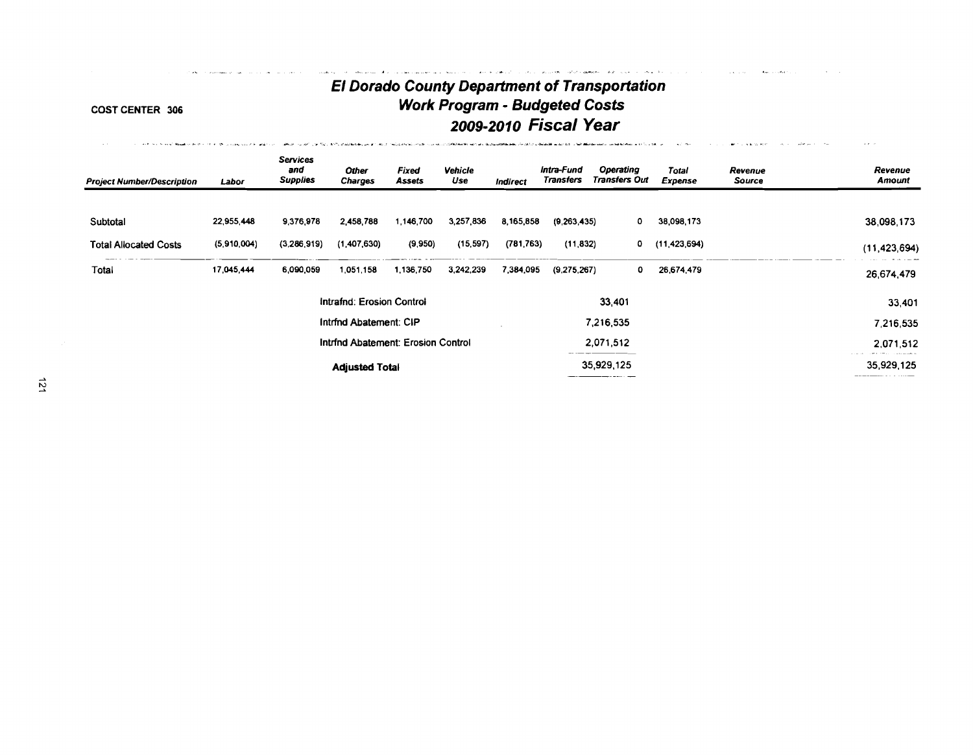# **El Dorado County Department of Transportation COST CENTER 306 Work Program** - **Budgeted Costs**

**2009-201 0 Fiscal Year** . ...-\* . .. .- ..." ", **,.-.<..b\*** ,- ".\* " **.b-..&-LL\*w.-.,** -&--&&\$--.-----\*-. - . . **P** ."

,. -- " . -.... ... . - **.,..d'** 

المستحدث للمعاري المتاريخ والمرار

**College** 

| <b>Project Number/Description</b> | Labor       | <b>Services</b><br>and<br><b>Supplies</b> | <b>Other</b><br><b>Charges</b>     | <b>Fixed</b><br>Assets | <b>Vehicle</b><br>Use | <b>Indirect</b> | Intra-Fund<br><b>Transfers</b> | Operating<br><b>Transfers Out</b> | <b>Total</b><br>Expense | Revenue<br>Source | Revenue<br><b>Amount</b> |
|-----------------------------------|-------------|-------------------------------------------|------------------------------------|------------------------|-----------------------|-----------------|--------------------------------|-----------------------------------|-------------------------|-------------------|--------------------------|
| Subtotal                          | 22,955,448  | 9.376.978                                 | 2.458,788                          | 1,146,700              | 3,257,836             | 8,165,858       | (9,263,435)                    | ٥                                 | 38,098,173              |                   | 38,098,173               |
| <b>Total Allocated Costs</b>      | (5,910,004) | (3,286,919)                               | (1,407,630)                        | (9,950)                | (15, 597)             | (781.763)       | (11, 832)                      | 0                                 | (11,423,694)            |                   | (11, 423, 694)           |
| <b>Total</b>                      | 17.045,444  | 6,090,059                                 | 1051158                            | 1,136,750              | 3,242,239             | 7,384,095       | (9,275,267)                    | ٥                                 | 26,674,479              |                   | 26.674.479               |
|                                   |             |                                           | Intrafnd: Erosion Control          |                        |                       |                 |                                | 33,401                            |                         |                   | 33,401                   |
|                                   |             |                                           | Intrind Abatement: CIP             |                        |                       |                 |                                | 7,216,535                         |                         |                   | 7,216,535                |
|                                   |             |                                           | Intrind Abatement: Erosion Control |                        |                       |                 |                                | 2,071,512                         |                         |                   | 2,071,512                |
|                                   |             |                                           | <b>Adjusted Total</b>              |                        |                       |                 |                                | 35,929,125                        |                         |                   | 35,929,125               |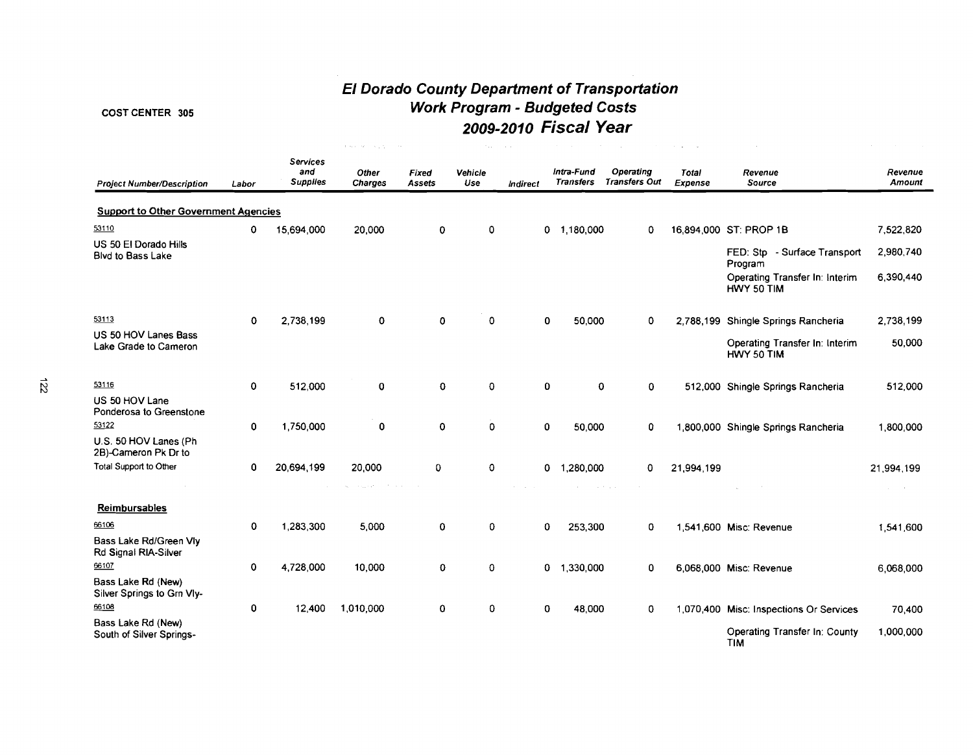# **El Dorado County Department of Transportation**  COST CENTER 305 **Work Program** - **Budgeted Costs 2009-201 0 Fiscal Year**

|                                                  |             |                                           | $\mathbf{r}_i(\mathbf{s}_i)_{i \in \mathbb{N}}$ , $\mathbf{r}_i(\mathbf{s}_i)_{i \in \mathbb{N}}$ , $\mathbf{r}_i(\mathbf{s}_i)_{i \in \mathbb{N}}$ , $\mathbf{r}_i$ |                        | <b>Page</b>    | $\sim 100$                                                  |                                |                                                        |                         |                                                    |                           |
|--------------------------------------------------|-------------|-------------------------------------------|----------------------------------------------------------------------------------------------------------------------------------------------------------------------|------------------------|----------------|-------------------------------------------------------------|--------------------------------|--------------------------------------------------------|-------------------------|----------------------------------------------------|---------------------------|
| <b>Project Number/Description</b>                | Labor       | <b>Services</b><br>and<br><b>Supplies</b> | Other<br><b>Charges</b>                                                                                                                                              | <b>Fixed</b><br>Assets | Vehicle<br>Use | <b>Indirect</b>                                             | Intra-Fund<br><b>Transfers</b> | Operating<br><b>Transfers Out</b>                      | <b>Total</b><br>Expense | Revenue<br><b>Source</b>                           | Revenue<br>Amount         |
| <b>Support to Other Government Agencies</b>      |             |                                           |                                                                                                                                                                      |                        |                |                                                             |                                |                                                        |                         |                                                    |                           |
| 53110                                            | 0           | 15,694,000                                | 20,000                                                                                                                                                               | $\mathbf 0$            | 0              |                                                             | $0$ 1,180,000                  | 0                                                      |                         | 16,894,000 ST: PROP 1B                             | 7,522,820                 |
| US 50 El Dorado Hills<br>Blvd to Bass Lake       |             |                                           |                                                                                                                                                                      |                        |                |                                                             |                                |                                                        |                         | FED: Stp - Surface Transport<br>Program            | 2,980,740                 |
|                                                  |             |                                           |                                                                                                                                                                      |                        |                |                                                             |                                |                                                        |                         | Operating Transfer In: Interim<br>HWY 50 TIM       | 6,390,440                 |
| 53113                                            | $\mathbf 0$ | 2,738,199                                 | 0                                                                                                                                                                    | $\mathbf 0$            | 0              |                                                             | 0<br>50,000                    | 0                                                      |                         | 2,788,199 Shingle Springs Rancheria                | 2,738,199                 |
| US 50 HOV Lanes Bass<br>Lake Grade to Cameron    |             |                                           |                                                                                                                                                                      |                        |                |                                                             |                                |                                                        |                         | Operating Transfer In: Interim<br>HWY 50 TIM       | 50,000                    |
| 53116                                            | 0           | 512,000                                   | 0                                                                                                                                                                    | $\mathbf 0$            | 0              |                                                             | 0                              | 0<br>$\mathbf 0$                                       |                         | 512,000 Shingle Springs Rancheria                  | 512,000                   |
| US 50 HOV Lane<br>Ponderosa to Greenstone        |             |                                           |                                                                                                                                                                      |                        |                |                                                             |                                |                                                        |                         |                                                    |                           |
| 53122                                            | 0           | 1,750,000                                 | 0                                                                                                                                                                    | 0                      | 0              |                                                             | $\mathbf 0$<br>50,000          | 0                                                      |                         | 1,800,000 Shingle Springs Rancheria                | 1,800,000                 |
| U.S. 50 HOV Lanes (Ph<br>2B)-Cameron Pk Dr to    |             |                                           |                                                                                                                                                                      |                        |                |                                                             |                                |                                                        |                         |                                                    |                           |
| Total Support to Other                           | 0           | 20.694,199                                | 20,000                                                                                                                                                               | 0                      | 0              |                                                             | $0$ 1,280,000                  | 0                                                      | 21,994,199              |                                                    | 21,994,199                |
|                                                  |             |                                           | and complete the transfer and                                                                                                                                        |                        |                | $\mathcal{A}^{\mathcal{A}}$ and $\mathcal{A}^{\mathcal{A}}$ |                                | $\alpha$ , and $\alpha$ , we can also<br>$\sim$ $\sim$ |                         | $\sim 10^{-1}$<br>$\sim$                           | $\sim$<br>$\sim 10^{-11}$ |
| Reimbursables                                    |             |                                           |                                                                                                                                                                      |                        |                |                                                             |                                |                                                        |                         |                                                    |                           |
| 66106                                            | 0           | 1,283,300                                 | 5.000                                                                                                                                                                | 0                      | 0              |                                                             | 0<br>253,300                   | 0                                                      |                         | 1,541,600 Misc: Revenue                            | 1,541,600                 |
| Bass Lake Rd/Green Vly<br>Rd Signal RIA-Silver   |             |                                           |                                                                                                                                                                      |                        |                |                                                             |                                |                                                        |                         |                                                    |                           |
| 66107                                            | 0           | 4,728,000                                 | 10,000                                                                                                                                                               | $\mathbf 0$            | 0              |                                                             | $0$ 1,330,000                  | 0                                                      |                         | 6,068,000 Misc: Revenue                            | 6,068,000                 |
| Bass Lake Rd (New)<br>Silver Springs to Grn Vly- |             |                                           |                                                                                                                                                                      |                        |                |                                                             |                                |                                                        |                         |                                                    |                           |
| 66108                                            | 0           | 12,400                                    | 1,010,000                                                                                                                                                            | $\Omega$               | 0              |                                                             | 0<br>48,000                    | 0                                                      |                         | 1,070,400 Misc: Inspections Or Services            | 70,400                    |
| Bass Lake Rd (New)<br>South of Silver Springs-   |             |                                           |                                                                                                                                                                      |                        |                |                                                             |                                |                                                        |                         | <b>Operating Transfer In: County</b><br><b>TIM</b> | 1,000,000                 |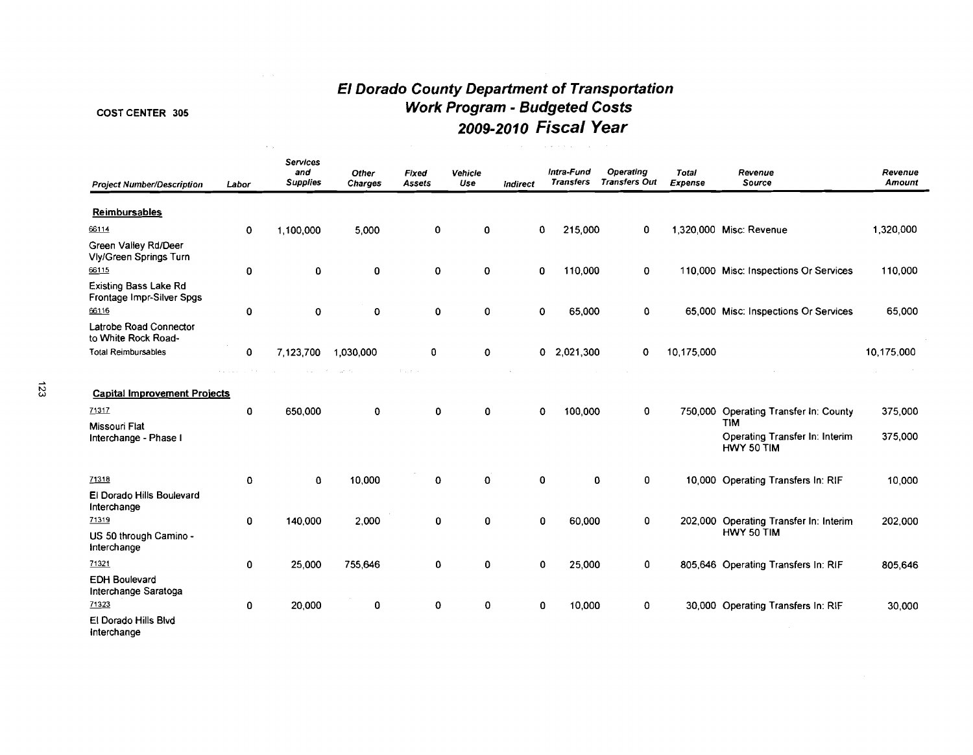#### COST CENTER 305

 $\sim$   $^{-1}$ 

# **El Dorado County Department of Transportation Work Program** - **Budgeted Costs 2009-2010 Fiscal Year**

| <b>Project Number/Description</b>                                                             | Labor       | <b>Services</b><br>and<br><b>Supplies</b> | Other<br>Charges | Fixed<br><b>Assets</b> | Vehicle<br>Use | Indirect | Intra-Fund<br><b>Transfers</b> | Operating<br><b>Transfers Out</b> | Total<br>Expense | Revenue<br>Source                                                                                   | Revenue<br>Amount  |
|-----------------------------------------------------------------------------------------------|-------------|-------------------------------------------|------------------|------------------------|----------------|----------|--------------------------------|-----------------------------------|------------------|-----------------------------------------------------------------------------------------------------|--------------------|
| Reimbursables                                                                                 |             |                                           |                  |                        |                |          |                                |                                   |                  |                                                                                                     |                    |
| 66114                                                                                         | $\mathbf 0$ | 1,100,000                                 | 5,000            | $\mathbf 0$            | 0              |          | 215,000<br>0                   | 0                                 |                  | 1.320.000 Misc: Revenue                                                                             | 1,320,000          |
| Green Valley Rd/Deer<br><b>Vly/Green Springs Turn</b>                                         |             |                                           |                  |                        |                |          |                                |                                   |                  |                                                                                                     |                    |
| 66115                                                                                         | 0           | $\mathbf 0$                               | 0                | $\mathbf 0$            | 0              |          | 110,000<br>0                   | 0                                 |                  | 110,000 Misc: Inspections Or Services                                                               | 110,000            |
| <b>Existing Bass Lake Rd</b><br>Frontage Impr-Silver Spgs                                     |             |                                           |                  |                        |                |          |                                |                                   |                  |                                                                                                     |                    |
| 66116                                                                                         | 0           | $\mathbf 0$                               | O                | $\mathbf 0$            | 0              |          | 65,000<br>$\mathbf 0$          | 0                                 |                  | 65,000 Misc: Inspections Or Services                                                                | 65,000             |
| Latrobe Road Connector<br>to White Rock Road-                                                 |             |                                           |                  |                        |                |          |                                |                                   |                  |                                                                                                     |                    |
| <b>Total Reimbursables</b>                                                                    | 0           | 7,123,700                                 | 1,030,000        | 0                      | $\mathbf 0$    |          | 2,021,300<br>0.                | $\Omega$                          | 10,175,000       |                                                                                                     | 10,175,000         |
| <b>Capital Improvement Projects</b><br>71317<br><b>Missouri Flat</b><br>Interchange - Phase I | $\mathbf 0$ | 650,000                                   | $\mathbf 0$      | $\mathbf{0}$           | 0              |          | 100,000<br>0                   | $\mathbf 0$                       |                  | 750,000 Operating Transfer In: County<br><b>TIM</b><br>Operating Transfer In: Interim<br>HWY 50 TIM | 375,000<br>375,000 |
| 71318                                                                                         | $\mathbf 0$ | 0                                         | 10,000           | 0                      | $\Omega$       |          | 0                              | 0<br>0                            |                  | 10,000 Operating Transfers In: RIF                                                                  | 10,000             |
| El Dorado Hills Boulevard<br>Interchange                                                      |             |                                           |                  |                        |                |          |                                |                                   |                  |                                                                                                     |                    |
| 71319                                                                                         | 0           | 140,000                                   | 2,000            | $\mathbf 0$            | $\mathbf 0$    |          | $\mathbf{0}$<br>60.000         | 0                                 |                  | 202,000 Operating Transfer In: Interim                                                              | 202,000            |
| US 50 through Camino -<br>Interchange                                                         |             |                                           |                  |                        |                |          |                                |                                   |                  | HWY 50 TIM                                                                                          |                    |
| 71321                                                                                         | 0           | 25,000                                    | 755,646          | 0                      | 0              |          | 25,000<br>0                    | 0                                 |                  | 805,646 Operating Transfers In: RIF                                                                 | 805,646            |
| <b>EDH Boulevard</b><br>Interchange Saratoga<br>71323                                         | 0           | 20,000                                    | 0                | 0                      | 0              |          | 10,000<br>0                    | 0                                 |                  | 30,000 Operating Transfers In: RIF                                                                  | 30.000             |
| El Dorado Hills Blvd                                                                          |             |                                           |                  |                        |                |          |                                |                                   |                  |                                                                                                     |                    |
|                                                                                               |             |                                           |                  |                        |                |          |                                |                                   |                  |                                                                                                     |                    |

lnterchange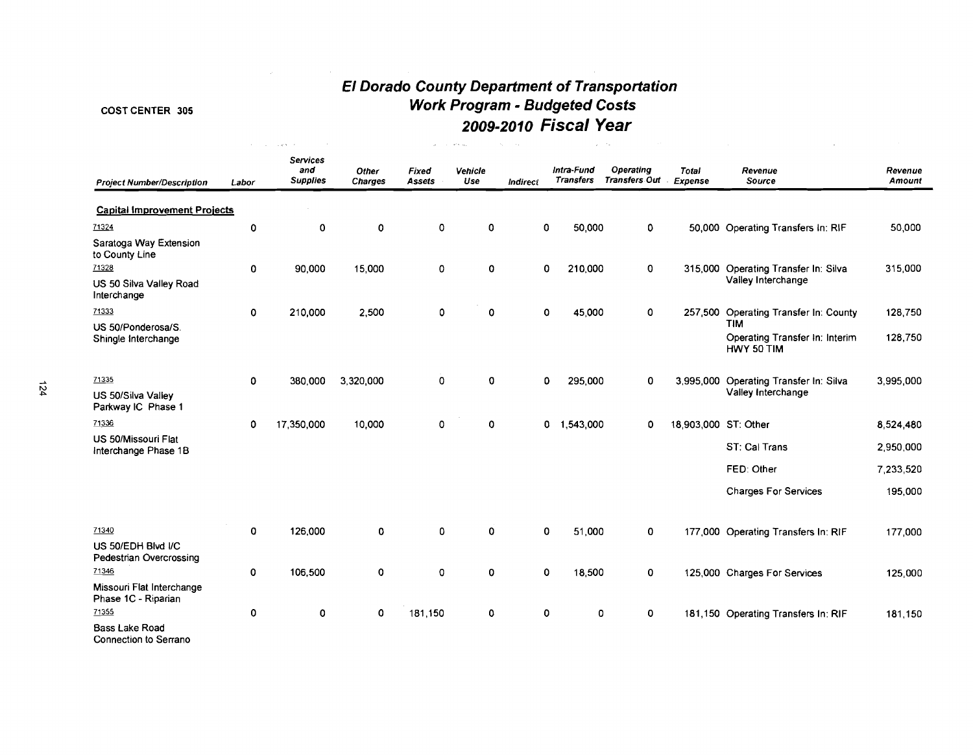and the state of the state of the state of

# **El Dorado County Department of Transportation**  COST CENTER 305 **Work Program** - **Budgeted Costs 2009-201 0 Fiscal Year**

 $\label{eq:1.1} \mathcal{L}=\left\{ \left\langle \mathbf{z}_{1},\cdots,\mathbf{z}_{N}\right\rangle \in\mathbb{R}^{N_{\mathrm{H}}}\left(\mathbf{z}_{1},\cdots,\mathbf{z}_{N}\right)\right\} ,\quad \mathcal{L}=\left\{ \mathbf{z}_{1},\cdots,\mathbf{z}_{N}\right\} ,\quad \mathcal{L}=\left\{ \mathbf{z}_{1},\cdots,\mathbf{z}_{N}\right\} ,$ 

| <b>Project Number/Description</b>                | Labor       | <b>Services</b><br>and<br><b>Supplies</b> | Other<br><b>Charges</b> | <b>Fixed</b><br><b>Assets</b> | Venicle<br>Use | Indirect | Intra-Fund<br><b>Transfers</b> | <b>Operating</b><br>Transfers Out | Total<br>Expense     | Revenue<br>Source                                   | Revenue<br>Amount |
|--------------------------------------------------|-------------|-------------------------------------------|-------------------------|-------------------------------|----------------|----------|--------------------------------|-----------------------------------|----------------------|-----------------------------------------------------|-------------------|
| <b>Capital Improvement Projects</b>              |             |                                           |                         |                               |                |          |                                |                                   |                      |                                                     |                   |
| 71324                                            | 0           | 0                                         | $\pmb{0}$               | 0                             | $\circ$        |          | 0<br>50,000                    | 0                                 |                      | 50,000 Operating Transfers In: RIF                  | 50,000            |
| Saratoga Way Extension<br>to County Line         |             |                                           |                         |                               |                |          |                                |                                   |                      |                                                     |                   |
| 71328                                            | 0           | 90,000                                    | 15,000                  | 0                             | 0              |          | 210,000<br>0                   | 0                                 |                      | 315,000 Operating Transfer In: Silva                | 315,000           |
| US 50 Silva Valley Road<br>Interchange           |             |                                           |                         |                               |                |          |                                |                                   |                      | Valley Interchange                                  |                   |
| 71333<br>US 50/Ponderosa/S.                      | 0           | 210,000                                   | 2,500                   | 0                             | $\mathbf 0$    |          | 45,000<br>0                    | 0                                 |                      | 257,500 Operating Transfer In: County<br><b>TIM</b> | 128,750           |
| Shingle Interchange                              |             |                                           |                         |                               |                |          |                                |                                   |                      | Operating Transfer In: Interim<br>HWY 50 TIM        | 128,750           |
| 71335                                            | $\mathbf 0$ | 380,000                                   | 3,320,000               | $\mathbf 0$                   | $\mathbf 0$    |          | 0<br>295,000                   | 0                                 |                      | 3,995,000 Operating Transfer In: Silva              | 3,995,000         |
| US 50/Silva Valley<br>Parkway IC Phase 1         |             |                                           |                         |                               |                |          |                                |                                   |                      | Valley Interchange                                  |                   |
| 71336                                            | 0           | 17,350,000                                | 10,000                  | 0                             | $\mathbf 0$    |          | 0<br>1,543,000                 | 0                                 | 18,903,000 ST: Other |                                                     | 8,524,480         |
| US 50/Missouri Flat                              |             |                                           |                         |                               |                |          |                                |                                   |                      | ST: Cal Trans                                       | 2,950,000         |
| Interchange Phase 1B                             |             |                                           |                         |                               |                |          |                                |                                   |                      |                                                     |                   |
|                                                  |             |                                           |                         |                               |                |          |                                |                                   |                      | FED: Other                                          | 7.233,520         |
|                                                  |             |                                           |                         |                               |                |          |                                |                                   |                      | <b>Charges For Services</b>                         | 195,000           |
| 71340                                            | 0           | 126,000                                   | 0                       | 0                             | $\mathbf 0$    |          | 0<br>51,000                    | 0                                 |                      | 177,000 Operating Transfers In: RIF                 | 177,000           |
| US 50/EDH Blvd I/C<br>Pedestrian Overcrossing    |             |                                           |                         |                               |                |          |                                |                                   |                      |                                                     |                   |
| 71346                                            | 0           | 106,500                                   | O                       | 0                             | $\mathbf 0$    |          | 0<br>18,500                    | 0                                 |                      | 125,000 Charges For Services                        | 125,000           |
| Missouri Flat Interchange<br>Phase 1C - Riparian |             |                                           |                         |                               |                |          |                                |                                   |                      |                                                     |                   |
| 71355                                            | 0           | 0                                         | $\mathbf 0$             | 181,150                       | $\mathbf 0$    | 0        | $\mathbf{0}$                   | 0                                 |                      | 181,150 Operating Transfers In: RIF                 | 181,150           |
| <b>Bass Lake Road</b><br>Connection to Serrano   |             |                                           |                         |                               |                |          |                                |                                   |                      |                                                     |                   |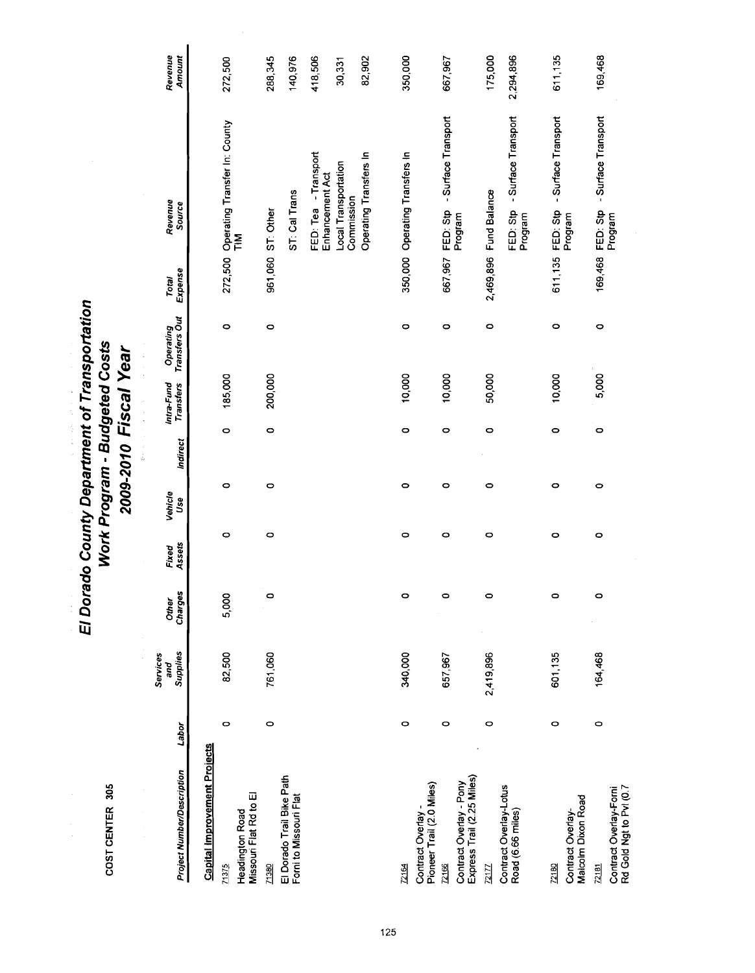| t<br>g |
|--------|
|        |
|        |

i<br>I

# El Dorado County Department of Transportation<br>Work Program - Budgeted Costs<br>2009-2010 Fiscal Year

医子宫神经 医骨髓

| Project Number/Description                                | Lapor     | Supplies<br>Services<br>and | Charges<br><b>Other</b> | Assets<br>Fixed | Vehicle<br>Use | Indirect | Intra-Fund<br>Transters | Operating<br>Transfers Out | Expense<br>Total  | Revenue<br>Source                          | Revenue<br>Amount |
|-----------------------------------------------------------|-----------|-----------------------------|-------------------------|-----------------|----------------|----------|-------------------------|----------------------------|-------------------|--------------------------------------------|-------------------|
| <b>Capital Improvement Projects</b>                       |           |                             |                         |                 |                |          |                         |                            |                   |                                            |                   |
| Missouri Flat Rd to El<br><b>Headington Road</b><br>71375 | o         | 82,500                      | 5,000                   | 0               | 0              | $\circ$  | 185,000                 | $\circ$                    |                   | 272,500 Operating Transfer In: County      | 272,500           |
| 71380                                                     | $\bullet$ | 761,060                     | $\circ$                 | 0               | $\circ$        | $\circ$  | 200,000                 | $\circ$                    | 961,060 ST: Other |                                            | 288,345           |
| El Dorado Trail Bike Path<br>Forni to Missouri Flat       |           |                             |                         |                 |                |          |                         |                            |                   | ST: Cal Trans                              | 140,976           |
|                                                           |           |                             |                         |                 |                |          |                         |                            |                   | FED: Tea - Transport<br>Enhancement Act    | 418,506           |
|                                                           |           |                             |                         |                 |                |          |                         |                            |                   | Local Transportation<br>Commission         | 30,331            |
|                                                           |           |                             |                         |                 |                |          |                         |                            |                   | Operating Transfers In                     | 82,902            |
| 72164                                                     | 0         | 340,000                     | $\circ$                 | 0               | $\bullet$      | 0        | 10,000                  | o                          |                   | 350,000 Operating Transfers In             | 350,000           |
| Pioneer Trail (2.0 Miles)<br>Contract Overlay -           |           |                             |                         |                 |                |          |                         |                            |                   |                                            |                   |
| 72166                                                     | 0         | 657,967                     | $\circ$                 | 0               | $\circ$        | 0        | 10,000                  | $\circ$                    | 667,967           | -Surface Transport<br>FED: Stp             | 667,967           |
| Express Trail (2.25 Miles)<br>Contract Overlay - Pony     |           |                             |                         |                 |                |          |                         |                            |                   | Program                                    |                   |
| 72177                                                     | 0         | 2,419,896                   | $\circ$                 | 0               | 0              | $\circ$  | 50,000                  | $\bullet$                  | 2,469,896         | Fund Balance                               | 175,000           |
| Contract Overlay-Lotus<br>Road (6.66 miles)               |           |                             |                         |                 |                |          |                         |                            |                   | FED: Stp - Surface Transport<br>Program    | 2,294,896         |
| Contract Overlay-<br>72180                                | $\circ$   | 601,135                     | $\circ$                 | 0               | $\circ$        | $\circ$  | 10,000                  | 0                          | 611, 135          | - Surface Transport<br>FED: Stp<br>Program | 611,135           |
| Malcolm Dixon Road<br>72181                               | $\circ$   | 164,468                     | $\circ$                 | 0               | $\circ$        | $\circ$  | 5,000                   | $\circ$                    | 169,468           | - Surface Transport<br>FED: Stp            | 169,468           |
| Rd Gold Ngt to Pvl (0.7<br>Contract Overlay-Forni         |           |                             |                         |                 |                |          |                         |                            |                   | Program                                    |                   |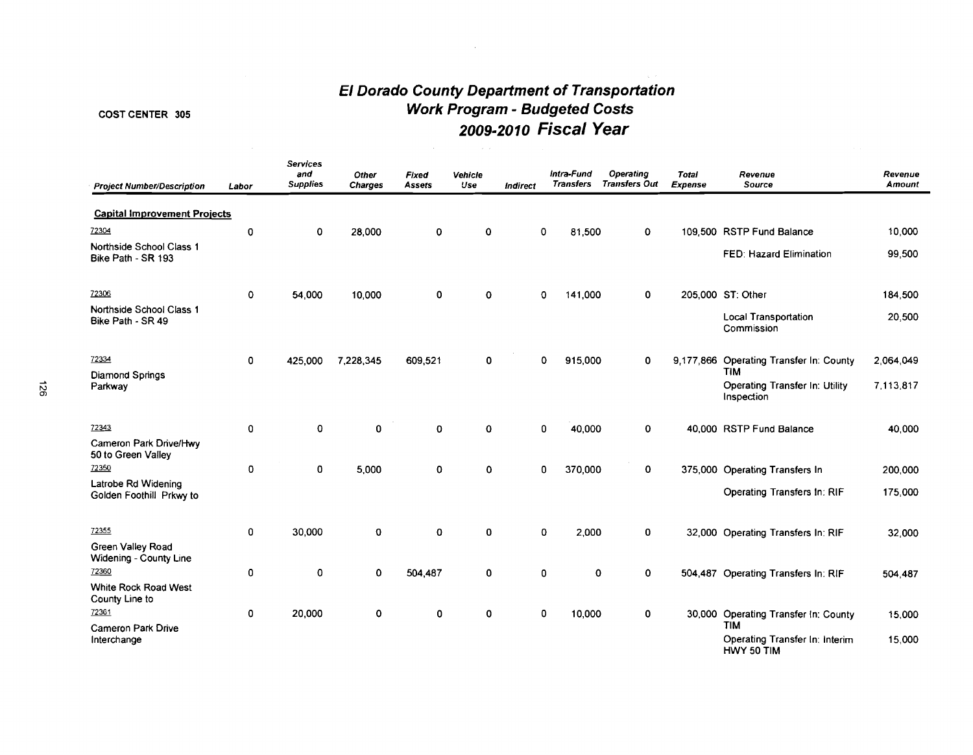# **El Dorado County Department of Transportation Work Program** - **Budgeted Costs 2009-2010 Fiscal Year**

 $\mathcal{A}^{\pm}$ 

# COST CENTER 305

| <b>Project Number/Description</b>               | Labor | <b>Services</b><br>and<br><b>Supplies</b> | Other<br><b>Charges</b> | Fixed<br>Assets | Vehicle<br>Use | Indirect | Intra-Fund<br><b>Transfers</b> | Operating<br><b>Transfers Out</b> | <b>Total</b><br>Expense | Revenue<br>Source                                   | Revenue<br>Amount |
|-------------------------------------------------|-------|-------------------------------------------|-------------------------|-----------------|----------------|----------|--------------------------------|-----------------------------------|-------------------------|-----------------------------------------------------|-------------------|
| <b>Capital Improvement Projects</b>             |       |                                           |                         |                 |                |          |                                |                                   |                         |                                                     |                   |
| 72304                                           | 0     | 0                                         | 28,000                  | 0               | 0              | 0        | 81,500                         | 0                                 |                         | 109,500 RSTP Fund Balance                           | 10,000            |
| Northside School Class 1<br>Bike Path - SR 193  |       |                                           |                         |                 |                |          |                                |                                   |                         | FED: Hazard Elimination                             | 99,500            |
| 72306                                           | 0     | 54,000                                    | 10,000                  | 0               | 0              | 0        | 141,000                        | 0                                 |                         | 205,000 ST: Other                                   | 184,500           |
| Northside School Class 1<br>Bike Path - SR 49   |       |                                           |                         |                 |                |          |                                |                                   |                         | <b>Local Transportation</b><br>Commission           | 20,500            |
| 72334                                           | 0     | 425,000                                   | 7,228,345               | 609,521         | 0              | 0        | 915,000                        | 0                                 |                         | 9,177,866 Operating Transfer In: County             | 2,064,049         |
| Diamond Springs<br>Parkway                      |       |                                           |                         |                 |                |          |                                |                                   |                         | TIM<br>Operating Transfer In: Utility<br>Inspection | 7,113,817         |
| 72343                                           | 0     | 0                                         | 0                       | 0               | 0              | 0        | 40,000                         | 0                                 |                         | 40,000 RSTP Fund Balance                            | 40,000            |
| Cameron Park Drive/Hwy<br>50 to Green Valley    |       |                                           |                         |                 |                |          |                                |                                   |                         |                                                     |                   |
| 72350                                           | 0     | 0                                         | 5,000                   | 0               | 0              | 0        | 370,000                        | 0                                 |                         | 375,000 Operating Transfers In                      | 200,000           |
| Latrobe Rd Widening<br>Golden Foothill Prkwy to |       |                                           |                         |                 |                |          |                                |                                   |                         | Operating Transfers In: RIF                         | 175,000           |
| 72355                                           | 0     | 30,000                                    | $\mathbf 0$             | 0               | 0              | 0        | 2,000                          | 0                                 |                         | 32,000 Operating Transfers In: RIF                  | 32,000            |
| Green Valley Road<br>Widening - County Line     |       |                                           |                         |                 |                |          |                                |                                   |                         |                                                     |                   |
| 72360                                           | 0     | 0                                         | $\mathbf 0$             | 504,487         | 0              | 0        |                                | 0<br>0                            |                         | 504,487 Operating Transfers In: RIF                 | 504,487           |
| White Rock Road West<br>County Line to          |       |                                           |                         |                 |                |          |                                |                                   |                         |                                                     |                   |
| 72361<br><b>Cameron Park Drive</b>              | 0     | 20,000                                    | 0                       | 0               | 0              | 0        | 10,000                         | 0                                 |                         | 30,000 Operating Transfer In: County<br><b>TIM</b>  | 15,000            |
| Interchange                                     |       |                                           |                         |                 |                |          |                                |                                   |                         | Operating Transfer In: Interim<br>HWY 50 TIM        | 15,000            |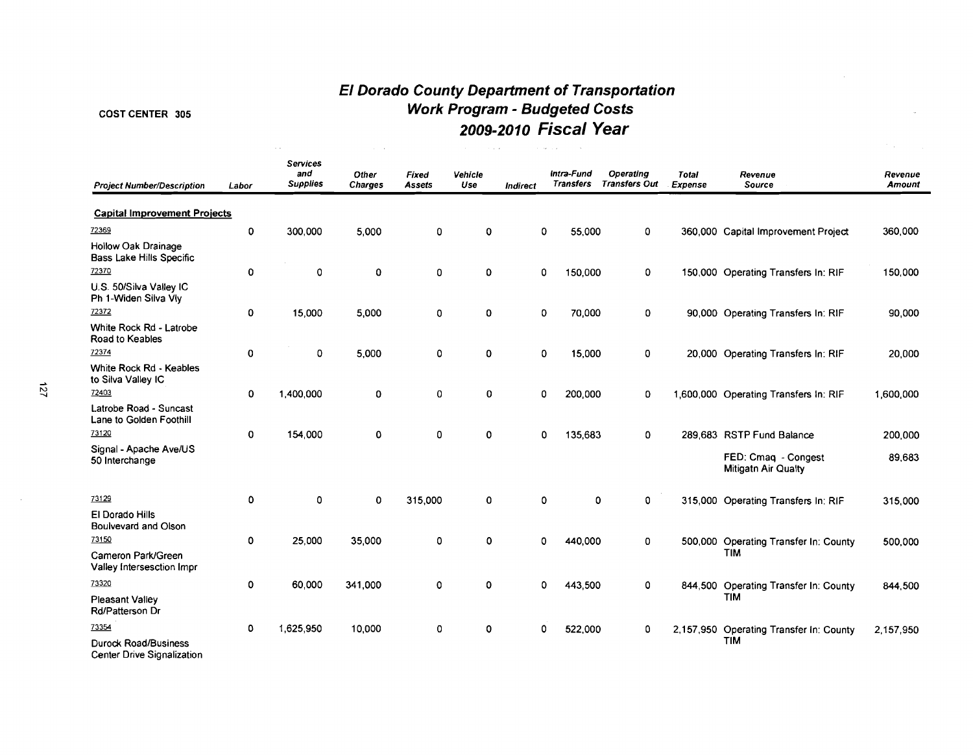# **El Dorado County Department of Transportation**  COST CENTER 305 **Work Program** - **Budgeted Costs 2009-201 o Fiscal Year**

 $\sim 10^{-1}$ 

| <b>Project Number/Description</b>                         | Labor              | <b>Services</b><br>and<br><b>Supplies</b> | Other<br><b>Charges</b> | Fixed<br><b>Assets</b> | Vehicle<br>Use | Indirect | Intra-Fund<br><b>Transfers</b> | <b>Operating</b><br><b>Transfers Out</b> | Total<br>Expense | Revenue<br>Source                          | Revenue<br>Amount |
|-----------------------------------------------------------|--------------------|-------------------------------------------|-------------------------|------------------------|----------------|----------|--------------------------------|------------------------------------------|------------------|--------------------------------------------|-------------------|
| <b>Capital Improvement Projects</b>                       |                    |                                           |                         |                        |                |          |                                |                                          |                  |                                            |                   |
| 72369                                                     | $\pmb{\mathsf{O}}$ | 300,000                                   | 5,000                   | 0                      | 0              |          | $\mathbf 0$<br>55,000          | 0                                        |                  | 360,000 Capital Improvement Project        | 360,000           |
| Hollow Oak Drainage<br><b>Bass Lake Hills Specific</b>    |                    |                                           |                         |                        |                |          |                                |                                          |                  |                                            |                   |
| 72370                                                     | 0                  | $\mathbf 0$                               | 0                       | 0                      | 0              |          | 0<br>150,000                   | 0                                        |                  | 150,000 Operating Transfers In: RIF        | 150,000           |
| U.S. 50/Silva Valley IC<br>Ph 1-Widen Silva Vly           |                    |                                           |                         |                        |                |          |                                |                                          |                  |                                            |                   |
| 72372                                                     | $\mathbf 0$        | 15,000                                    | 5.000                   | $\mathbf 0$            | 0              |          | 0<br>70,000                    | 0                                        |                  | 90,000 Operating Transfers In: RIF         | 90,000            |
| White Rock Rd - Latrobe<br>Road to Keables                |                    |                                           |                         |                        |                |          |                                |                                          |                  |                                            |                   |
| 72374                                                     | $\mathbf 0$        | 0                                         | 5,000                   | O                      | 0              |          | 0<br>15,000                    | 0                                        |                  | 20,000 Operating Transfers In: RIF         | 20,000            |
| White Rock Rd - Keables<br>to Silva Valley IC             |                    |                                           |                         |                        |                |          |                                |                                          |                  |                                            |                   |
| 72403                                                     | $\mathbf 0$        | 1,400,000                                 | 0                       | O                      | 0              |          | 0<br>200,000                   | 0                                        |                  | 1,600,000 Operating Transfers In: RIF      | 1,600,000         |
| Latrobe Road - Suncast<br>Lane to Golden Foothill         |                    |                                           |                         |                        |                |          |                                |                                          |                  |                                            |                   |
| 73120                                                     | $\mathbf 0$        | 154,000                                   | 0                       | 0                      | 0              |          | $\mathbf{0}$<br>135,683        | $\mathbf{0}$                             |                  | 289.683 RSTP Fund Balance                  | 200,000           |
| Signal - Apache Ave/US<br>50 Interchange                  |                    |                                           |                         |                        |                |          |                                |                                          |                  | FED: Cmaq - Congest<br>Mitigatn Air Qualty | 89.683            |
| 73129                                                     | $\mathbf 0$        | 0                                         | $\mathbf 0$             | 315,000                | 0              |          | 0                              | 0<br>0                                   |                  | 315,000 Operating Transfers In: RIF        | 315,000           |
| El Dorado Hills<br>Boulvevard and Olson                   |                    |                                           |                         |                        |                |          |                                |                                          |                  |                                            |                   |
| 73150                                                     | 0                  | 25,000                                    | 35,000                  | 0                      | 0              |          | 440,000<br>$\mathbf{0}$        | 0                                        |                  | 500,000 Operating Transfer In: County      | 500,000           |
| Cameron Park/Green<br>Valley Intersesction Impr           |                    |                                           |                         |                        |                |          |                                |                                          |                  | <b>TIM</b>                                 |                   |
| 73320                                                     | 0                  | 60,000                                    | 341,000                 | 0                      | 0              |          | 0<br>443,500                   | 0                                        |                  | 844,500 Operating Transfer In: County      | 844,500           |
| <b>Pleasant Valley</b><br>Rd/Patterson Dr                 |                    |                                           |                         |                        |                |          |                                |                                          |                  | <b>TIM</b>                                 |                   |
| 73354                                                     | 0                  | 1,625,950                                 | 10,000                  | 0                      | 0              |          | $\mathbf 0$<br>522,000         | 0                                        |                  | 2,157,950 Operating Transfer In: County    | 2,157,950         |
| <b>Durock Road/Business</b><br>Center Drive Signalization |                    |                                           |                         |                        |                |          |                                |                                          |                  | <b>TIM</b>                                 |                   |

 $\sim 10^7$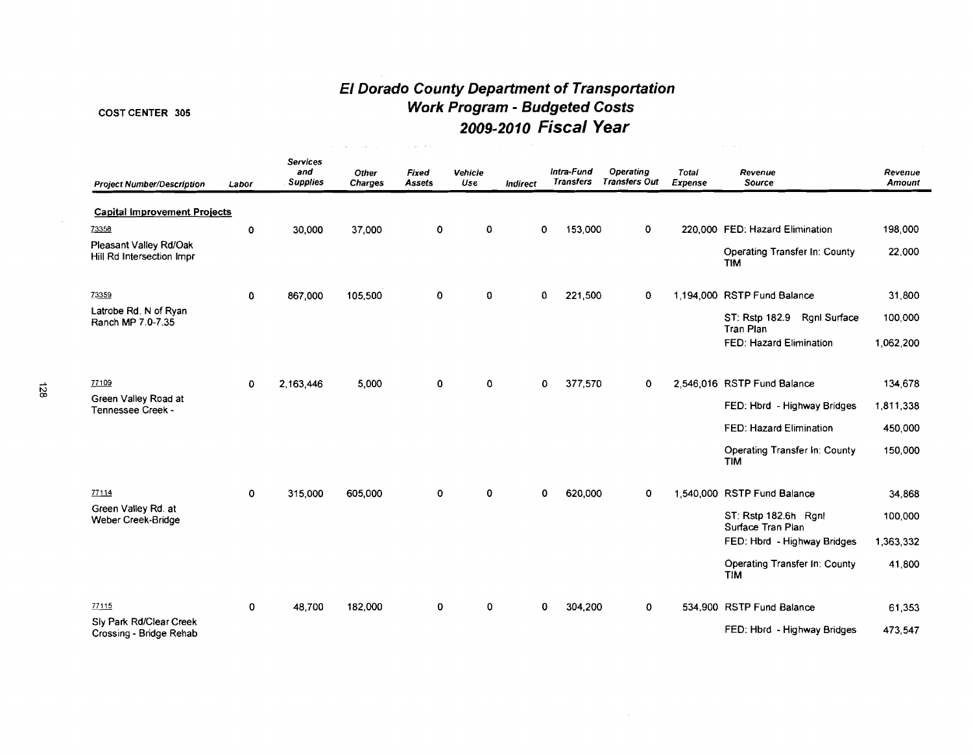# **El Dorado County Department of Transportation**  COST CENTER 305 **Work Program** - **Budgeted Costs**

الی ہے۔<br>اس کے مطابق اس کے اس کے مطابق اس کے مطابق اس کے مطابق اس کا مطابق اس کے مطابق اس کے مطابق اس کا مطابق استعمال

| 110m mugram - Daugeteu Oosts |  |
|------------------------------|--|
| 2009-2010 Fiscal Year        |  |

| <b>Project Number/Description</b>                   | Labor       | <b>Services</b><br>and<br><b>Supplies</b> | Other<br><b>Charges</b> | Fixed<br>Assets | Vehicle<br>Use | <b>Indirect</b> |             | Intra-Fund<br><b>Transfers</b> | <b>Operating</b><br><b>Transfers Out</b> | <b>Total</b><br>Expense | Revenue<br>Source                                         | Revenue<br>Amount |
|-----------------------------------------------------|-------------|-------------------------------------------|-------------------------|-----------------|----------------|-----------------|-------------|--------------------------------|------------------------------------------|-------------------------|-----------------------------------------------------------|-------------------|
| <b>Capital Improvement Projects</b>                 |             |                                           |                         |                 |                |                 |             |                                |                                          |                         |                                                           |                   |
| 73358                                               | $\pmb{0}$   | 30,000                                    | 37,000                  | 0               | 0              |                 | 0           | 153,000                        | 0                                        |                         | 220,000 FED: Hazard Elimination                           | 198,000           |
| Pleasant Valley Rd/Oak<br>Hill Rd Intersection Impr |             |                                           |                         |                 |                |                 |             |                                |                                          |                         | Operating Transfer In: County<br><b>TIM</b>               | 22,000            |
| 73359                                               | 0           | 867,000                                   | 105,500                 | 0               | 0              |                 | 0           | 221,500                        | 0                                        |                         | 1,194,000 RSTP Fund Balance                               | 31,800            |
| Latrobe Rd. N of Ryan<br>Ranch MP 7.0-7.35          |             |                                           |                         |                 |                |                 |             |                                |                                          |                         | ST: Rstp 182.9<br><b>Rgnl Surface</b><br><b>Tran Plan</b> | 100,000           |
|                                                     |             |                                           |                         |                 |                |                 |             |                                |                                          |                         | FED: Hazard Elimination                                   | 1,062,200         |
| 77109                                               | 0           | 2,163,446                                 | 5,000                   | 0               | 0              |                 | $\mathbf 0$ | 377,570                        | $\mathbf{0}$                             |                         | 2,546,016 RSTP Fund Balance                               | 134,678           |
| Green Valley Road at<br>Tennessee Creek -           |             |                                           |                         |                 |                |                 |             |                                |                                          |                         | FED: Hbrd - Highway Bridges                               | 1,811,338         |
|                                                     |             |                                           |                         |                 |                |                 |             |                                |                                          |                         | FED: Hazard Elimination                                   | 450,000           |
|                                                     |             |                                           |                         |                 |                |                 |             |                                |                                          |                         | Operating Transfer In: County<br><b>TIM</b>               | 150,000           |
| 77114                                               | $\mathbf 0$ | 315,000                                   | 605,000                 | 0               | 0              |                 | 0           | 620,000                        | $\mathbf 0$                              |                         | 1,540,000 RSTP Fund Balance                               | 34,868            |
| Green Valley Rd. at<br>Weber Creek-Bridge           |             |                                           |                         |                 |                |                 |             |                                |                                          |                         | ST: Rstp 182.6h Rgnl<br>Surface Tran Plan                 | 100,000           |
|                                                     |             |                                           |                         |                 |                |                 |             |                                |                                          |                         | FED: Hbrd - Highway Bridges                               | 1,363,332         |
|                                                     |             |                                           |                         |                 |                |                 |             |                                |                                          |                         | Operating Transfer In: County<br><b>TIM</b>               | 41,800            |
| 77115                                               | $\mathbf 0$ | 48,700                                    | 182,000                 | 0               | 0              |                 | 0           | 304,200                        | $\mathbf 0$                              |                         | 534,900 RSTP Fund Balance                                 | 61.353            |
| Sly Park Rd/Clear Creek<br>Crossing - Bridge Rehab  |             |                                           |                         |                 |                |                 |             |                                |                                          |                         | FED: Hbrd - Highway Bridges                               | 473,547           |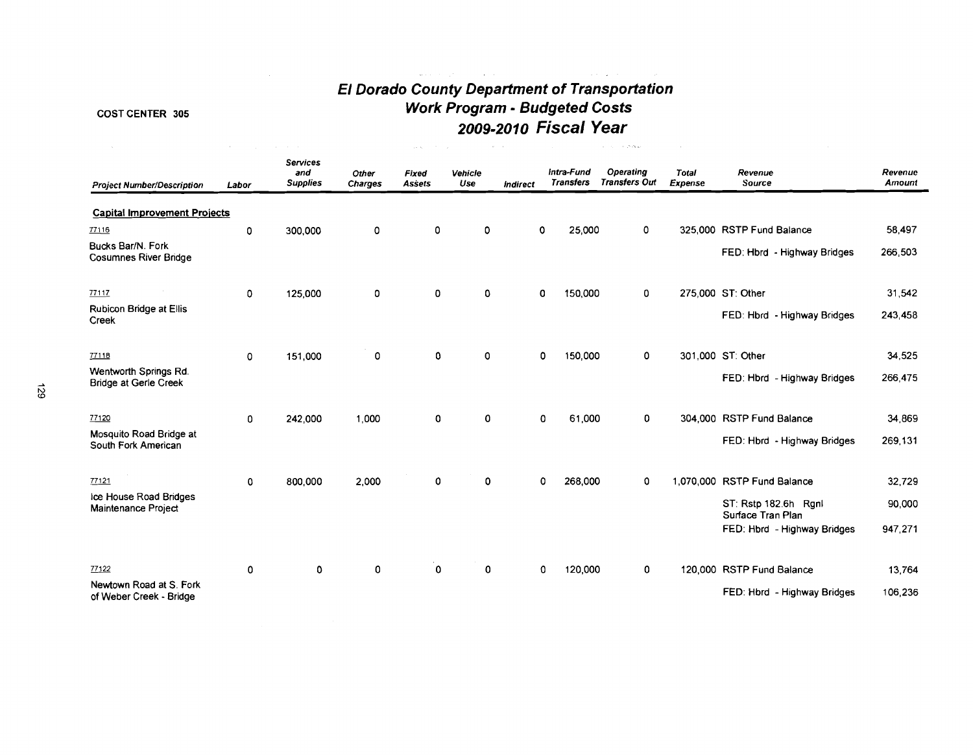# **El Dorado County Department of Transportation Work Program** - **Budgeted Costs 2009-2010 Fiscal Year**

# COST CENTER 305

| $\sim$                                                | $\sim$      | and a string of the state                 |                  | Walter Street          |                | $\omega_{\rm{eff}}=1$ . |                                | $\mathbf{y}=(x_1,\ldots,x_n)$ . Notice $\mathbf{y}$ |                  |                                           |                   |
|-------------------------------------------------------|-------------|-------------------------------------------|------------------|------------------------|----------------|-------------------------|--------------------------------|-----------------------------------------------------|------------------|-------------------------------------------|-------------------|
| <b>Project Number/Description</b>                     | Labor       | <b>Services</b><br>and<br><b>Supplies</b> | Other<br>Charges | Fixed<br><b>Assets</b> | Vehicle<br>Use | <b>Indirect</b>         | Intra-Fund<br><b>Transfers</b> | Operating<br><b>Transfers Out</b>                   | Total<br>Expense | Revenue<br>Source                         | Revenue<br>Amount |
| <b>Capital Improvement Projects</b>                   |             |                                           |                  |                        |                |                         |                                |                                                     |                  |                                           |                   |
| 77116                                                 | 0           | 300,000                                   | 0                | 0                      | 0              |                         | 25,000<br>$\Omega$             | $\Omega$                                            |                  | 325,000 RSTP Fund Balance                 | 58,497            |
| Bucks Bar/N. Fork<br><b>Cosumnes River Bridge</b>     |             |                                           |                  |                        |                |                         |                                |                                                     |                  | FED: Hbrd - Highway Bridges               | 266,503           |
| 77117                                                 | $\mathbf 0$ | 125,000                                   | 0                | $\mathbf 0$            | 0              |                         | 150,000<br>O                   | $\mathbf{0}$                                        |                  | 275,000 ST: Other                         | 31,542            |
| Rubicon Bridge at Ellis<br>Creek                      |             |                                           |                  |                        |                |                         |                                |                                                     |                  | FED: Hbrd - Highway Bridges               | 243,458           |
| 77118                                                 | $\mathbf 0$ | 151,000                                   | $\mathbf 0$      | 0                      | $\mathbf 0$    |                         | 0<br>150,000                   | 0                                                   |                  | 301,000 ST: Other                         | 34,525            |
| Wentworth Springs Rd.<br><b>Bridge at Gerle Creek</b> |             |                                           |                  |                        |                |                         |                                |                                                     |                  | FED: Hbrd - Highway Bridges               | 266,475           |
| 77120                                                 | 0           | 242,000                                   | 1,000            | $\mathbf 0$            | 0              |                         | 61,000<br>$\mathbf{0}$         | 0                                                   |                  | 304,000 RSTP Fund Balance                 | 34,869            |
| Mosquito Road Bridge at<br>South Fork American        |             |                                           |                  |                        |                |                         |                                |                                                     |                  | FED: Hbrd - Highway Bridges               | 269.131           |
| 77121                                                 | $\mathbf 0$ | 800,000                                   | 2.000            | $\mathbf 0$            | 0              |                         | 268,000<br>0                   | 0                                                   |                  | 1,070,000 RSTP Fund Balance               | 32,729            |
| Ice House Road Bridges<br><b>Maintenance Project</b>  |             |                                           |                  |                        |                |                         |                                |                                                     |                  | ST: Rstp 182.6h Rgnl<br>Surface Tran Plan | 90,000            |
|                                                       |             |                                           |                  |                        |                |                         |                                |                                                     |                  | FED: Hbrd - Highway Bridges               | 947,271           |
| 77122                                                 | 0           | 0                                         | 0                | 0                      | 0              |                         | 120,000<br>0                   | 0                                                   |                  | 120,000 RSTP Fund Balance                 | 13,764            |
| Newtown Road at S. Fork<br>of Weber Creek - Bridge    |             |                                           |                  |                        |                |                         |                                |                                                     |                  | FED: Hbrd - Highway Bridges               | 106,236           |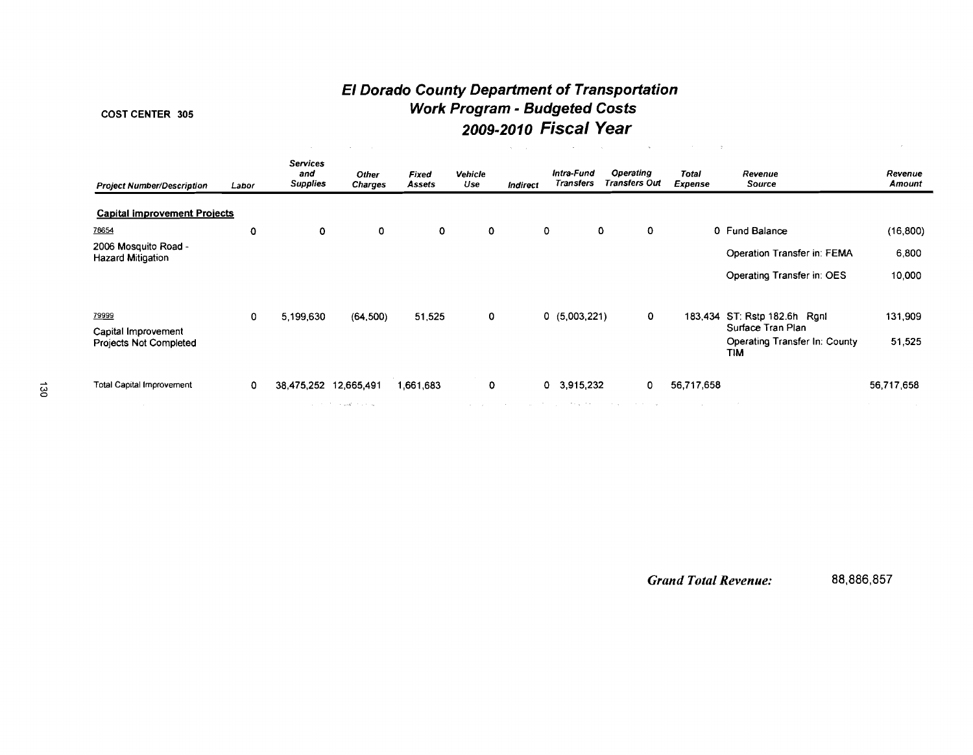# **El Dorado County Department of Transportation Work Program** - **Budgeted Costs 2009-2010 Fiscal Year**

# **COST CENTER 305**

|                                                      |          |                                           | <b>Contract</b><br><b>Contractor</b> |                        |                | All Corp.                                     |                                | $\sim$                            |                         | <b>STAR</b>                                                      |                          |
|------------------------------------------------------|----------|-------------------------------------------|--------------------------------------|------------------------|----------------|-----------------------------------------------|--------------------------------|-----------------------------------|-------------------------|------------------------------------------------------------------|--------------------------|
| <b>Project Number/Description</b>                    | Labor    | <b>Services</b><br>and<br><b>Supplies</b> | <b>Other</b><br>Charges              | Fixed<br><b>Assets</b> | Vehicle<br>Use | <b>Indirect</b>                               | Intra-Fund<br><b>Transfers</b> | Operating<br><b>Transfers Out</b> | <b>Total</b><br>Expense | Revenue<br>Source                                                | Revenue<br>Amount        |
| <b>Capital improvement Projects</b>                  |          |                                           |                                      |                        |                |                                               |                                |                                   |                         |                                                                  |                          |
| 78654                                                | 0        | 0                                         | 0                                    | 0                      | 0              |                                               | 0                              | 0<br>0                            |                         | 0 Fund Balance                                                   | (16, 800)                |
| 2006 Mosquito Road -<br><b>Hazard Mitigation</b>     |          |                                           |                                      |                        |                |                                               |                                |                                   |                         | Operation Transfer in: FEMA                                      | 6,800                    |
|                                                      |          |                                           |                                      |                        |                |                                               |                                |                                   |                         | Operating Transfer in: OES                                       | 10,000                   |
| 79999                                                | 0        | 5,199,630                                 | (64, 500)                            | 51,525                 | 0              |                                               | 0(5,003,221)                   | $\mathbf{o}$                      |                         | 183,434 ST: Rstp 182.6h Rgnl                                     | 131,909                  |
| Capital Improvement<br><b>Projects Not Completed</b> |          |                                           |                                      |                        |                |                                               |                                |                                   |                         | Surface Tran Plan<br>Operating Transfer In: County<br><b>TIM</b> | 51,525                   |
| <b>Total Capital Improvement</b>                     | $\Omega$ | 38.475.252 12.665.491                     |                                      | 1,661,683              | $\mathbf 0$    |                                               | $0$ 3,915,232                  | 0                                 | 56,717,658              |                                                                  | 56,717,658               |
|                                                      |          |                                           | and the first standard contact       |                        |                | state and the state of the state of the state |                                | structure in the control of the   | <b>Contractor</b>       |                                                                  | <b>Contract Contract</b> |

*Grand Total Revenue:* 88,886,857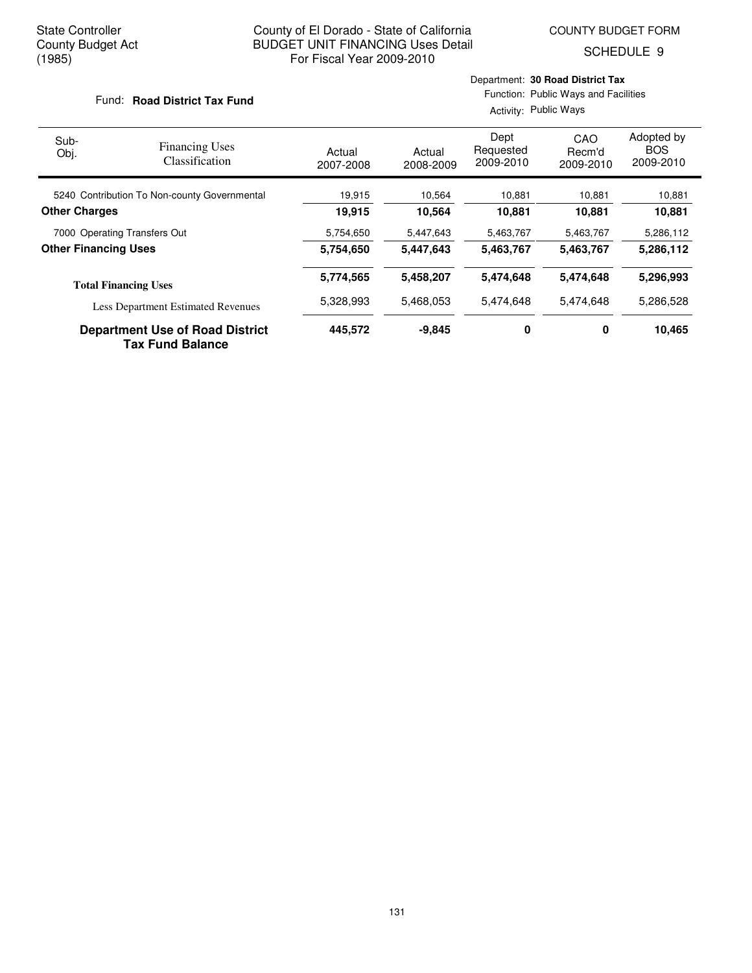SCHEDULE 9

#### Fund: Road District Tax Fund

Activity: Public Ways

| Sub-<br>Obj.                | <b>Financing Uses</b><br><b>Classification</b>                    | Actual<br>2007-2008 | Actual<br>2008-2009 | Dept<br>Requested<br>2009-2010 | CAO<br>Recm'd<br>2009-2010 | Adopted by<br><b>BOS</b><br>2009-2010 |
|-----------------------------|-------------------------------------------------------------------|---------------------|---------------------|--------------------------------|----------------------------|---------------------------------------|
|                             | 5240 Contribution To Non-county Governmental                      | 19,915              | 10.564              | 10.881                         | 10,881                     | 10,881                                |
| <b>Other Charges</b>        |                                                                   | 19,915              | 10,564              | 10,881                         | 10,881                     | 10,881                                |
|                             | 7000 Operating Transfers Out                                      | 5,754,650           | 5,447,643           | 5,463,767                      | 5,463,767                  | 5,286,112                             |
| <b>Other Financing Uses</b> |                                                                   | 5,754,650           | 5,447,643           | 5,463,767                      | 5,463,767                  | 5,286,112                             |
|                             | <b>Total Financing Uses</b>                                       | 5,774,565           | 5,458,207           | 5,474,648                      | 5,474,648                  | 5,296,993                             |
|                             | <b>Less Department Estimated Revenues</b>                         | 5,328,993           | 5,468,053           | 5,474,648                      | 5,474,648                  | 5,286,528                             |
|                             | <b>Department Use of Road District</b><br><b>Tax Fund Balance</b> | 445,572             | $-9,845$            | 0                              | 0                          | 10,465                                |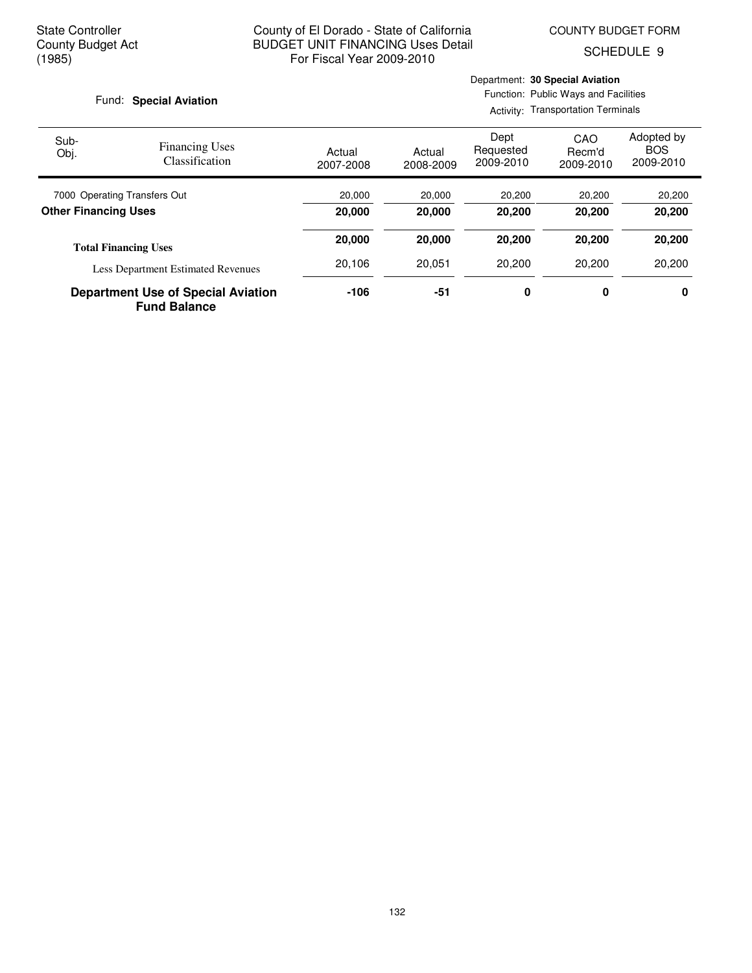SCHEDULE 9

#### Fund: Special Aviation

Activity: Transportation Terminals

| Sub-<br>Obj.                | <b>Financing Uses</b><br>Classification                          | Actual<br>2007-2008 | Actual<br>2008-2009 | Dept<br>Requested<br>2009-2010 | CAO<br>Recm'd<br>2009-2010 | Adopted by<br><b>BOS</b><br>2009-2010 |
|-----------------------------|------------------------------------------------------------------|---------------------|---------------------|--------------------------------|----------------------------|---------------------------------------|
|                             | 7000 Operating Transfers Out                                     | 20,000              | 20,000              | 20,200                         | 20,200                     | 20,200                                |
| <b>Other Financing Uses</b> |                                                                  | 20,000              | 20,000              | 20,200                         | 20,200                     | 20,200                                |
|                             | <b>Total Financing Uses</b>                                      | 20,000              | 20,000              | 20,200                         | 20,200                     | 20,200                                |
|                             | <b>Less Department Estimated Revenues</b>                        | 20.106              | 20.051              | 20,200                         | 20,200                     | 20,200                                |
|                             | <b>Department Use of Special Aviation</b><br><b>Fund Balance</b> | $-106$              | -51                 | 0                              | 0                          | 0                                     |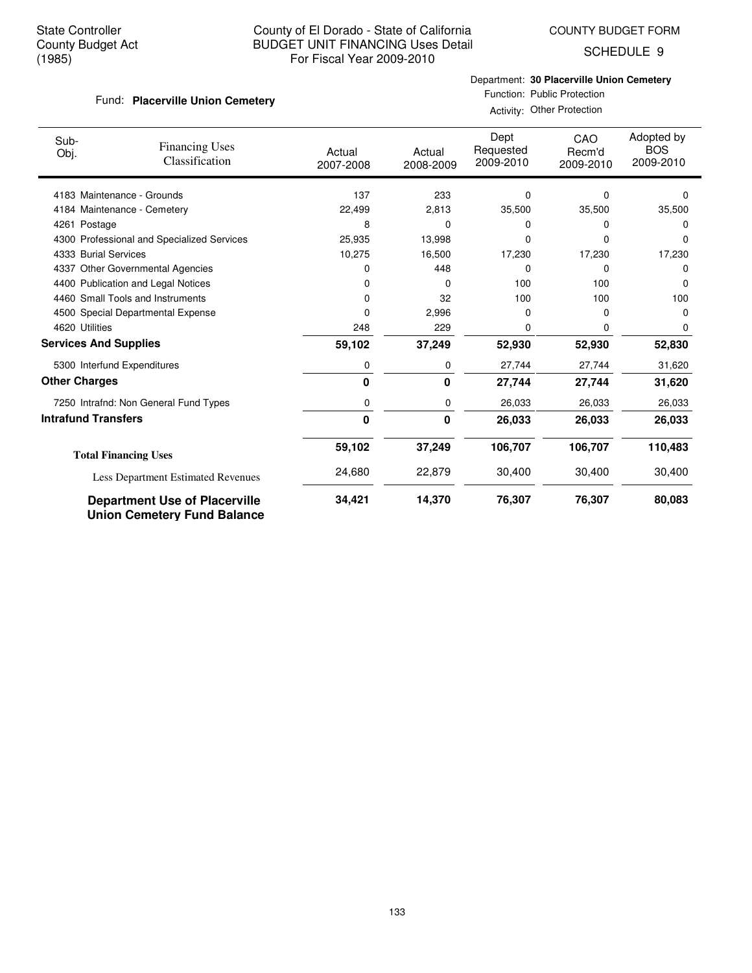COUNTY BUDGET FORM

SCHEDULE 9

# Fund: Placerville Union Cemetery

Department: **30 Placerville Union Cemetery**

Function: Public Protection Activity: Other Protection

| Sub-<br>Obj.                 | <b>Financing Uses</b><br>Classification                                    | Actual<br>2007-2008 | Actual<br>2008-2009 | Dept<br>Requested<br>2009-2010 | CAO<br>Recm'd<br>2009-2010 | Adopted by<br><b>BOS</b><br>2009-2010 |
|------------------------------|----------------------------------------------------------------------------|---------------------|---------------------|--------------------------------|----------------------------|---------------------------------------|
|                              | 4183 Maintenance - Grounds                                                 | 137                 | 233                 | 0                              | 0                          | $\Omega$                              |
|                              | 4184 Maintenance - Cemetery                                                | 22,499              | 2,813               | 35,500                         | 35,500                     | 35,500                                |
| 4261 Postage                 |                                                                            | 8                   | 0                   | 0                              | 0                          | O                                     |
|                              | 4300 Professional and Specialized Services                                 | 25,935              | 13,998              | 0                              | 0                          | 0                                     |
| 4333 Burial Services         |                                                                            | 10,275              | 16,500              | 17,230                         | 17,230                     | 17,230                                |
| 4337                         | <b>Other Governmental Agencies</b>                                         | 0                   | 448                 | 0                              | 0                          | 0                                     |
|                              | 4400 Publication and Legal Notices                                         | 0                   | 0                   | 100                            | 100                        | 0                                     |
|                              | 4460 Small Tools and Instruments                                           | 0                   | 32                  | 100                            | 100                        | 100                                   |
|                              | 4500 Special Departmental Expense                                          | 0                   | 2,996               | 0                              | 0                          | $\Omega$                              |
| 4620 Utilities               |                                                                            | 248                 | 229                 | 0                              | 0                          | 0                                     |
| <b>Services And Supplies</b> |                                                                            | 59,102              | 37,249              | 52,930                         | 52,930                     | 52,830                                |
|                              | 5300 Interfund Expenditures                                                | 0                   | 0                   | 27,744                         | 27,744                     | 31,620                                |
| <b>Other Charges</b>         |                                                                            | 0                   | 0                   | 27,744                         | 27,744                     | 31,620                                |
|                              | 7250 Intrafnd: Non General Fund Types                                      | 0                   | 0                   | 26,033                         | 26,033                     | 26,033                                |
| <b>Intrafund Transfers</b>   |                                                                            | 0                   | 0                   | 26,033                         | 26,033                     | 26,033                                |
|                              | <b>Total Financing Uses</b>                                                | 59,102              | 37,249              | 106,707                        | 106,707                    | 110,483                               |
|                              | Less Department Estimated Revenues                                         | 24,680              | 22,879              | 30,400                         | 30,400                     | 30,400                                |
|                              | <b>Department Use of Placerville</b><br><b>Union Cemetery Fund Balance</b> | 34,421              | 14,370              | 76,307                         | 76,307                     | 80,083                                |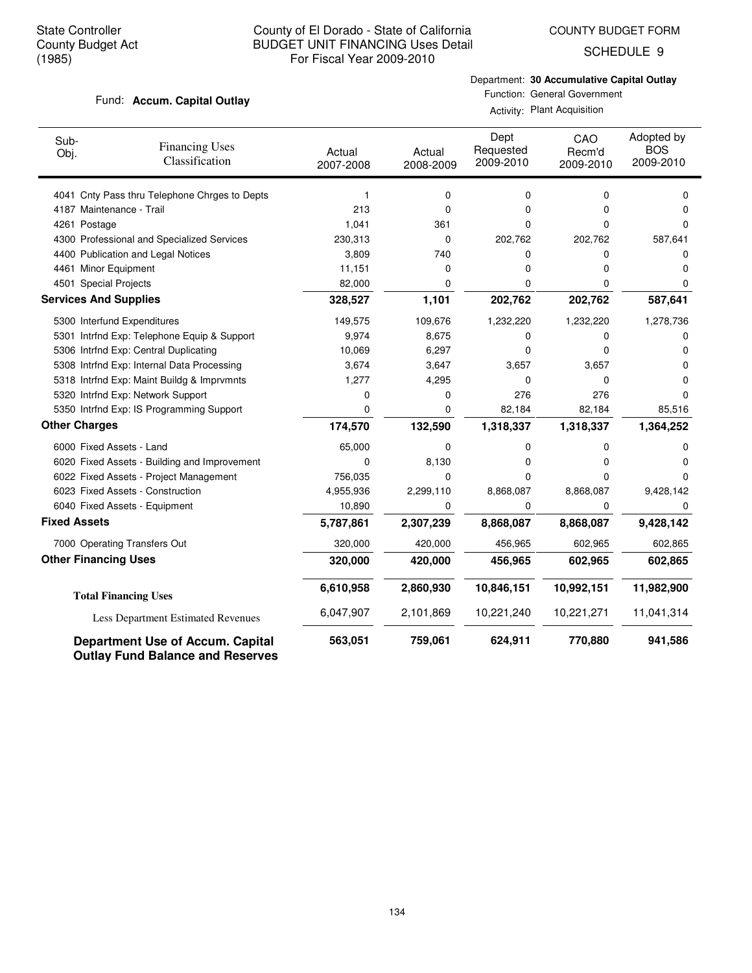COUNTY BUDGET FORM

SCHEDULE 9

#### Fund: Accum. Capital Outlay

Department: **30 Accumulative Capital Outlay**

Function: General Government Activity: Plant Acquisition

| Sub-<br>Obj.         | <b>Financing Uses</b><br>Classification       | Actual<br>2007-2008 | Actual<br>2008-2009 | Dept<br>Requested<br>2009-2010 | CAO<br>Recm'd<br>2009-2010 | Adopted by<br><b>BOS</b><br>2009-2010 |
|----------------------|-----------------------------------------------|---------------------|---------------------|--------------------------------|----------------------------|---------------------------------------|
|                      | 4041 Cnty Pass thru Telephone Chrges to Depts | 1                   | 0                   | 0                              | $\Omega$                   | $\Omega$                              |
|                      | 4187 Maintenance - Trail                      | 213                 | $\Omega$            | 0                              | 0                          | 0                                     |
|                      | 4261 Postage                                  | 1,041               | 361                 | 0                              | 0                          | $\Omega$                              |
|                      | 4300 Professional and Specialized Services    | 230,313             | 0                   | 202,762                        | 202,762                    | 587,641                               |
|                      | 4400 Publication and Legal Notices            | 3,809               | 740                 | 0                              | 0                          | 0                                     |
|                      | 4461 Minor Equipment                          | 11,151              | 0                   | 0                              | 0                          | 0                                     |
|                      | 4501 Special Projects                         | 82,000              | 0                   | 0                              | 0                          | 0                                     |
|                      | <b>Services And Supplies</b>                  | 328,527             | 1,101               | 202,762                        | 202,762                    | 587,641                               |
|                      | 5300 Interfund Expenditures                   | 149,575             | 109,676             | 1,232,220                      | 1,232,220                  | 1,278,736                             |
|                      | 5301 Intrfnd Exp: Telephone Equip & Support   | 9,974               | 8,675               | 0                              | 0                          | 0                                     |
|                      | 5306 Intrfnd Exp: Central Duplicating         | 10,069              | 6,297               | 0                              | $\Omega$                   | 0                                     |
|                      | 5308 Intrfnd Exp: Internal Data Processing    | 3,674               | 3,647               | 3,657                          | 3,657                      | 0                                     |
|                      | 5318 Intrfnd Exp: Maint Buildg & Imprvmnts    | 1,277               | 4,295               | 0                              | 0                          | O                                     |
|                      | 5320 Intrfnd Exp: Network Support             | 0                   | 0                   | 276                            | 276                        | n                                     |
|                      | 5350 Intrfnd Exp: IS Programming Support      | 0                   | 0                   | 82,184                         | 82,184                     | 85,516                                |
| <b>Other Charges</b> |                                               | 174,570             | 132,590             | 1,318,337                      | 1,318,337                  | 1,364,252                             |
|                      | 6000 Fixed Assets - Land                      | 65,000              | 0                   | 0                              | 0                          | 0                                     |
|                      | 6020 Fixed Assets - Building and Improvement  | 0                   | 8,130               | 0                              | 0                          | 0                                     |
|                      | 6022 Fixed Assets - Project Management        | 756,035             | 0                   | 0                              | 0                          | 0                                     |
|                      | 6023 Fixed Assets - Construction              | 4,955,936           | 2,299,110           | 8,868,087                      | 8,868,087                  | 9,428,142                             |
|                      | 6040 Fixed Assets - Equipment                 | 10,890              | 0                   | 0                              | 0                          | 0                                     |
| <b>Fixed Assets</b>  |                                               | 5,787,861           | 2,307,239           | 8,868,087                      | 8,868,087                  | 9,428,142                             |
|                      | 7000 Operating Transfers Out                  | 320,000             | 420,000             | 456,965                        | 602,965                    | 602,865                               |
|                      | <b>Other Financing Uses</b>                   | 320,000             | 420,000             | 456,965                        | 602,965                    | 602,865                               |
|                      | <b>Total Financing Uses</b>                   | 6,610,958           | 2,860,930           | 10,846,151                     | 10,992,151                 | 11,982,900                            |
|                      | Less Department Estimated Revenues            | 6,047,907           | 2,101,869           | 10,221,240                     | 10,221,271                 | 11,041,314                            |
|                      | <b>Department Use of Accum. Capital</b>       | 563,051             | 759,061             | 624,911                        | 770,880                    | 941,586                               |

**Outlay Fund Balance and Reserves**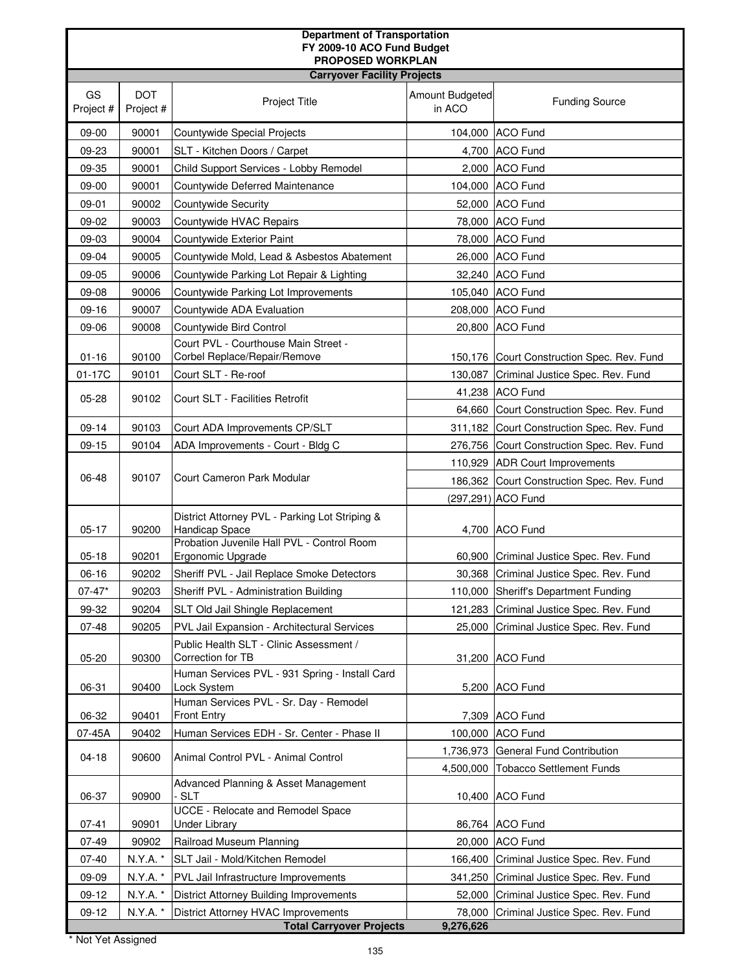| <b>Department of Transportation</b><br>FY 2009-10 ACO Fund Budget |                         |                                                                      |                           |                                                              |  |
|-------------------------------------------------------------------|-------------------------|----------------------------------------------------------------------|---------------------------|--------------------------------------------------------------|--|
| PROPOSED WORKPLAN                                                 |                         |                                                                      |                           |                                                              |  |
| <b>Carryover Facility Projects</b>                                |                         |                                                                      |                           |                                                              |  |
| GS<br>Project #                                                   | <b>DOT</b><br>Project # | Project Title                                                        | Amount Budgeted<br>in ACO | <b>Funding Source</b>                                        |  |
| 09-00                                                             | 90001                   | Countywide Special Projects                                          |                           | 104,000 ACO Fund                                             |  |
| 09-23                                                             | 90001                   | SLT - Kitchen Doors / Carpet                                         |                           | 4,700 ACO Fund                                               |  |
| 09-35                                                             | 90001                   | Child Support Services - Lobby Remodel                               |                           | 2,000 ACO Fund                                               |  |
| 09-00                                                             | 90001                   | Countywide Deferred Maintenance                                      |                           | 104,000 ACO Fund                                             |  |
| 09-01                                                             | 90002                   | <b>Countywide Security</b>                                           |                           | 52,000 ACO Fund                                              |  |
| 09-02                                                             | 90003                   | Countywide HVAC Repairs                                              | 78,000                    | <b>ACO Fund</b>                                              |  |
| 09-03                                                             | 90004                   | Countywide Exterior Paint                                            |                           | 78,000 ACO Fund                                              |  |
| 09-04                                                             | 90005                   | Countywide Mold, Lead & Asbestos Abatement                           |                           | 26,000 ACO Fund                                              |  |
| 09-05                                                             | 90006                   | Countywide Parking Lot Repair & Lighting                             |                           | 32,240 ACO Fund                                              |  |
| 09-08                                                             | 90006                   | Countywide Parking Lot Improvements                                  |                           | 105,040 ACO Fund                                             |  |
| 09-16                                                             | 90007                   | Countywide ADA Evaluation                                            | 208,000                   | <b>ACO Fund</b>                                              |  |
| 09-06                                                             | 90008                   | Countywide Bird Control                                              |                           | 20,800 ACO Fund                                              |  |
| $01 - 16$                                                         | 90100                   | Court PVL - Courthouse Main Street -<br>Corbel Replace/Repair/Remove |                           | 150,176 Court Construction Spec. Rev. Fund                   |  |
| 01-17C                                                            | 90101                   | Court SLT - Re-roof                                                  | 130,087                   | Criminal Justice Spec. Rev. Fund                             |  |
| $05 - 28$                                                         | 90102                   | Court SLT - Facilities Retrofit                                      | 41,238                    | <b>ACO Fund</b>                                              |  |
|                                                                   |                         |                                                                      | 64,660                    | Court Construction Spec. Rev. Fund                           |  |
| $09-14$                                                           | 90103                   | Court ADA Improvements CP/SLT                                        | 311,182                   | Court Construction Spec. Rev. Fund                           |  |
| $09-15$                                                           | 90104                   | ADA Improvements - Court - Bldg C                                    | 276,756                   | Court Construction Spec. Rev. Fund                           |  |
|                                                                   |                         |                                                                      |                           | 110,929 ADR Court Improvements                               |  |
| 06-48                                                             | 90107                   | Court Cameron Park Modular                                           | 186,362                   | Court Construction Spec. Rev. Fund                           |  |
|                                                                   |                         |                                                                      |                           | (297,291) ACO Fund                                           |  |
| $05 - 17$                                                         | 90200                   | District Attorney PVL - Parking Lot Striping &<br>Handicap Space     |                           | 4,700 ACO Fund                                               |  |
| $05 - 18$                                                         | 90201                   | Probation Juvenile Hall PVL - Control Room<br>Ergonomic Upgrade      |                           | 60,900 Criminal Justice Spec. Rev. Fund                      |  |
| $06-16$                                                           | 90202                   | Sheriff PVL - Jail Replace Smoke Detectors                           |                           | 30,368 Criminal Justice Spec. Rev. Fund                      |  |
| $07 - 47*$                                                        | 90203                   | Sheriff PVL - Administration Building                                | 110,000                   | Sheriff's Department Funding                                 |  |
| 99-32                                                             | 90204                   | SLT Old Jail Shingle Replacement                                     | 121,283                   | Criminal Justice Spec. Rev. Fund                             |  |
| $07 - 48$                                                         | 90205                   | PVL Jail Expansion - Architectural Services                          | 25,000                    | Criminal Justice Spec. Rev. Fund                             |  |
| $05 - 20$                                                         | 90300                   | Public Health SLT - Clinic Assessment /<br>Correction for TB         |                           | 31,200 ACO Fund                                              |  |
|                                                                   |                         | Human Services PVL - 931 Spring - Install Card                       |                           |                                                              |  |
| 06-31                                                             | 90400                   | Lock System                                                          |                           | 5,200 ACO Fund                                               |  |
|                                                                   |                         | Human Services PVL - Sr. Day - Remodel                               |                           |                                                              |  |
| 06-32                                                             | 90401                   | Front Entry                                                          |                           | 7,309 ACO Fund                                               |  |
| 07-45A                                                            | 90402                   | Human Services EDH - Sr. Center - Phase II                           | 100,000                   | ACO Fund                                                     |  |
| $04-18$                                                           | 90600                   | Animal Control PVL - Animal Control                                  | 1,736,973<br>4,500,000    | General Fund Contribution<br><b>Tobacco Settlement Funds</b> |  |
| 06-37                                                             | 90900                   | Advanced Planning & Asset Management<br>- SLT                        |                           | 10,400 ACO Fund                                              |  |
| $07 - 41$                                                         | 90901                   | UCCE - Relocate and Remodel Space<br><b>Under Library</b>            |                           | 86,764 ACO Fund                                              |  |
| 07-49                                                             | 90902                   | Railroad Museum Planning                                             | 20,000                    | <b>ACO Fund</b>                                              |  |
| $07 - 40$                                                         | N.Y.A. *                | SLT Jail - Mold/Kitchen Remodel                                      | 166,400                   | Criminal Justice Spec. Rev. Fund                             |  |
| 09-09                                                             | N.Y.A. *                | PVL Jail Infrastructure Improvements                                 | 341,250                   | Criminal Justice Spec. Rev. Fund                             |  |
| 09-12                                                             | N.Y.A. *                | <b>District Attorney Building Improvements</b>                       | 52,000                    | Criminal Justice Spec. Rev. Fund                             |  |
| $09-12$                                                           | N.Y.A. *                | District Attorney HVAC Improvements                                  | 78,000                    | Criminal Justice Spec. Rev. Fund                             |  |
| <b>Total Carryover Projects</b><br>9,276,626                      |                         |                                                                      |                           |                                                              |  |

\* Not Yet Assigned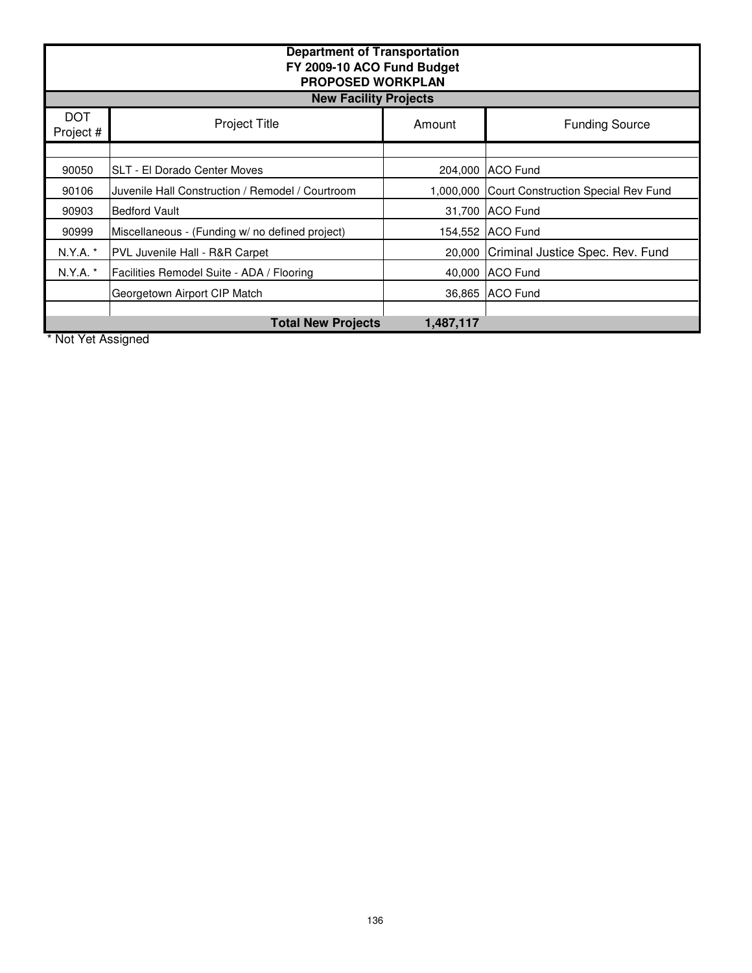| <b>Department of Transportation</b><br>FY 2009-10 ACO Fund Budget<br><b>PROPOSED WORKPLAN</b><br><b>New Facility Projects</b> |                                                  |           |                                     |  |
|-------------------------------------------------------------------------------------------------------------------------------|--------------------------------------------------|-----------|-------------------------------------|--|
| <b>DOT</b><br>Project #                                                                                                       | <b>Project Title</b>                             | Amount    | <b>Funding Source</b>               |  |
|                                                                                                                               |                                                  |           |                                     |  |
| 90050                                                                                                                         | SLT - El Dorado Center Moves                     |           | 204,000 ACO Fund                    |  |
| 90106                                                                                                                         | Juvenile Hall Construction / Remodel / Courtroom | 1,000,000 | Court Construction Special Rev Fund |  |
| 90903                                                                                                                         | <b>Bedford Vault</b>                             |           | 31,700 ACO Fund                     |  |
| 90999                                                                                                                         | Miscellaneous - (Funding w/ no defined project)  |           | 154,552 ACO Fund                    |  |
| N.Y.A.                                                                                                                        | PVL Juvenile Hall - R&R Carpet                   | 20,000    | Criminal Justice Spec. Rev. Fund    |  |
| N.Y.A.                                                                                                                        | Facilities Remodel Suite - ADA / Flooring        |           | 40,000 ACO Fund                     |  |
|                                                                                                                               | Georgetown Airport CIP Match                     |           | 36,865 ACO Fund                     |  |
| <b>Total New Projects</b><br>1,487,117                                                                                        |                                                  |           |                                     |  |

\* Not Yet Assigned